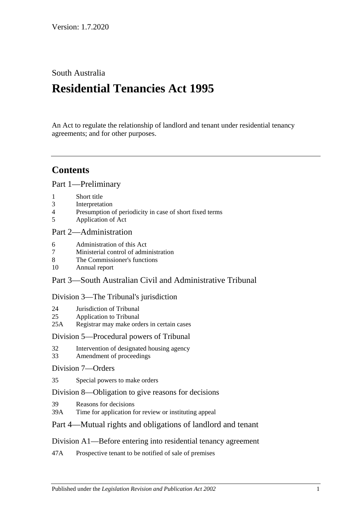### South Australia

# **Residential Tenancies Act 1995**

An Act to regulate the relationship of landlord and tenant under residential tenancy agreements; and for other purposes.

# **Contents**

[Part 1—Preliminary](#page-5-0)

- 1 [Short title](#page-5-1)
- 3 [Interpretation](#page-5-2)
- 4 [Presumption of periodicity in case of short fixed terms](#page-9-0)
- 5 [Application of Act](#page-9-1)

### [Part 2—Administration](#page-11-0)

- 6 [Administration of this Act](#page-11-1)
- 7 [Ministerial control of administration](#page-11-2)
- 8 [The Commissioner's functions](#page-11-3)
- 10 [Annual report](#page-12-0)

### Part [3—South Australian Civil and Administrative Tribunal](#page-12-1)

#### [Division 3—The Tribunal's jurisdiction](#page-12-2)

- 24 [Jurisdiction of Tribunal](#page-12-3)
- 25 [Application to Tribunal](#page-13-0)
- 25A [Registrar may make orders in certain cases](#page-13-1)

### [Division 5—Procedural powers of Tribunal](#page-13-2)

- 32 [Intervention of designated housing agency](#page-13-3)
- 33 [Amendment of proceedings](#page-13-4)

#### [Division 7—Orders](#page-13-5)

35 [Special powers to make orders](#page-13-6)

### [Division 8—Obligation to give reasons for decisions](#page-14-0)

- 39 [Reasons for decisions](#page-14-1)
- 39A [Time for application for review or instituting appeal](#page-14-2)

### [Part 4—Mutual rights and obligations of landlord and tenant](#page-14-3)

### [Division A1—Before entering into residential tenancy agreement](#page-14-4)

47A [Prospective tenant to be notified of sale of premises](#page-14-5)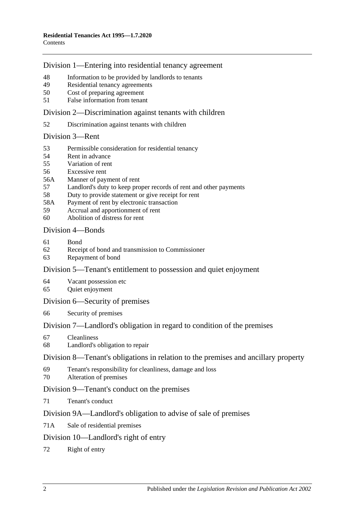### [Division 1—Entering into residential tenancy agreement](#page-14-6)

- [Information to be provided by landlords to tenants](#page-14-7)
- [Residential tenancy agreements](#page-15-0)
- [Cost of preparing agreement](#page-17-0)
- False [information from tenant](#page-17-1)

### [Division 2—Discrimination against tenants with children](#page-17-2)

[Discrimination against tenants with children](#page-17-3)

#### [Division 3—Rent](#page-17-4)

- [Permissible consideration for residential tenancy](#page-17-5)
- [Rent in advance](#page-18-0)
- [Variation of rent](#page-18-1)
- [Excessive rent](#page-20-0)
- 56A [Manner of payment of rent](#page-20-1)
- [Landlord's duty to keep proper records of rent and other payments](#page-21-0)
- [Duty to provide statement or give receipt for rent](#page-21-1)
- 58A [Payment of rent by electronic transaction](#page-21-2)
- [Accrual and apportionment of rent](#page-21-3)
- [Abolition of distress for rent](#page-22-0)

### [Division 4—Bonds](#page-22-1)

- [Bond](#page-22-2)
- [Receipt of bond and transmission to Commissioner](#page-23-0)
- [Repayment of bond](#page-23-1)

### [Division 5—Tenant's entitlement to possession and quiet enjoyment](#page-25-0)

- [Vacant possession etc](#page-25-1)
- [Quiet enjoyment](#page-25-2)

#### [Division 6—Security of premises](#page-26-0)

[Security of premises](#page-26-1)

### [Division 7—Landlord's obligation in regard to condition of the premises](#page-26-2)

- [Cleanliness](#page-26-3)
- [Landlord's obligation to repair](#page-26-4)

### [Division 8—Tenant's obligations in relation to the premises and ancillary property](#page-27-0)

- [Tenant's responsibility for cleanliness, damage and loss](#page-27-1)
- [Alteration of premises](#page-28-0)

### [Division 9—Tenant's conduct on the premises](#page-28-1)

[Tenant's conduct](#page-28-2)

### [Division 9A—Landlord's obligation to advise of sale of premises](#page-29-0)

71A [Sale of residential premises](#page-29-1)

### [Division 10—Landlord's right of entry](#page-29-2)

[Right of entry](#page-29-3)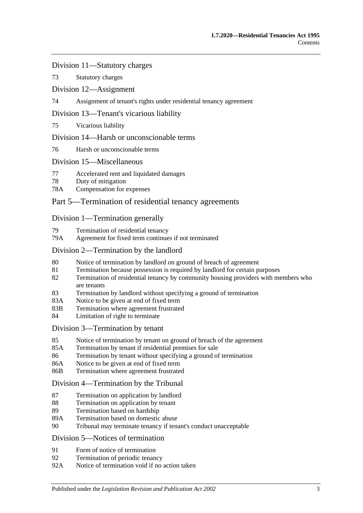[Division 11—Statutory charges](#page-31-0)

73 [Statutory charges](#page-31-1)

[Division 12—Assignment](#page-32-0)

74 [Assignment of tenant's rights under residential tenancy agreement](#page-32-1)

### [Division 13—Tenant's vicarious liability](#page-33-0)

75 [Vicarious liability](#page-33-1)

### [Division 14—Harsh or unconscionable terms](#page-33-2)

76 [Harsh or unconscionable terms](#page-33-3)

### [Division 15—Miscellaneous](#page-34-0)

- 77 [Accelerated rent and liquidated damages](#page-34-1)
- 78 [Duty of mitigation](#page-34-2)
- 78A [Compensation for expenses](#page-34-3)

### [Part 5—Termination of residential tenancy agreements](#page-35-0)

### [Division 1—Termination generally](#page-35-1)

- 79 [Termination of residential tenancy](#page-35-2)
- 79A [Agreement for fixed term continues if not terminated](#page-35-3)

### [Division 2—Termination by the landlord](#page-35-4)

- 80 [Notice of termination by landlord on ground of breach of agreement](#page-35-5)
- 81 [Termination because possession is required by landlord for certain purposes](#page-37-0)
- 82 [Termination of residential tenancy by community housing providers with members who](#page-37-1)  [are tenants](#page-37-1)
- 83 [Termination by landlord without specifying a ground of termination](#page-38-0)
- 83A [Notice to be given at end of fixed term](#page-38-1)
- 83B [Termination where agreement frustrated](#page-38-2)
- 84 [Limitation of right to terminate](#page-39-0)

#### [Division 3—Termination by tenant](#page-39-1)

- 85 [Notice of termination by tenant on ground of breach of the agreement](#page-39-2)
- 85A [Termination by tenant if residential premises for sale](#page-40-0)
- 86 [Termination by tenant without specifying a ground of termination](#page-40-1)
- 86A [Notice to be given at end of fixed term](#page-40-2)
- 86B [Termination where agreement frustrated](#page-40-3)

#### [Division 4—Termination by the Tribunal](#page-41-0)

- 87 [Termination on application by landlord](#page-41-1)
- 88 [Termination on application by tenant](#page-41-2)
- 89 [Termination based on hardship](#page-42-0)
- 89A [Termination based on domestic abuse](#page-42-1)
- 90 [Tribunal may terminate tenancy if tenant's conduct unacceptable](#page-44-0)

#### [Division 5—Notices of termination](#page-45-0)

- 91 [Form of notice of termination](#page-45-1)
- 92 [Termination of periodic tenancy](#page-46-0)
- 92A [Notice of termination void if no action taken](#page-46-1)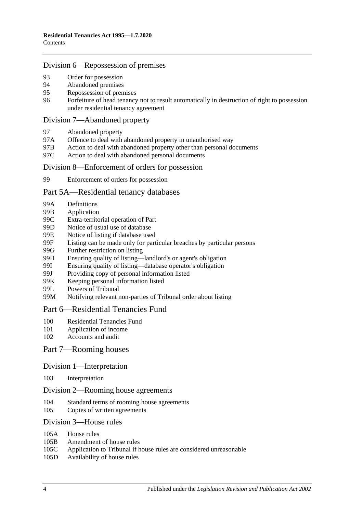### [Division 6—Repossession of premises](#page-47-0)

- 93 [Order for possession](#page-47-1)<br>94 Abandoned premises
- [Abandoned premises](#page-47-2)
- 95 [Repossession of premises](#page-48-0)
- 96 [Forfeiture of head tenancy not to result automatically in destruction of right to possession](#page-48-1)  [under residential tenancy agreement](#page-48-1)

#### [Division 7—Abandoned property](#page-49-0)

- 97 [Abandoned property](#page-49-1)
- 97A [Offence to deal with abandoned property in unauthorised way](#page-49-2)
- 97B [Action to deal with abandoned property other than personal documents](#page-49-3)
- 97C [Action to deal with abandoned personal documents](#page-50-0)

#### [Division 8—Enforcement of orders for possession](#page-50-1)

99 [Enforcement of orders for possession](#page-50-2)

#### [Part 5A—Residential tenancy databases](#page-51-0)

- 99A [Definitions](#page-51-1)
- 99B [Application](#page-52-0)
- 99C [Extra-territorial operation of Part](#page-52-1)
- 99D [Notice of usual use of database](#page-53-0)
- 99E [Notice of listing if database used](#page-53-1)
- 99F [Listing can be made only for particular breaches by particular persons](#page-54-0)
- 99G [Further restriction on listing](#page-55-0)<br>99H Ensuring quality of listing—
- [Ensuring quality of listing—landlord's or agent's obligation](#page-55-1)
- 99I [Ensuring quality of listing—database operator's obligation](#page-56-0)
- 99J [Providing copy of personal information listed](#page-56-1)
- 99K [Keeping personal information listed](#page-56-2)
- 99L [Powers of Tribunal](#page-57-0)
- 99M [Notifying relevant non-parties of Tribunal order about listing](#page-57-1)

### [Part 6—Residential Tenancies Fund](#page-58-0)

- 100 [Residential Tenancies Fund](#page-58-1)
- 101 [Application of income](#page-58-2)
- 102 [Accounts and audit](#page-59-0)

### Part [7—Rooming houses](#page-59-1)

#### Division [1—Interpretation](#page-59-2)

103 [Interpretation](#page-59-3)

### Division [2—Rooming house agreements](#page-59-4)

- 104 [Standard terms of rooming house agreements](#page-59-5)
- 105 [Copies of written agreements](#page-59-6)

#### Division [3—House rules](#page-60-0)

- 105A [House rules](#page-60-1)
- 105B [Amendment of house rules](#page-60-2)
- 105C [Application to Tribunal if house rules are considered unreasonable](#page-60-3)
- 105D [Availability of house rules](#page-61-0)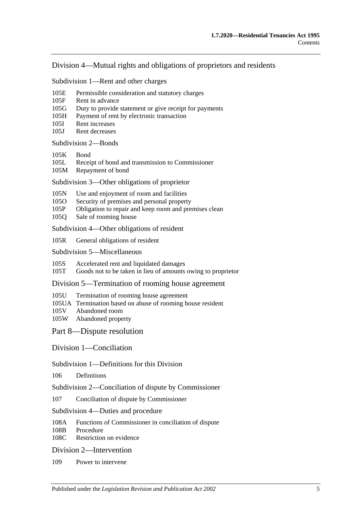### Division [4—Mutual rights and obligations of proprietors and residents](#page-61-1)

Subdivision [1—Rent and other charges](#page-61-2)

- 105E [Permissible consideration and statutory charges](#page-61-3)
- 105F [Rent in advance](#page-61-4)
- 105G [Duty to provide statement or give receipt for payments](#page-62-0)
- 105H [Payment of rent by electronic transaction](#page-62-1)
- 105I [Rent increases](#page-63-0)
- 105J [Rent decreases](#page-63-1)

[Subdivision](#page-64-0) 2—Bonds

- [105K](#page-64-1) Bond
- 105L [Receipt of bond and transmission to Commissioner](#page-64-2)
- 105M [Repayment of bond](#page-64-3)

Subdivision [3—Other obligations of proprietor](#page-66-0)

- 105N [Use and enjoyment of room and facilities](#page-66-1)
- 105O [Security of premises and personal property](#page-67-0)
- 105P [Obligation to repair and keep room and premises clean](#page-67-1)
- 105Q [Sale of rooming house](#page-68-0)

Subdivision [4—Other obligations of resident](#page-68-1)

105R [General obligations of resident](#page-68-2)

Subdivision [5—Miscellaneous](#page-69-0)

105S [Accelerated rent and liquidated damages](#page-69-1)

105T [Goods not to be taken in lieu of amounts owing to proprietor](#page-69-2)

Division [5—Termination of rooming house agreement](#page-69-3)

- 105U [Termination of rooming house agreement](#page-69-4)
- 105UA [Termination based on abuse of rooming house resident](#page-71-0)
- 105V [Abandoned room](#page-72-0)
- 105W [Abandoned property](#page-73-0)

[Part 8—Dispute resolution](#page-74-0)

[Division 1—Conciliation](#page-74-1)

Subdivision [1—Definitions for this Division](#page-74-2)

106 [Definitions](#page-74-3)

Subdivision [2—Conciliation of dispute by Commissioner](#page-74-4)

107 [Conciliation of dispute by Commissioner](#page-74-5)

Subdivision [4—Duties and procedure](#page-74-6)

108A [Functions of Commissioner in conciliation of dispute](#page-74-7)<br>108B Procedure

[Procedure](#page-75-0)

108C [Restriction on evidence](#page-75-1)

[Division 2—Intervention](#page-75-2)

109 [Power to intervene](#page-75-3)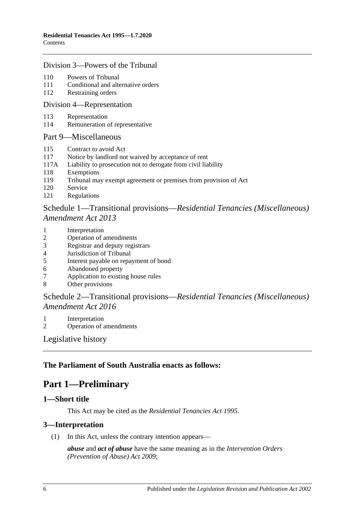### [Division 3—Powers of the Tribunal](#page-75-4)

- 110 [Powers of Tribunal](#page-75-5)
- 111 [Conditional and alternative orders](#page-76-0)
- 112 [Restraining orders](#page-76-1)

#### [Division 4—Representation](#page-77-0)

- 113 [Representation](#page-77-1)
- 114 [Remuneration of representative](#page-78-0)

#### [Part 9—Miscellaneous](#page-78-1)

- 115 [Contract to avoid Act](#page-78-2)
- 117 [Notice by landlord not waived by acceptance of rent](#page-79-0)
- 117A [Liability to prosecution not to derogate from civil liability](#page-79-1)
- 118 [Exemptions](#page-79-2)
- 119 [Tribunal may exempt agreement or premises from provision of Act](#page-79-3)
- 120 [Service](#page-79-4)
- 121 [Regulations](#page-80-0)

### Schedule 1—Transitional provisions—*[Residential Tenancies \(Miscellaneous\)](#page-80-1)  [Amendment Act](#page-80-1) 2013*

- 1 [Interpretation](#page-80-2)
- 2 [Operation of amendments](#page-80-3)
- 3 [Registrar and deputy registrars](#page-80-4)
- 4 [Jurisdiction of Tribunal](#page-81-0)
- 5 [Interest payable on repayment of bond](#page-81-1)
- 6 [Abandoned property](#page-81-2)<br>7 Application to existin
- [Application to existing house rules](#page-81-3)
- 8 [Other provisions](#page-81-4)

### Schedule 2—Transitional provisions—*[Residential Tenancies \(Miscellaneous\)](#page-82-0)  [Amendment Act](#page-82-0) 2016*

- 1 [Interpretation](#page-82-1)
- 2 [Operation of amendments](#page-82-2)

[Legislative history](#page-83-0)

### <span id="page-5-0"></span>**The Parliament of South Australia enacts as follows:**

# **Part 1—Preliminary**

#### <span id="page-5-1"></span>**1—Short title**

This Act may be cited as the *Residential Tenancies Act 1995*.

#### <span id="page-5-2"></span>**3—Interpretation**

(1) In this Act, unless the contrary intention appears—

*abuse* and *act of abuse* have the same meaning as in the *[Intervention Orders](http://www.legislation.sa.gov.au/index.aspx?action=legref&type=act&legtitle=Intervention%20Orders%20(Prevention%20of%20Abuse)%20Act%202009)  [\(Prevention of Abuse\) Act](http://www.legislation.sa.gov.au/index.aspx?action=legref&type=act&legtitle=Intervention%20Orders%20(Prevention%20of%20Abuse)%20Act%202009) 2009*;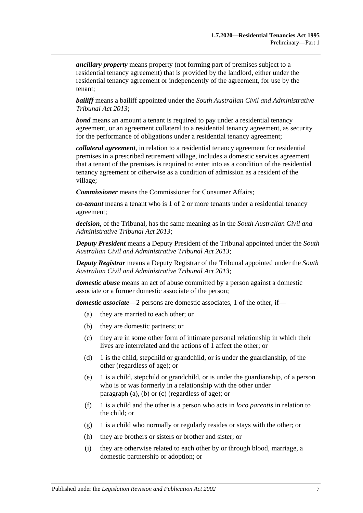*ancillary property* means property (not forming part of premises subject to a residential tenancy agreement) that is provided by the landlord, either under the residential tenancy agreement or independently of the agreement, for use by the tenant;

*bailiff* means a bailiff appointed under the *[South Australian Civil and Administrative](http://www.legislation.sa.gov.au/index.aspx?action=legref&type=act&legtitle=South%20Australian%20Civil%20and%20Administrative%20Tribunal%20Act%202013)  [Tribunal Act](http://www.legislation.sa.gov.au/index.aspx?action=legref&type=act&legtitle=South%20Australian%20Civil%20and%20Administrative%20Tribunal%20Act%202013) 2013*;

*bond* means an amount a tenant is required to pay under a residential tenancy agreement, or an agreement collateral to a residential tenancy agreement, as security for the performance of obligations under a residential tenancy agreement;

*collateral agreement*, in relation to a residential tenancy agreement for residential premises in a prescribed retirement village, includes a domestic services agreement that a tenant of the premises is required to enter into as a condition of the residential tenancy agreement or otherwise as a condition of admission as a resident of the village;

*Commissioner* means the Commissioner for Consumer Affairs;

*co-tenant* means a tenant who is 1 of 2 or more tenants under a residential tenancy agreement;

*decision*, of the Tribunal, has the same meaning as in the *[South Australian Civil and](http://www.legislation.sa.gov.au/index.aspx?action=legref&type=act&legtitle=South%20Australian%20Civil%20and%20Administrative%20Tribunal%20Act%202013)  [Administrative Tribunal Act](http://www.legislation.sa.gov.au/index.aspx?action=legref&type=act&legtitle=South%20Australian%20Civil%20and%20Administrative%20Tribunal%20Act%202013) 2013*;

*Deputy President* means a Deputy President of the Tribunal appointed under the *[South](http://www.legislation.sa.gov.au/index.aspx?action=legref&type=act&legtitle=South%20Australian%20Civil%20and%20Administrative%20Tribunal%20Act%202013)  [Australian Civil and Administrative Tribunal Act](http://www.legislation.sa.gov.au/index.aspx?action=legref&type=act&legtitle=South%20Australian%20Civil%20and%20Administrative%20Tribunal%20Act%202013) 2013*;

*Deputy Registrar* means a Deputy Registrar of the Tribunal appointed under the *[South](http://www.legislation.sa.gov.au/index.aspx?action=legref&type=act&legtitle=South%20Australian%20Civil%20and%20Administrative%20Tribunal%20Act%202013)  [Australian Civil and Administrative Tribunal Act](http://www.legislation.sa.gov.au/index.aspx?action=legref&type=act&legtitle=South%20Australian%20Civil%20and%20Administrative%20Tribunal%20Act%202013) 2013*;

*domestic abuse* means an act of abuse committed by a person against a domestic associate or a former domestic associate of the person;

<span id="page-6-1"></span><span id="page-6-0"></span>*domestic associate*—2 persons are domestic associates, 1 of the other, if—

- (a) they are married to each other; or
- (b) they are domestic partners; or
- <span id="page-6-2"></span>(c) they are in some other form of intimate personal relationship in which their lives are interrelated and the actions of 1 affect the other; or
- (d) 1 is the child, stepchild or grandchild, or is under the guardianship, of the other (regardless of age); or
- (e) 1 is a child, stepchild or grandchild, or is under the guardianship, of a person who is or was formerly in a relationship with the other under [paragraph](#page-6-0) (a), [\(b\)](#page-6-1) or [\(c\)](#page-6-2) (regardless of age); or
- (f) 1 is a child and the other is a person who acts in *loco parentis* in relation to the child; or
- (g) 1 is a child who normally or regularly resides or stays with the other; or
- (h) they are brothers or sisters or brother and sister; or
- (i) they are otherwise related to each other by or through blood, marriage, a domestic partnership or adoption; or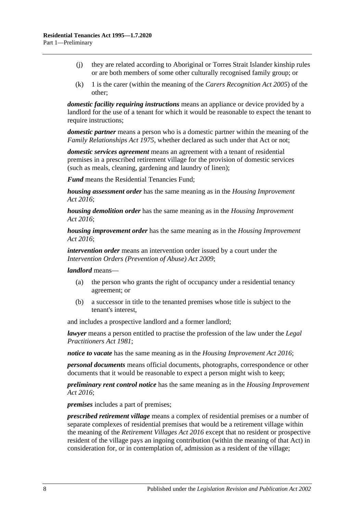- (j) they are related according to Aboriginal or Torres Strait Islander kinship rules or are both members of some other culturally recognised family group; or
- (k) 1 is the carer (within the meaning of the *[Carers Recognition Act](http://www.legislation.sa.gov.au/index.aspx?action=legref&type=act&legtitle=Carers%20Recognition%20Act%202005) 2005*) of the other;

*domestic facility requiring instructions* means an appliance or device provided by a landlord for the use of a tenant for which it would be reasonable to expect the tenant to require instructions:

*domestic partner* means a person who is a domestic partner within the meaning of the *[Family Relationships Act](http://www.legislation.sa.gov.au/index.aspx?action=legref&type=act&legtitle=Family%20Relationships%20Act%201975) 1975*, whether declared as such under that Act or not;

*domestic services agreement* means an agreement with a tenant of residential premises in a prescribed retirement village for the provision of domestic services (such as meals, cleaning, gardening and laundry of linen);

*Fund* means the Residential Tenancies Fund;

*housing assessment order* has the same meaning as in the *[Housing Improvement](http://www.legislation.sa.gov.au/index.aspx?action=legref&type=act&legtitle=Housing%20Improvement%20Act%202016)  Act [2016](http://www.legislation.sa.gov.au/index.aspx?action=legref&type=act&legtitle=Housing%20Improvement%20Act%202016)*;

*housing demolition order* has the same meaning as in the *[Housing Improvement](http://www.legislation.sa.gov.au/index.aspx?action=legref&type=act&legtitle=Housing%20Improvement%20Act%202016)  Act [2016](http://www.legislation.sa.gov.au/index.aspx?action=legref&type=act&legtitle=Housing%20Improvement%20Act%202016)*;

*housing improvement order* has the same meaning as in the *[Housing Improvement](http://www.legislation.sa.gov.au/index.aspx?action=legref&type=act&legtitle=Housing%20Improvement%20Act%202016)  Act [2016](http://www.legislation.sa.gov.au/index.aspx?action=legref&type=act&legtitle=Housing%20Improvement%20Act%202016)*;

*intervention order* means an intervention order issued by a court under the *[Intervention Orders \(Prevention of Abuse\) Act](http://www.legislation.sa.gov.au/index.aspx?action=legref&type=act&legtitle=Intervention%20Orders%20(Prevention%20of%20Abuse)%20Act%202009) 2009*;

*landlord* means—

- (a) the person who grants the right of occupancy under a residential tenancy agreement; or
- (b) a successor in title to the tenanted premises whose title is subject to the tenant's interest,

and includes a prospective landlord and a former landlord;

*lawyer* means a person entitled to practise the profession of the law under the *[Legal](http://www.legislation.sa.gov.au/index.aspx?action=legref&type=act&legtitle=Legal%20Practitioners%20Act%201981)  [Practitioners Act](http://www.legislation.sa.gov.au/index.aspx?action=legref&type=act&legtitle=Legal%20Practitioners%20Act%201981) 1981*;

*notice to vacate* has the same meaning as in the *[Housing Improvement Act](http://www.legislation.sa.gov.au/index.aspx?action=legref&type=act&legtitle=Housing%20Improvement%20Act%202016) 2016*;

*personal documents* means official documents, photographs, correspondence or other documents that it would be reasonable to expect a person might wish to keep;

*preliminary rent control notice* has the same meaning as in the *[Housing Improvement](http://www.legislation.sa.gov.au/index.aspx?action=legref&type=act&legtitle=Housing%20Improvement%20Act%202016)  Act [2016](http://www.legislation.sa.gov.au/index.aspx?action=legref&type=act&legtitle=Housing%20Improvement%20Act%202016)*;

*premises* includes a part of premises;

*prescribed retirement village* means a complex of residential premises or a number of separate complexes of residential premises that would be a retirement village within the meaning of the *[Retirement Villages Act](http://www.legislation.sa.gov.au/index.aspx?action=legref&type=act&legtitle=Retirement%20Villages%20Act%202016) 2016* except that no resident or prospective resident of the village pays an ingoing contribution (within the meaning of that Act) in consideration for, or in contemplation of, admission as a resident of the village;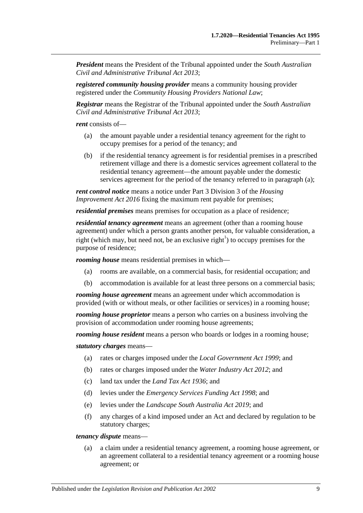*President* means the President of the Tribunal appointed under the *[South Australian](http://www.legislation.sa.gov.au/index.aspx?action=legref&type=act&legtitle=South%20Australian%20Civil%20and%20Administrative%20Tribunal%20Act%202013)  [Civil and Administrative Tribunal Act](http://www.legislation.sa.gov.au/index.aspx?action=legref&type=act&legtitle=South%20Australian%20Civil%20and%20Administrative%20Tribunal%20Act%202013) 2013*;

*registered community housing provider* means a community housing provider registered under the *Community Housing Providers National Law*;

*Registrar* means the Registrar of the Tribunal appointed under the *[South Australian](http://www.legislation.sa.gov.au/index.aspx?action=legref&type=act&legtitle=South%20Australian%20Civil%20and%20Administrative%20Tribunal%20Act%202013)  [Civil and Administrative Tribunal Act](http://www.legislation.sa.gov.au/index.aspx?action=legref&type=act&legtitle=South%20Australian%20Civil%20and%20Administrative%20Tribunal%20Act%202013) 2013*;

<span id="page-8-0"></span>*rent* consists of—

- (a) the amount payable under a residential tenancy agreement for the right to occupy premises for a period of the tenancy; and
- (b) if the residential tenancy agreement is for residential premises in a prescribed retirement village and there is a domestic services agreement collateral to the residential tenancy agreement—the amount payable under the domestic services agreement for the period of the tenancy referred to in [paragraph](#page-8-0) (a);

*rent control notice* means a notice under Part 3 Division 3 of the *[Housing](http://www.legislation.sa.gov.au/index.aspx?action=legref&type=act&legtitle=Housing%20Improvement%20Act%202016)  [Improvement Act](http://www.legislation.sa.gov.au/index.aspx?action=legref&type=act&legtitle=Housing%20Improvement%20Act%202016) 2016* fixing the maximum rent payable for premises;

*residential premises* means premises for occupation as a place of residence;

*residential tenancy agreement* means an agreement (other than a rooming house agreement) under which a person grants another person, for valuable consideration, a right (which may, but need not, be an exclusive right<sup>1</sup>) to occupy premises for the purpose of residence;

*rooming house* means residential premises in which—

- (a) rooms are available, on a commercial basis, for residential occupation; and
- (b) accommodation is available for at least three persons on a commercial basis;

*rooming house agreement* means an agreement under which accommodation is provided (with or without meals, or other facilities or services) in a rooming house;

*rooming house proprietor* means a person who carries on a business involving the provision of accommodation under rooming house agreements;

*rooming house resident* means a person who boards or lodges in a rooming house;

*statutory charges* means—

- (a) rates or charges imposed under the *[Local Government Act](http://www.legislation.sa.gov.au/index.aspx?action=legref&type=act&legtitle=Local%20Government%20Act%201999) 1999*; and
- (b) rates or charges imposed under the *[Water Industry Act](http://www.legislation.sa.gov.au/index.aspx?action=legref&type=act&legtitle=Water%20Industry%20Act%202012) 2012*; and
- (c) land tax under the *[Land Tax Act](http://www.legislation.sa.gov.au/index.aspx?action=legref&type=act&legtitle=Land%20Tax%20Act%201936) 1936*; and
- (d) levies under the *[Emergency Services Funding Act](http://www.legislation.sa.gov.au/index.aspx?action=legref&type=act&legtitle=Emergency%20Services%20Funding%20Act%201998) 1998*; and
- (e) levies under the *[Landscape South Australia Act](http://www.legislation.sa.gov.au/index.aspx?action=legref&type=act&legtitle=Landscape%20South%20Australia%20Act%202019) 2019*; and
- (f) any charges of a kind imposed under an Act and declared by regulation to be statutory charges;

*tenancy dispute* means—

(a) a claim under a residential tenancy agreement, a rooming house agreement, or an agreement collateral to a residential tenancy agreement or a rooming house agreement; or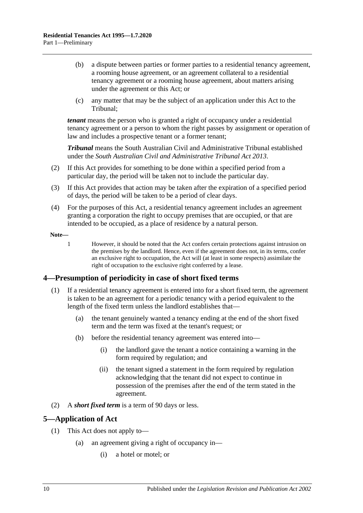- (b) a dispute between parties or former parties to a residential tenancy agreement, a rooming house agreement, or an agreement collateral to a residential tenancy agreement or a rooming house agreement, about matters arising under the agreement or this Act; or
- (c) any matter that may be the subject of an application under this Act to the Tribunal;

*tenant* means the person who is granted a right of occupancy under a residential tenancy agreement or a person to whom the right passes by assignment or operation of law and includes a prospective tenant or a former tenant;

*Tribunal* means the South Australian Civil and Administrative Tribunal established under the *[South Australian Civil and Administrative Tribunal Act](http://www.legislation.sa.gov.au/index.aspx?action=legref&type=act&legtitle=South%20Australian%20Civil%20and%20Administrative%20Tribunal%20Act%202013) 2013*.

- (2) If this Act provides for something to be done within a specified period from a particular day, the period will be taken not to include the particular day.
- (3) If this Act provides that action may be taken after the expiration of a specified period of days, the period will be taken to be a period of clear days.
- (4) For the purposes of this Act, a residential tenancy agreement includes an agreement granting a corporation the right to occupy premises that are occupied, or that are intended to be occupied, as a place of residence by a natural person.

**Note—**

1 However, it should be noted that the Act confers certain protections against intrusion on the premises by the landlord. Hence, even if the agreement does not, in its terms, confer an exclusive right to occupation, the Act will (at least in some respects) assimilate the right of occupation to the exclusive right conferred by a lease.

### <span id="page-9-0"></span>**4—Presumption of periodicity in case of short fixed terms**

- (1) If a residential tenancy agreement is entered into for a short fixed term, the agreement is taken to be an agreement for a periodic tenancy with a period equivalent to the length of the fixed term unless the landlord establishes that—
	- (a) the tenant genuinely wanted a tenancy ending at the end of the short fixed term and the term was fixed at the tenant's request; or
	- (b) before the residential tenancy agreement was entered into—
		- (i) the landlord gave the tenant a notice containing a warning in the form required by regulation; and
		- (ii) the tenant signed a statement in the form required by regulation acknowledging that the tenant did not expect to continue in possession of the premises after the end of the term stated in the agreement.
- (2) A *short fixed term* is a term of 90 days or less.

### <span id="page-9-1"></span>**5—Application of Act**

- (1) This Act does not apply to—
	- (a) an agreement giving a right of occupancy in—
		- (i) a hotel or motel; or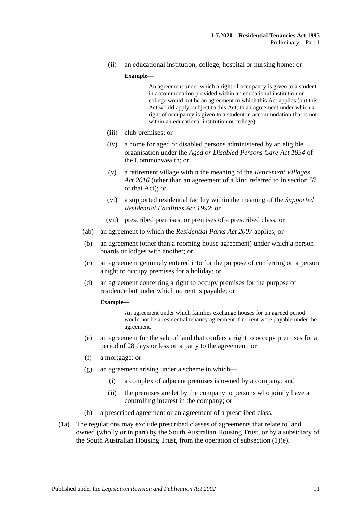(ii) an educational institution, college, hospital or nursing home; or

#### **Example—**

An agreement under which a right of occupancy is given to a student in accommodation provided within an educational institution or college would not be an agreement to which this Act applies (but this Act would apply, subject to this Act, to an agreement under which a right of occupancy is given to a student in accommodation that is not within an educational institution or college).

- (iii) club premises; or
- (iv) a home for aged or disabled persons administered by an eligible organisation under the *Aged or Disabled Persons Care Act 1954* of the Commonwealth; or
- (v) a retirement village within the meaning of the *[Retirement Villages](http://www.legislation.sa.gov.au/index.aspx?action=legref&type=act&legtitle=Retirement%20Villages%20Act%202016)  Act [2016](http://www.legislation.sa.gov.au/index.aspx?action=legref&type=act&legtitle=Retirement%20Villages%20Act%202016)* (other than an agreement of a kind referred to in section 57 of that Act); or
- (vi) a supported residential facility within the meaning of the *[Supported](http://www.legislation.sa.gov.au/index.aspx?action=legref&type=act&legtitle=Supported%20Residential%20Facilities%20Act%201992)  [Residential Facilities Act](http://www.legislation.sa.gov.au/index.aspx?action=legref&type=act&legtitle=Supported%20Residential%20Facilities%20Act%201992) 1992*; or
- (vii) prescribed premises, or premises of a prescribed class; or
- (ab) an agreement to which the *[Residential Parks Act](http://www.legislation.sa.gov.au/index.aspx?action=legref&type=act&legtitle=Residential%20Parks%20Act%202007) 2007* applies; or
- (b) an agreement (other than a rooming house agreement) under which a person boards or lodges with another; or
- <span id="page-10-1"></span>(c) an agreement genuinely entered into for the purpose of conferring on a person a right to occupy premises for a holiday; or
- (d) an agreement conferring a right to occupy premises for the purpose of residence but under which no rent is payable; or

#### **Example—**

An agreement under which families exchange houses for an agreed period would not be a residential tenancy agreement if no rent were payable under the agreement.

- <span id="page-10-0"></span>(e) an agreement for the sale of land that confers a right to occupy premises for a period of 28 days or less on a party to the agreement; or
- (f) a mortgage; or
- (g) an agreement arising under a scheme in which—
	- (i) a complex of adjacent premises is owned by a company; and
	- (ii) the premises are let by the company to persons who jointly have a controlling interest in the company; or
- (h) a prescribed agreement or an agreement of a prescribed class.
- (1a) The regulations may exclude prescribed classes of agreements that relate to land owned (wholly or in part) by the South Australian Housing Trust, or by a subsidiary of the South Australian Housing Trust, from the operation of [subsection](#page-10-0) (1)(e).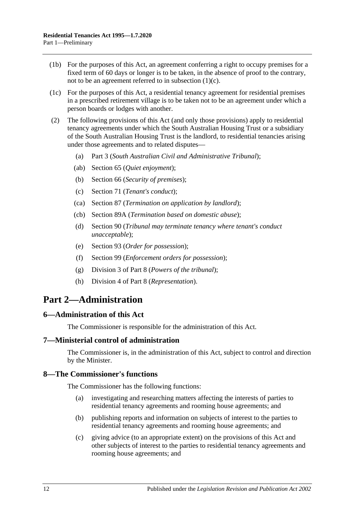- (1b) For the purposes of this Act, an agreement conferring a right to occupy premises for a fixed term of 60 days or longer is to be taken, in the absence of proof to the contrary, not to be an agreement referred to in [subsection](#page-10-1)  $(1)(c)$ .
- (1c) For the purposes of this Act, a residential tenancy agreement for residential premises in a prescribed retirement village is to be taken not to be an agreement under which a person boards or lodges with another.
- (2) The following provisions of this Act (and only those provisions) apply to residential tenancy agreements under which the South Australian Housing Trust or a subsidiary of the South Australian Housing Trust is the landlord, to residential tenancies arising under those agreements and to related disputes—
	- (a) [Part 3](#page-12-1) (*South Australian Civil and Administrative Tribunal*);
	- (ab) [Section](#page-25-2) 65 (*Quiet enjoyment*);
	- (b) [Section](#page-26-1) 66 (*Security of premises*);
	- (c) [Section](#page-28-2) 71 (*Tenant's conduct*);
	- (ca) [Section](#page-41-1) 87 (*Termination on application by landlord*);
	- (cb) [Section](#page-42-1) 89A (*Termination based on domestic abuse*);
	- (d) [Section](#page-44-0) 90 (*Tribunal may terminate tenancy where tenant's conduct unacceptable*);
	- (e) [Section](#page-47-1) 93 (*Order for possession*);
	- (f) [Section](#page-50-2) 99 (*Enforcement orders for possession*);
	- (g) [Division 3](#page-75-4) of [Part 8](#page-74-0) (*Powers of the tribunal*);
	- (h) [Division 4](#page-77-0) of [Part 8](#page-74-0) (*Representation*).

# <span id="page-11-0"></span>**Part 2—Administration**

### <span id="page-11-1"></span>**6—Administration of this Act**

The Commissioner is responsible for the administration of this Act.

#### <span id="page-11-2"></span>**7—Ministerial control of administration**

The Commissioner is, in the administration of this Act, subject to control and direction by the Minister.

#### <span id="page-11-3"></span>**8—The Commissioner's functions**

The Commissioner has the following functions:

- (a) investigating and researching matters affecting the interests of parties to residential tenancy agreements and rooming house agreements; and
- (b) publishing reports and information on subjects of interest to the parties to residential tenancy agreements and rooming house agreements; and
- (c) giving advice (to an appropriate extent) on the provisions of this Act and other subjects of interest to the parties to residential tenancy agreements and rooming house agreements; and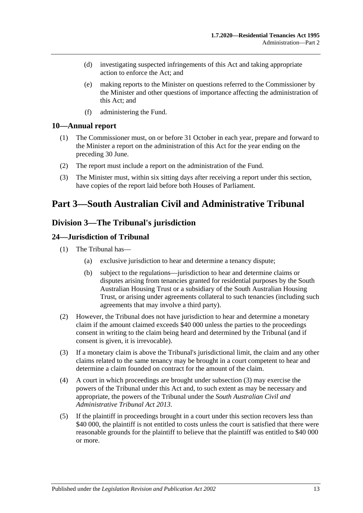- (d) investigating suspected infringements of this Act and taking appropriate action to enforce the Act; and
- (e) making reports to the Minister on questions referred to the Commissioner by the Minister and other questions of importance affecting the administration of this Act; and
- (f) administering the Fund.

### <span id="page-12-0"></span>**10—Annual report**

- (1) The Commissioner must, on or before 31 October in each year, prepare and forward to the Minister a report on the administration of this Act for the year ending on the preceding 30 June.
- (2) The report must include a report on the administration of the Fund.
- (3) The Minister must, within six sitting days after receiving a report under this section, have copies of the report laid before both Houses of Parliament.

# <span id="page-12-1"></span>**Part 3—South Australian Civil and Administrative Tribunal**

## <span id="page-12-2"></span>**Division 3—The Tribunal's jurisdiction**

### <span id="page-12-3"></span>**24—Jurisdiction of Tribunal**

- (1) The Tribunal has—
	- (a) exclusive jurisdiction to hear and determine a tenancy dispute;
	- (b) subject to the regulations—jurisdiction to hear and determine claims or disputes arising from tenancies granted for residential purposes by the South Australian Housing Trust or a subsidiary of the South Australian Housing Trust, or arising under agreements collateral to such tenancies (including such agreements that may involve a third party).
- (2) However, the Tribunal does not have jurisdiction to hear and determine a monetary claim if the amount claimed exceeds \$40 000 unless the parties to the proceedings consent in writing to the claim being heard and determined by the Tribunal (and if consent is given, it is irrevocable).
- <span id="page-12-4"></span>(3) If a monetary claim is above the Tribunal's jurisdictional limit, the claim and any other claims related to the same tenancy may be brought in a court competent to hear and determine a claim founded on contract for the amount of the claim.
- (4) A court in which proceedings are brought under [subsection](#page-12-4) (3) may exercise the powers of the Tribunal under this Act and, to such extent as may be necessary and appropriate, the powers of the Tribunal under the *[South Australian Civil and](http://www.legislation.sa.gov.au/index.aspx?action=legref&type=act&legtitle=South%20Australian%20Civil%20and%20Administrative%20Tribunal%20Act%202013)  [Administrative Tribunal Act](http://www.legislation.sa.gov.au/index.aspx?action=legref&type=act&legtitle=South%20Australian%20Civil%20and%20Administrative%20Tribunal%20Act%202013) 2013*.
- (5) If the plaintiff in proceedings brought in a court under this section recovers less than \$40 000, the plaintiff is not entitled to costs unless the court is satisfied that there were reasonable grounds for the plaintiff to believe that the plaintiff was entitled to \$40 000 or more.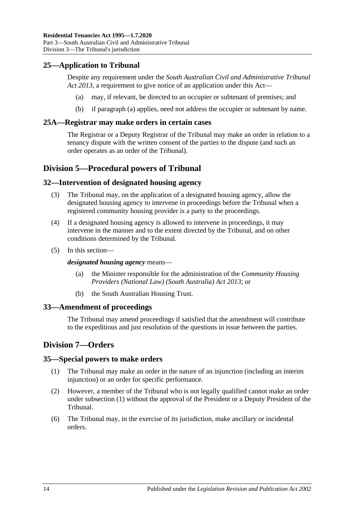### <span id="page-13-7"></span><span id="page-13-0"></span>**25—Application to Tribunal**

Despite any requirement under the *[South Australian Civil and Administrative Tribunal](http://www.legislation.sa.gov.au/index.aspx?action=legref&type=act&legtitle=South%20Australian%20Civil%20and%20Administrative%20Tribunal%20Act%202013)  Act [2013](http://www.legislation.sa.gov.au/index.aspx?action=legref&type=act&legtitle=South%20Australian%20Civil%20and%20Administrative%20Tribunal%20Act%202013)*, a requirement to give notice of an application under this Act—

- (a) may, if relevant, be directed to an occupier or subtenant of premises; and
- (b) if [paragraph](#page-13-7) (a) applies, need not address the occupier or subtenant by name.

### <span id="page-13-1"></span>**25A—Registrar may make orders in certain cases**

The Registrar or a Deputy Registrar of the Tribunal may make an order in relation to a tenancy dispute with the written consent of the parties to the dispute (and such an order operates as an order of the Tribunal).

## <span id="page-13-2"></span>**Division 5—Procedural powers of Tribunal**

### <span id="page-13-3"></span>**32—Intervention of designated housing agency**

- (3) The Tribunal may, on the application of a designated housing agency, allow the designated housing agency to intervene in proceedings before the Tribunal when a registered community housing provider is a party to the proceedings.
- (4) If a designated housing agency is allowed to intervene in proceedings, it may intervene in the manner and to the extent directed by the Tribunal, and on other conditions determined by the Tribunal.
- (5) In this section—

*designated housing agency* means—

- (a) the Minister responsible for the administration of the *[Community Housing](http://www.legislation.sa.gov.au/index.aspx?action=legref&type=act&legtitle=Community%20Housing%20Providers%20(National%20Law)%20(South%20Australia)%20Act%202013)  [Providers \(National Law\) \(South Australia\) Act](http://www.legislation.sa.gov.au/index.aspx?action=legref&type=act&legtitle=Community%20Housing%20Providers%20(National%20Law)%20(South%20Australia)%20Act%202013) 2013*; or
- (b) the South Australian Housing Trust.

### <span id="page-13-4"></span>**33—Amendment of proceedings**

The Tribunal may amend proceedings if satisfied that the amendment will contribute to the expeditious and just resolution of the questions in issue between the parties.

### <span id="page-13-5"></span>**Division 7—Orders**

### <span id="page-13-8"></span><span id="page-13-6"></span>**35—Special powers to make orders**

- (1) The Tribunal may make an order in the nature of an injunction (including an interim injunction) or an order for specific performance.
- (2) However, a member of the Tribunal who is not legally qualified cannot make an order under [subsection](#page-13-8) (1) without the approval of the President or a Deputy President of the Tribunal.
- (6) The Tribunal may, in the exercise of its jurisdiction, make ancillary or incidental orders.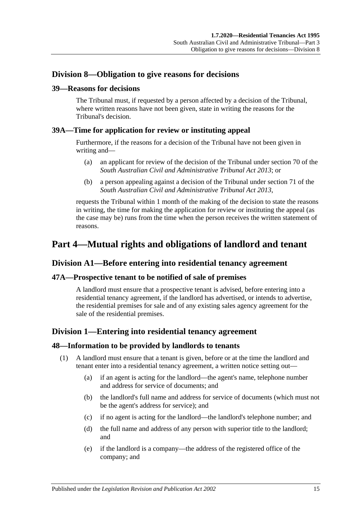### <span id="page-14-0"></span>**Division 8—Obligation to give reasons for decisions**

### <span id="page-14-1"></span>**39—Reasons for decisions**

The Tribunal must, if requested by a person affected by a decision of the Tribunal, where written reasons have not been given, state in writing the reasons for the Tribunal's decision.

### <span id="page-14-2"></span>**39A—Time for application for review or instituting appeal**

Furthermore, if the reasons for a decision of the Tribunal have not been given in writing and—

- (a) an applicant for review of the decision of the Tribunal under section 70 of the *[South Australian Civil and Administrative Tribunal Act](http://www.legislation.sa.gov.au/index.aspx?action=legref&type=act&legtitle=South%20Australian%20Civil%20and%20Administrative%20Tribunal%20Act%202013) 2013*; or
- (b) a person appealing against a decision of the Tribunal under section 71 of the *[South Australian Civil and Administrative Tribunal Act](http://www.legislation.sa.gov.au/index.aspx?action=legref&type=act&legtitle=South%20Australian%20Civil%20and%20Administrative%20Tribunal%20Act%202013) 2013*,

requests the Tribunal within 1 month of the making of the decision to state the reasons in writing, the time for making the application for review or instituting the appeal (as the case may be) runs from the time when the person receives the written statement of reasons.

# <span id="page-14-3"></span>**Part 4—Mutual rights and obligations of landlord and tenant**

### <span id="page-14-4"></span>**Division A1—Before entering into residential tenancy agreement**

### <span id="page-14-5"></span>**47A—Prospective tenant to be notified of sale of premises**

A landlord must ensure that a prospective tenant is advised, before entering into a residential tenancy agreement, if the landlord has advertised, or intends to advertise, the residential premises for sale and of any existing sales agency agreement for the sale of the residential premises.

### <span id="page-14-6"></span>**Division 1—Entering into residential tenancy agreement**

### <span id="page-14-7"></span>**48—Information to be provided by landlords to tenants**

- (1) A landlord must ensure that a tenant is given, before or at the time the landlord and tenant enter into a residential tenancy agreement, a written notice setting out—
	- (a) if an agent is acting for the landlord—the agent's name, telephone number and address for service of documents; and
	- (b) the landlord's full name and address for service of documents (which must not be the agent's address for service); and
	- (c) if no agent is acting for the landlord—the landlord's telephone number; and
	- (d) the full name and address of any person with superior title to the landlord; and
	- (e) if the landlord is a company—the address of the registered office of the company; and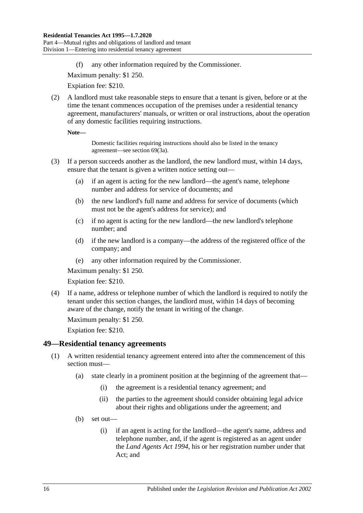(f) any other information required by the Commissioner.

Maximum penalty: \$1 250.

Expiation fee: \$210.

<span id="page-15-2"></span>(2) A landlord must take reasonable steps to ensure that a tenant is given, before or at the time the tenant commences occupation of the premises under a residential tenancy agreement, manufacturers' manuals, or written or oral instructions, about the operation of any domestic facilities requiring instructions.

**Note—**

Domestic facilities requiring instructions should also be listed in the tenancy agreement—see [section](#page-28-3) 69(3a).

- (3) If a person succeeds another as the landlord, the new landlord must, within 14 days, ensure that the tenant is given a written notice setting out—
	- (a) if an agent is acting for the new landlord—the agent's name, telephone number and address for service of documents; and
	- (b) the new landlord's full name and address for service of documents (which must not be the agent's address for service); and
	- (c) if no agent is acting for the new landlord—the new landlord's telephone number; and
	- (d) if the new landlord is a company—the address of the registered office of the company; and
	- (e) any other information required by the Commissioner.

Maximum penalty: \$1 250.

Expiation fee: \$210.

(4) If a name, address or telephone number of which the landlord is required to notify the tenant under this section changes, the landlord must, within 14 days of becoming aware of the change, notify the tenant in writing of the change.

Maximum penalty: \$1 250.

Expiation fee: \$210.

#### <span id="page-15-1"></span><span id="page-15-0"></span>**49—Residential tenancy agreements**

- (1) A written residential tenancy agreement entered into after the commencement of this section must—
	- (a) state clearly in a prominent position at the beginning of the agreement that—
		- (i) the agreement is a residential tenancy agreement; and
		- (ii) the parties to the agreement should consider obtaining legal advice about their rights and obligations under the agreement; and
	- (b) set out—
		- (i) if an agent is acting for the landlord—the agent's name, address and telephone number, and, if the agent is registered as an agent under the *[Land Agents Act](http://www.legislation.sa.gov.au/index.aspx?action=legref&type=act&legtitle=Land%20Agents%20Act%201994) 1994*, his or her registration number under that Act; and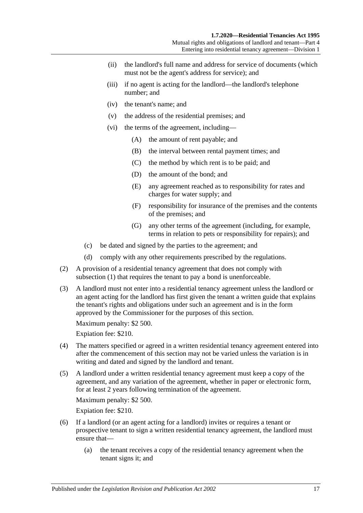- (ii) the landlord's full name and address for service of documents (which must not be the agent's address for service); and
- (iii) if no agent is acting for the landlord—the landlord's telephone number; and
- (iv) the tenant's name; and
- (v) the address of the residential premises; and
- (vi) the terms of the agreement, including—
	- (A) the amount of rent payable; and
	- (B) the interval between rental payment times; and
	- (C) the method by which rent is to be paid; and
	- (D) the amount of the bond; and
	- (E) any agreement reached as to responsibility for rates and charges for water supply; and
	- (F) responsibility for insurance of the premises and the contents of the premises; and
	- (G) any other terms of the agreement (including, for example, terms in relation to pets or responsibility for repairs); and
- (c) be dated and signed by the parties to the agreement; and
- (d) comply with any other requirements prescribed by the regulations.
- <span id="page-16-0"></span>(2) A provision of a residential tenancy agreement that does not comply with [subsection](#page-15-1) (1) that requires the tenant to pay a bond is unenforceable.
- (3) A landlord must not enter into a residential tenancy agreement unless the landlord or an agent acting for the landlord has first given the tenant a written guide that explains the tenant's rights and obligations under such an agreement and is in the form approved by the Commissioner for the purposes of this section.

Maximum penalty: \$2 500.

Expiation fee: \$210.

- (4) The matters specified or agreed in a written residential tenancy agreement entered into after the commencement of this section may not be varied unless the variation is in writing and dated and signed by the landlord and tenant.
- (5) A landlord under a written residential tenancy agreement must keep a copy of the agreement, and any variation of the agreement, whether in paper or electronic form, for at least 2 years following termination of the agreement.

Maximum penalty: \$2 500.

Expiation fee: \$210.

- (6) If a landlord (or an agent acting for a landlord) invites or requires a tenant or prospective tenant to sign a written residential tenancy agreement, the landlord must ensure that—
	- (a) the tenant receives a copy of the residential tenancy agreement when the tenant signs it; and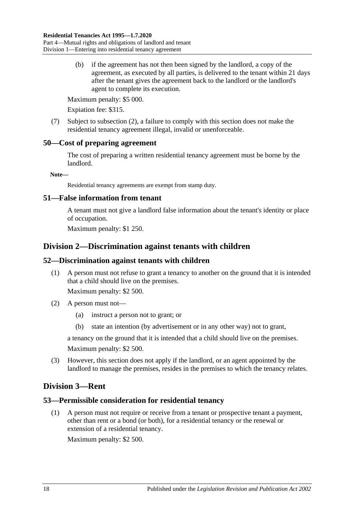(b) if the agreement has not then been signed by the landlord, a copy of the agreement, as executed by all parties, is delivered to the tenant within 21 days after the tenant gives the agreement back to the landlord or the landlord's agent to complete its execution.

Maximum penalty: \$5 000.

Expiation fee: \$315.

(7) Subject to [subsection](#page-16-0) (2), a failure to comply with this section does not make the residential tenancy agreement illegal, invalid or unenforceable.

### <span id="page-17-0"></span>**50—Cost of preparing agreement**

The cost of preparing a written residential tenancy agreement must be borne by the landlord.

**Note—**

Residential tenancy agreements are exempt from stamp duty.

### <span id="page-17-1"></span>**51—False information from tenant**

A tenant must not give a landlord false information about the tenant's identity or place of occupation.

Maximum penalty: \$1 250.

## <span id="page-17-2"></span>**Division 2—Discrimination against tenants with children**

### <span id="page-17-3"></span>**52—Discrimination against tenants with children**

(1) A person must not refuse to grant a tenancy to another on the ground that it is intended that a child should live on the premises.

Maximum penalty: \$2 500.

- (2) A person must not—
	- (a) instruct a person not to grant; or
	- (b) state an intention (by advertisement or in any other way) not to grant,

a tenancy on the ground that it is intended that a child should live on the premises. Maximum penalty: \$2 500.

(3) However, this section does not apply if the landlord, or an agent appointed by the landlord to manage the premises, resides in the premises to which the tenancy relates.

## <span id="page-17-4"></span>**Division 3—Rent**

### <span id="page-17-5"></span>**53—Permissible consideration for residential tenancy**

(1) A person must not require or receive from a tenant or prospective tenant a payment, other than rent or a bond (or both), for a residential tenancy or the renewal or extension of a residential tenancy.

Maximum penalty: \$2 500.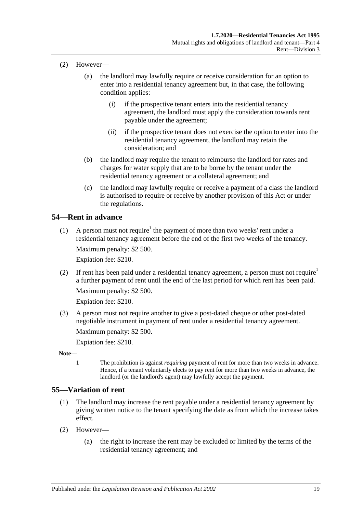- (2) However—
	- (a) the landlord may lawfully require or receive consideration for an option to enter into a residential tenancy agreement but, in that case, the following condition applies:
		- (i) if the prospective tenant enters into the residential tenancy agreement, the landlord must apply the consideration towards rent payable under the agreement;
		- (ii) if the prospective tenant does not exercise the option to enter into the residential tenancy agreement, the landlord may retain the consideration; and
	- (b) the landlord may require the tenant to reimburse the landlord for rates and charges for water supply that are to be borne by the tenant under the residential tenancy agreement or a collateral agreement; and
	- (c) the landlord may lawfully require or receive a payment of a class the landlord is authorised to require or receive by another provision of this Act or under the regulations.

### <span id="page-18-0"></span>**54—Rent in advance**

(1) A person must not require<sup>1</sup> the payment of more than two weeks' rent under a residential tenancy agreement before the end of the first two weeks of the tenancy.

Maximum penalty: \$2 500.

Expiation fee: \$210.

(2) If rent has been paid under a residential tenancy agreement, a person must not require<sup>1</sup> a further payment of rent until the end of the last period for which rent has been paid. Maximum penalty: \$2 500.

Expiation fee: \$210.

(3) A person must not require another to give a post-dated cheque or other post-dated negotiable instrument in payment of rent under a residential tenancy agreement.

Maximum penalty: \$2 500.

Expiation fee: \$210.

- **Note—**
	- 1 The prohibition is against *requiring* payment of rent for more than two weeks in advance. Hence, if a tenant voluntarily elects to pay rent for more than two weeks in advance, the landlord (or the landlord's agent) may lawfully accept the payment.

### <span id="page-18-2"></span><span id="page-18-1"></span>**55—Variation of rent**

- (1) The landlord may increase the rent payable under a residential tenancy agreement by giving written notice to the tenant specifying the date as from which the increase takes effect.
- (2) However—
	- (a) the right to increase the rent may be excluded or limited by the terms of the residential tenancy agreement; and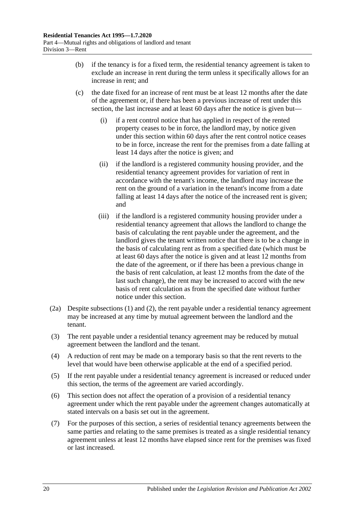- (b) if the tenancy is for a fixed term, the residential tenancy agreement is taken to exclude an increase in rent during the term unless it specifically allows for an increase in rent; and
- (c) the date fixed for an increase of rent must be at least 12 months after the date of the agreement or, if there has been a previous increase of rent under this section, the last increase and at least 60 days after the notice is given but—
	- (i) if a rent control notice that has applied in respect of the rented property ceases to be in force, the landlord may, by notice given under this section within 60 days after the rent control notice ceases to be in force, increase the rent for the premises from a date falling at least 14 days after the notice is given; and
	- (ii) if the landlord is a registered community housing provider, and the residential tenancy agreement provides for variation of rent in accordance with the tenant's income, the landlord may increase the rent on the ground of a variation in the tenant's income from a date falling at least 14 days after the notice of the increased rent is given; and
	- (iii) if the landlord is a registered community housing provider under a residential tenancy agreement that allows the landlord to change the basis of calculating the rent payable under the agreement, and the landlord gives the tenant written notice that there is to be a change in the basis of calculating rent as from a specified date (which must be at least 60 days after the notice is given and at least 12 months from the date of the agreement, or if there has been a previous change in the basis of rent calculation, at least 12 months from the date of the last such change), the rent may be increased to accord with the new basis of rent calculation as from the specified date without further notice under this section.
- <span id="page-19-0"></span>(2a) Despite [subsections](#page-18-2) (1) and [\(2\),](#page-20-2) the rent payable under a residential tenancy agreement may be increased at any time by mutual agreement between the landlord and the tenant.
- (3) The rent payable under a residential tenancy agreement may be reduced by mutual agreement between the landlord and the tenant.
- (4) A reduction of rent may be made on a temporary basis so that the rent reverts to the level that would have been otherwise applicable at the end of a specified period.
- (5) If the rent payable under a residential tenancy agreement is increased or reduced under this section, the terms of the agreement are varied accordingly.
- (6) This section does not affect the operation of a provision of a residential tenancy agreement under which the rent payable under the agreement changes automatically at stated intervals on a basis set out in the agreement.
- (7) For the purposes of this section, a series of residential tenancy agreements between the same parties and relating to the same premises is treated as a single residential tenancy agreement unless at least 12 months have elapsed since rent for the premises was fixed or last increased.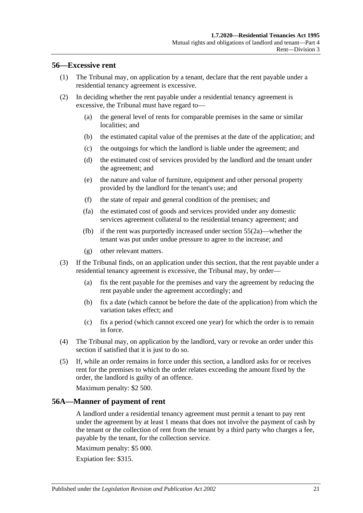### <span id="page-20-0"></span>**56—Excessive rent**

- (1) The Tribunal may, on application by a tenant, declare that the rent payable under a residential tenancy agreement is excessive.
- <span id="page-20-2"></span>(2) In deciding whether the rent payable under a residential tenancy agreement is excessive, the Tribunal must have regard to—
	- (a) the general level of rents for comparable premises in the same or similar localities; and
	- (b) the estimated capital value of the premises at the date of the application; and
	- (c) the outgoings for which the landlord is liable under the agreement; and
	- (d) the estimated cost of services provided by the landlord and the tenant under the agreement; and
	- (e) the nature and value of furniture, equipment and other personal property provided by the landlord for the tenant's use; and
	- (f) the state of repair and general condition of the premises; and
	- (fa) the estimated cost of goods and services provided under any domestic services agreement collateral to the residential tenancy agreement; and
	- (fb) if the rent was purportedly increased under [section](#page-19-0) 55(2a)—whether the tenant was put under undue pressure to agree to the increase; and
	- (g) other relevant matters.
- (3) If the Tribunal finds, on an application under this section, that the rent payable under a residential tenancy agreement is excessive, the Tribunal may, by order—
	- (a) fix the rent payable for the premises and vary the agreement by reducing the rent payable under the agreement accordingly; and
	- (b) fix a date (which cannot be before the date of the application) from which the variation takes effect; and
	- (c) fix a period (which cannot exceed one year) for which the order is to remain in force.
- (4) The Tribunal may, on application by the landlord, vary or revoke an order under this section if satisfied that it is just to do so.
- (5) If, while an order remains in force under this section, a landlord asks for or receives rent for the premises to which the order relates exceeding the amount fixed by the order, the landlord is guilty of an offence.

Maximum penalty: \$2 500.

### <span id="page-20-1"></span>**56A—Manner of payment of rent**

A landlord under a residential tenancy agreement must permit a tenant to pay rent under the agreement by at least 1 means that does not involve the payment of cash by the tenant or the collection of rent from the tenant by a third party who charges a fee, payable by the tenant, for the collection service.

Maximum penalty: \$5 000.

Expiation fee: \$315.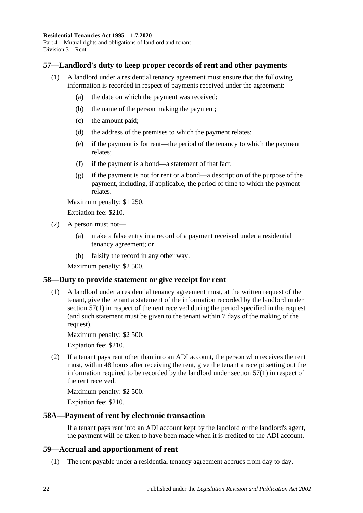### <span id="page-21-4"></span><span id="page-21-0"></span>**57—Landlord's duty to keep proper records of rent and other payments**

- (1) A landlord under a residential tenancy agreement must ensure that the following information is recorded in respect of payments received under the agreement:
	- (a) the date on which the payment was received;
	- (b) the name of the person making the payment;
	- (c) the amount paid;
	- (d) the address of the premises to which the payment relates;
	- (e) if the payment is for rent—the period of the tenancy to which the payment relates;
	- (f) if the payment is a bond—a statement of that fact;
	- (g) if the payment is not for rent or a bond—a description of the purpose of the payment, including, if applicable, the period of time to which the payment relates.

Maximum penalty: \$1 250.

Expiation fee: \$210.

- (2) A person must not—
	- (a) make a false entry in a record of a payment received under a residential tenancy agreement; or
	- (b) falsify the record in any other way.

Maximum penalty: \$2 500.

### <span id="page-21-1"></span>**58—Duty to provide statement or give receipt for rent**

(1) A landlord under a residential tenancy agreement must, at the written request of the tenant, give the tenant a statement of the information recorded by the landlord under [section](#page-21-4) 57(1) in respect of the rent received during the period specified in the request (and such statement must be given to the tenant within 7 days of the making of the request).

Maximum penalty: \$2 500.

Expiation fee: \$210.

(2) If a tenant pays rent other than into an ADI account, the person who receives the rent must, within 48 hours after receiving the rent, give the tenant a receipt setting out the information required to be recorded by the landlord under [section](#page-21-4) 57(1) in respect of the rent received.

Maximum penalty: \$2 500.

Expiation fee: \$210.

#### <span id="page-21-2"></span>**58A—Payment of rent by electronic transaction**

If a tenant pays rent into an ADI account kept by the landlord or the landlord's agent, the payment will be taken to have been made when it is credited to the ADI account.

#### <span id="page-21-3"></span>**59—Accrual and apportionment of rent**

(1) The rent payable under a residential tenancy agreement accrues from day to day.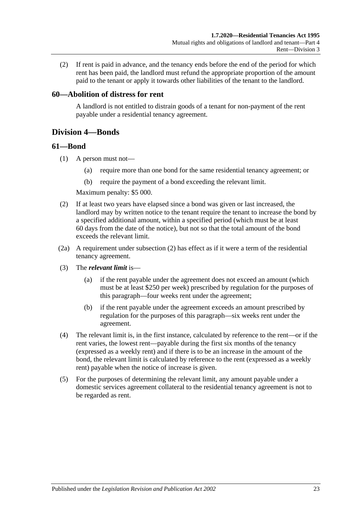(2) If rent is paid in advance, and the tenancy ends before the end of the period for which rent has been paid, the landlord must refund the appropriate proportion of the amount paid to the tenant or apply it towards other liabilities of the tenant to the landlord.

### <span id="page-22-0"></span>**60—Abolition of distress for rent**

A landlord is not entitled to distrain goods of a tenant for non-payment of the rent payable under a residential tenancy agreement.

## <span id="page-22-1"></span>**Division 4—Bonds**

#### <span id="page-22-2"></span>**61—Bond**

- (1) A person must not—
	- (a) require more than one bond for the same residential tenancy agreement; or
	- (b) require the payment of a bond exceeding the relevant limit.

Maximum penalty: \$5 000.

- <span id="page-22-3"></span>(2) If at least two years have elapsed since a bond was given or last increased, the landlord may by written notice to the tenant require the tenant to increase the bond by a specified additional amount, within a specified period (which must be at least 60 days from the date of the notice), but not so that the total amount of the bond exceeds the relevant limit.
- (2a) A requirement under [subsection](#page-22-3) (2) has effect as if it were a term of the residential tenancy agreement.
- (3) The *relevant limit* is—
	- (a) if the rent payable under the agreement does not exceed an amount (which must be at least \$250 per week) prescribed by regulation for the purposes of this paragraph—four weeks rent under the agreement;
	- (b) if the rent payable under the agreement exceeds an amount prescribed by regulation for the purposes of this paragraph—six weeks rent under the agreement.
- (4) The relevant limit is, in the first instance, calculated by reference to the rent—or if the rent varies, the lowest rent—payable during the first six months of the tenancy (expressed as a weekly rent) and if there is to be an increase in the amount of the bond, the relevant limit is calculated by reference to the rent (expressed as a weekly rent) payable when the notice of increase is given.
- (5) For the purposes of determining the relevant limit, any amount payable under a domestic services agreement collateral to the residential tenancy agreement is not to be regarded as rent.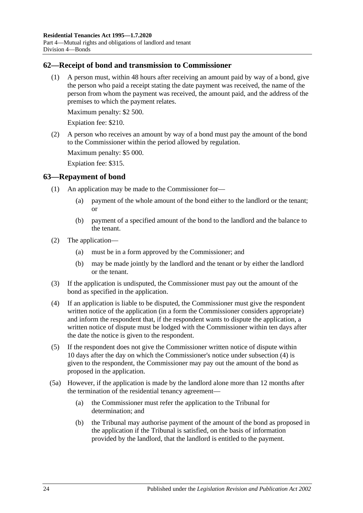### <span id="page-23-0"></span>**62—Receipt of bond and transmission to Commissioner**

(1) A person must, within 48 hours after receiving an amount paid by way of a bond, give the person who paid a receipt stating the date payment was received, the name of the person from whom the payment was received, the amount paid, and the address of the premises to which the payment relates.

Maximum penalty: \$2 500.

Expiation fee: \$210.

(2) A person who receives an amount by way of a bond must pay the amount of the bond to the Commissioner within the period allowed by regulation.

Maximum penalty: \$5 000.

Expiation fee: \$315.

### <span id="page-23-1"></span>**63—Repayment of bond**

- (1) An application may be made to the Commissioner for—
	- (a) payment of the whole amount of the bond either to the landlord or the tenant; or
	- (b) payment of a specified amount of the bond to the landlord and the balance to the tenant.
- (2) The application—
	- (a) must be in a form approved by the Commissioner; and
	- (b) may be made jointly by the landlord and the tenant or by either the landlord or the tenant.
- (3) If the application is undisputed, the Commissioner must pay out the amount of the bond as specified in the application.
- <span id="page-23-2"></span>(4) If an application is liable to be disputed, the Commissioner must give the respondent written notice of the application (in a form the Commissioner considers appropriate) and inform the respondent that, if the respondent wants to dispute the application, a written notice of dispute must be lodged with the Commissioner within ten days after the date the notice is given to the respondent.
- <span id="page-23-3"></span>(5) If the respondent does not give the Commissioner written notice of dispute within 10 days after the day on which the Commissioner's notice under [subsection](#page-23-2) (4) is given to the respondent, the Commissioner may pay out the amount of the bond as proposed in the application.
- (5a) However, if the application is made by the landlord alone more than 12 months after the termination of the residential tenancy agreement—
	- (a) the Commissioner must refer the application to the Tribunal for determination; and
	- (b) the Tribunal may authorise payment of the amount of the bond as proposed in the application if the Tribunal is satisfied, on the basis of information provided by the landlord, that the landlord is entitled to the payment.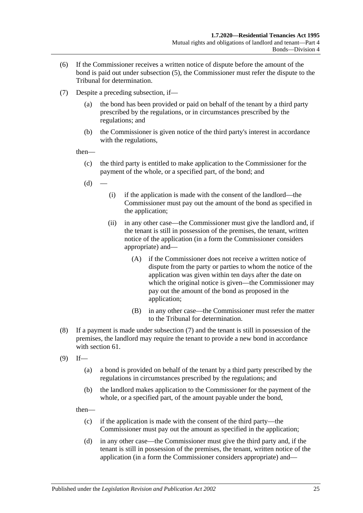- (6) If the Commissioner receives a written notice of dispute before the amount of the bond is paid out under [subsection](#page-23-3) (5), the Commissioner must refer the dispute to the Tribunal for determination.
- <span id="page-24-0"></span>(7) Despite a preceding subsection, if—
	- (a) the bond has been provided or paid on behalf of the tenant by a third party prescribed by the regulations, or in circumstances prescribed by the regulations; and
	- (b) the Commissioner is given notice of the third party's interest in accordance with the regulations,

then—

- (c) the third party is entitled to make application to the Commissioner for the payment of the whole, or a specified part, of the bond; and
- $(d)$
- (i) if the application is made with the consent of the landlord—the Commissioner must pay out the amount of the bond as specified in the application;
- (ii) in any other case—the Commissioner must give the landlord and, if the tenant is still in possession of the premises, the tenant, written notice of the application (in a form the Commissioner considers appropriate) and—
	- (A) if the Commissioner does not receive a written notice of dispute from the party or parties to whom the notice of the application was given within ten days after the date on which the original notice is given—the Commissioner may pay out the amount of the bond as proposed in the application;
	- (B) in any other case—the Commissioner must refer the matter to the Tribunal for determination.
- (8) If a payment is made under [subsection](#page-24-0) (7) and the tenant is still in possession of the premises, the landlord may require the tenant to provide a new bond in accordance with [section](#page-22-2) 61.
- <span id="page-24-1"></span> $(9)$  If—
	- (a) a bond is provided on behalf of the tenant by a third party prescribed by the regulations in circumstances prescribed by the regulations; and
	- (b) the landlord makes application to the Commissioner for the payment of the whole, or a specified part, of the amount payable under the bond,

then—

- (c) if the application is made with the consent of the third party—the Commissioner must pay out the amount as specified in the application;
- (d) in any other case—the Commissioner must give the third party and, if the tenant is still in possession of the premises, the tenant, written notice of the application (in a form the Commissioner considers appropriate) and—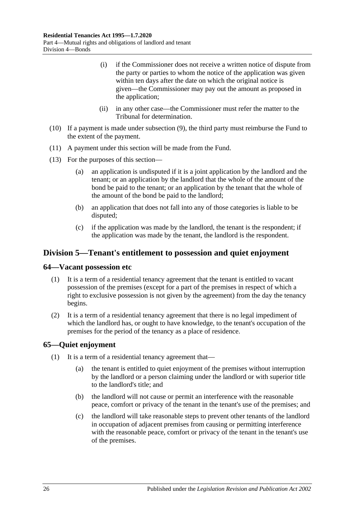- (i) if the Commissioner does not receive a written notice of dispute from the party or parties to whom the notice of the application was given within ten days after the date on which the original notice is given—the Commissioner may pay out the amount as proposed in the application;
- (ii) in any other case—the Commissioner must refer the matter to the Tribunal for determination.
- (10) If a payment is made under [subsection](#page-24-1) (9), the third party must reimburse the Fund to the extent of the payment.
- (11) A payment under this section will be made from the Fund.
- (13) For the purposes of this section—
	- (a) an application is undisputed if it is a joint application by the landlord and the tenant; or an application by the landlord that the whole of the amount of the bond be paid to the tenant; or an application by the tenant that the whole of the amount of the bond be paid to the landlord;
	- (b) an application that does not fall into any of those categories is liable to be disputed;
	- (c) if the application was made by the landlord, the tenant is the respondent; if the application was made by the tenant, the landlord is the respondent.

### <span id="page-25-0"></span>**Division 5—Tenant's entitlement to possession and quiet enjoyment**

#### <span id="page-25-1"></span>**64—Vacant possession etc**

- (1) It is a term of a residential tenancy agreement that the tenant is entitled to vacant possession of the premises (except for a part of the premises in respect of which a right to exclusive possession is not given by the agreement) from the day the tenancy begins.
- (2) It is a term of a residential tenancy agreement that there is no legal impediment of which the landlord has, or ought to have knowledge, to the tenant's occupation of the premises for the period of the tenancy as a place of residence.

### <span id="page-25-2"></span>**65—Quiet enjoyment**

- (1) It is a term of a residential tenancy agreement that—
	- (a) the tenant is entitled to quiet enjoyment of the premises without interruption by the landlord or a person claiming under the landlord or with superior title to the landlord's title; and
	- (b) the landlord will not cause or permit an interference with the reasonable peace, comfort or privacy of the tenant in the tenant's use of the premises; and
	- (c) the landlord will take reasonable steps to prevent other tenants of the landlord in occupation of adjacent premises from causing or permitting interference with the reasonable peace, comfort or privacy of the tenant in the tenant's use of the premises.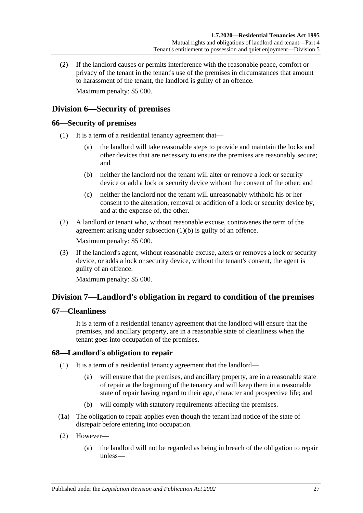(2) If the landlord causes or permits interference with the reasonable peace, comfort or privacy of the tenant in the tenant's use of the premises in circumstances that amount to harassment of the tenant, the landlord is guilty of an offence. Maximum penalty: \$5 000.

## <span id="page-26-0"></span>**Division 6—Security of premises**

### <span id="page-26-1"></span>**66—Security of premises**

- <span id="page-26-5"></span>(1) It is a term of a residential tenancy agreement that—
	- (a) the landlord will take reasonable steps to provide and maintain the locks and other devices that are necessary to ensure the premises are reasonably secure; and
	- (b) neither the landlord nor the tenant will alter or remove a lock or security device or add a lock or security device without the consent of the other; and
	- (c) neither the landlord nor the tenant will unreasonably withhold his or her consent to the alteration, removal or addition of a lock or security device by, and at the expense of, the other.
- (2) A landlord or tenant who, without reasonable excuse, contravenes the term of the agreement arising under [subsection](#page-26-5) (1)(b) is guilty of an offence. Maximum penalty: \$5 000.
- (3) If the landlord's agent, without reasonable excuse, alters or removes a lock or security device, or adds a lock or security device, without the tenant's consent, the agent is guilty of an offence.

Maximum penalty: \$5 000.

### <span id="page-26-2"></span>**Division 7—Landlord's obligation in regard to condition of the premises**

### <span id="page-26-3"></span>**67—Cleanliness**

It is a term of a residential tenancy agreement that the landlord will ensure that the premises, and ancillary property, are in a reasonable state of cleanliness when the tenant goes into occupation of the premises.

### <span id="page-26-6"></span><span id="page-26-4"></span>**68—Landlord's obligation to repair**

- (1) It is a term of a residential tenancy agreement that the landlord—
	- (a) will ensure that the premises, and ancillary property, are in a reasonable state of repair at the beginning of the tenancy and will keep them in a reasonable state of repair having regard to their age, character and prospective life; and
	- (b) will comply with statutory requirements affecting the premises.
- (1a) The obligation to repair applies even though the tenant had notice of the state of disrepair before entering into occupation.
- (2) However—
	- (a) the landlord will not be regarded as being in breach of the obligation to repair unless—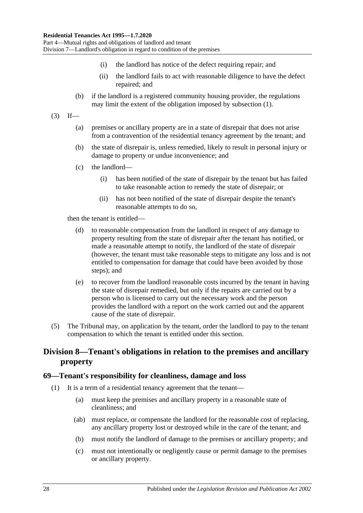- (i) the landlord has notice of the defect requiring repair; and
- (ii) the landlord fails to act with reasonable diligence to have the defect repaired; and
- (b) if the landlord is a registered community housing provider, the regulations may limit the extent of the obligation imposed by [subsection](#page-26-6) (1).
- $(3)$  If—
	- (a) premises or ancillary property are in a state of disrepair that does not arise from a contravention of the residential tenancy agreement by the tenant; and
	- (b) the state of disrepair is, unless remedied, likely to result in personal injury or damage to property or undue inconvenience; and
	- (c) the landlord—
		- (i) has been notified of the state of disrepair by the tenant but has failed to take reasonable action to remedy the state of disrepair; or
		- (ii) has not been notified of the state of disrepair despite the tenant's reasonable attempts to do so,

then the tenant is entitled—

- (d) to reasonable compensation from the landlord in respect of any damage to property resulting from the state of disrepair after the tenant has notified, or made a reasonable attempt to notify, the landlord of the state of disrepair (however, the tenant must take reasonable steps to mitigate any loss and is not entitled to compensation for damage that could have been avoided by those steps); and
- (e) to recover from the landlord reasonable costs incurred by the tenant in having the state of disrepair remedied, but only if the repairs are carried out by a person who is licensed to carry out the necessary work and the person provides the landlord with a report on the work carried out and the apparent cause of the state of disrepair.
- (5) The Tribunal may, on application by the tenant, order the landlord to pay to the tenant compensation to which the tenant is entitled under this section.

## <span id="page-27-0"></span>**Division 8—Tenant's obligations in relation to the premises and ancillary property**

#### <span id="page-27-1"></span>**69—Tenant's responsibility for cleanliness, damage and loss**

- (1) It is a term of a residential tenancy agreement that the tenant—
	- (a) must keep the premises and ancillary property in a reasonable state of cleanliness; and
	- (ab) must replace, or compensate the landlord for the reasonable cost of replacing, any ancillary property lost or destroyed while in the care of the tenant; and
	- (b) must notify the landlord of damage to the premises or ancillary property; and
	- (c) must not intentionally or negligently cause or permit damage to the premises or ancillary property.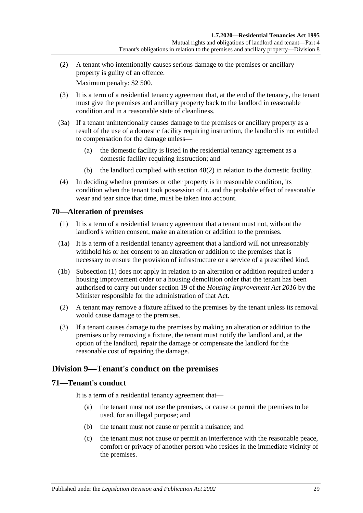(2) A tenant who intentionally causes serious damage to the premises or ancillary property is guilty of an offence.

Maximum penalty: \$2 500.

- (3) It is a term of a residential tenancy agreement that, at the end of the tenancy, the tenant must give the premises and ancillary property back to the landlord in reasonable condition and in a reasonable state of cleanliness.
- <span id="page-28-3"></span>(3a) If a tenant unintentionally causes damage to the premises or ancillary property as a result of the use of a domestic facility requiring instruction, the landlord is not entitled to compensation for the damage unless—
	- (a) the domestic facility is listed in the residential tenancy agreement as a domestic facility requiring instruction; and
	- (b) the landlord complied with [section](#page-15-2) 48(2) in relation to the domestic facility.
- (4) In deciding whether premises or other property is in reasonable condition, its condition when the tenant took possession of it, and the probable effect of reasonable wear and tear since that time, must be taken into account.

### <span id="page-28-4"></span><span id="page-28-0"></span>**70—Alteration of premises**

- (1) It is a term of a residential tenancy agreement that a tenant must not, without the landlord's written consent, make an alteration or addition to the premises.
- (1a) It is a term of a residential tenancy agreement that a landlord will not unreasonably withhold his or her consent to an alteration or addition to the premises that is necessary to ensure the provision of infrastructure or a service of a prescribed kind.
- (1b) [Subsection](#page-28-4) (1) does not apply in relation to an alteration or addition required under a housing improvement order or a housing demolition order that the tenant has been authorised to carry out under section 19 of the *[Housing Improvement Act](http://www.legislation.sa.gov.au/index.aspx?action=legref&type=act&legtitle=Housing%20Improvement%20Act%202016) 2016* by the Minister responsible for the administration of that Act.
- (2) A tenant may remove a fixture affixed to the premises by the tenant unless its removal would cause damage to the premises.
- (3) If a tenant causes damage to the premises by making an alteration or addition to the premises or by removing a fixture, the tenant must notify the landlord and, at the option of the landlord, repair the damage or compensate the landlord for the reasonable cost of repairing the damage.

## <span id="page-28-1"></span>**Division 9—Tenant's conduct on the premises**

### <span id="page-28-2"></span>**71—Tenant's conduct**

It is a term of a residential tenancy agreement that—

- (a) the tenant must not use the premises, or cause or permit the premises to be used, for an illegal purpose; and
- (b) the tenant must not cause or permit a nuisance; and
- (c) the tenant must not cause or permit an interference with the reasonable peace, comfort or privacy of another person who resides in the immediate vicinity of the premises.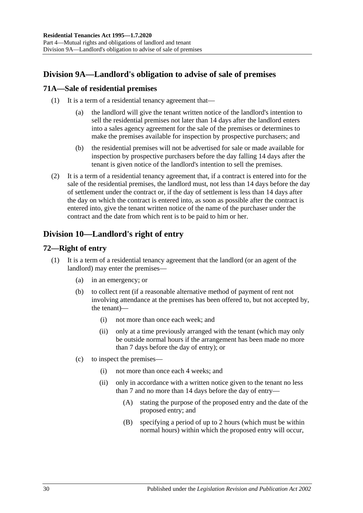# <span id="page-29-0"></span>**Division 9A—Landlord's obligation to advise of sale of premises**

### <span id="page-29-1"></span>**71A—Sale of residential premises**

- (1) It is a term of a residential tenancy agreement that—
	- (a) the landlord will give the tenant written notice of the landlord's intention to sell the residential premises not later than 14 days after the landlord enters into a sales agency agreement for the sale of the premises or determines to make the premises available for inspection by prospective purchasers; and
	- (b) the residential premises will not be advertised for sale or made available for inspection by prospective purchasers before the day falling 14 days after the tenant is given notice of the landlord's intention to sell the premises.
- (2) It is a term of a residential tenancy agreement that, if a contract is entered into for the sale of the residential premises, the landlord must, not less than 14 days before the day of settlement under the contract or, if the day of settlement is less than 14 days after the day on which the contract is entered into, as soon as possible after the contract is entered into, give the tenant written notice of the name of the purchaser under the contract and the date from which rent is to be paid to him or her.

# <span id="page-29-2"></span>**Division 10—Landlord's right of entry**

## <span id="page-29-3"></span>**72—Right of entry**

- <span id="page-29-4"></span>(1) It is a term of a residential tenancy agreement that the landlord (or an agent of the landlord) may enter the premises—
	- (a) in an emergency; or
	- (b) to collect rent (if a reasonable alternative method of payment of rent not involving attendance at the premises has been offered to, but not accepted by, the tenant)—
		- (i) not more than once each week; and
		- (ii) only at a time previously arranged with the tenant (which may only be outside normal hours if the arrangement has been made no more than 7 days before the day of entry); or
	- (c) to inspect the premises—
		- (i) not more than once each 4 weeks; and
		- (ii) only in accordance with a written notice given to the tenant no less than 7 and no more than 14 days before the day of entry—
			- (A) stating the purpose of the proposed entry and the date of the proposed entry; and
			- (B) specifying a period of up to 2 hours (which must be within normal hours) within which the proposed entry will occur,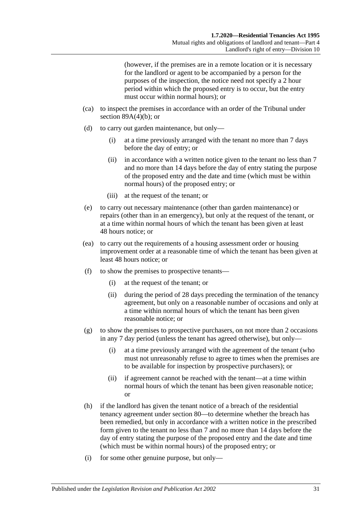(however, if the premises are in a remote location or it is necessary for the landlord or agent to be accompanied by a person for the purposes of the inspection, the notice need not specify a 2 hour period within which the proposed entry is to occur, but the entry must occur within normal hours); or

- (ca) to inspect the premises in accordance with an order of the Tribunal under section  $89A(4)(b)$ ; or
- (d) to carry out garden maintenance, but only—
	- (i) at a time previously arranged with the tenant no more than 7 days before the day of entry; or
	- (ii) in accordance with a written notice given to the tenant no less than 7 and no more than 14 days before the day of entry stating the purpose of the proposed entry and the date and time (which must be within normal hours) of the proposed entry; or
	- (iii) at the request of the tenant; or
- (e) to carry out necessary maintenance (other than garden maintenance) or repairs (other than in an emergency), but only at the request of the tenant, or at a time within normal hours of which the tenant has been given at least 48 hours notice; or
- (ea) to carry out the requirements of a housing assessment order or housing improvement order at a reasonable time of which the tenant has been given at least 48 hours notice; or
- (f) to show the premises to prospective tenants—
	- (i) at the request of the tenant; or
	- (ii) during the period of 28 days preceding the termination of the tenancy agreement, but only on a reasonable number of occasions and only at a time within normal hours of which the tenant has been given reasonable notice; or
- (g) to show the premises to prospective purchasers, on not more than 2 occasions in any 7 day period (unless the tenant has agreed otherwise), but only—
	- (i) at a time previously arranged with the agreement of the tenant (who must not unreasonably refuse to agree to times when the premises are to be available for inspection by prospective purchasers); or
	- (ii) if agreement cannot be reached with the tenant—at a time within normal hours of which the tenant has been given reasonable notice; or
- <span id="page-30-0"></span>(h) if the landlord has given the tenant notice of a breach of the residential tenancy agreement under [section](#page-35-5) 80—to determine whether the breach has been remedied, but only in accordance with a written notice in the prescribed form given to the tenant no less than 7 and no more than 14 days before the day of entry stating the purpose of the proposed entry and the date and time (which must be within normal hours) of the proposed entry; or
- (i) for some other genuine purpose, but only—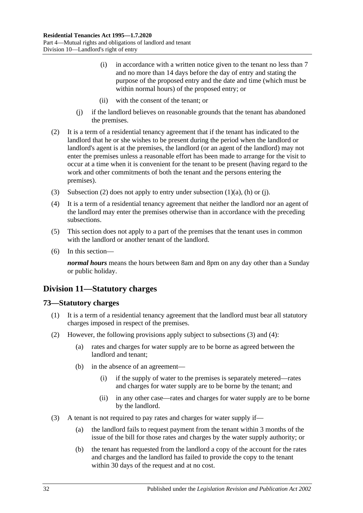- (i) in accordance with a written notice given to the tenant no less than 7 and no more than 14 days before the day of entry and stating the purpose of the proposed entry and the date and time (which must be within normal hours) of the proposed entry; or
- (ii) with the consent of the tenant; or
- (j) if the landlord believes on reasonable grounds that the tenant has abandoned the premises.
- <span id="page-31-3"></span><span id="page-31-2"></span>(2) It is a term of a residential tenancy agreement that if the tenant has indicated to the landlord that he or she wishes to be present during the period when the landlord or landlord's agent is at the premises, the landlord (or an agent of the landlord) may not enter the premises unless a reasonable effort has been made to arrange for the visit to occur at a time when it is convenient for the tenant to be present (having regard to the work and other commitments of both the tenant and the persons entering the premises).
- (3) [Subsection](#page-31-2) (2) does not apply to entry under [subsection](#page-29-4) (1)(a), [\(h\)](#page-30-0) or (i).
- (4) It is a term of a residential tenancy agreement that neither the landlord nor an agent of the landlord may enter the premises otherwise than in accordance with the preceding subsections.
- (5) This section does not apply to a part of the premises that the tenant uses in common with the landlord or another tenant of the landlord.
- (6) In this section—

*normal hours* means the hours between 8am and 8pm on any day other than a Sunday or public holiday.

### <span id="page-31-0"></span>**Division 11—Statutory charges**

#### <span id="page-31-1"></span>**73—Statutory charges**

- (1) It is a term of a residential tenancy agreement that the landlord must bear all statutory charges imposed in respect of the premises.
- <span id="page-31-6"></span><span id="page-31-5"></span>(2) However, the following provisions apply subject to [subsections](#page-31-4) (3) and [\(4\):](#page-32-2)
	- (a) rates and charges for water supply are to be borne as agreed between the landlord and tenant;
	- (b) in the absence of an agreement—
		- (i) if the supply of water to the premises is separately metered—rates and charges for water supply are to be borne by the tenant; and
		- (ii) in any other case—rates and charges for water supply are to be borne by the landlord.
- <span id="page-31-4"></span>(3) A tenant is not required to pay rates and charges for water supply if—
	- (a) the landlord fails to request payment from the tenant within 3 months of the issue of the bill for those rates and charges by the water supply authority; or
	- (b) the tenant has requested from the landlord a copy of the account for the rates and charges and the landlord has failed to provide the copy to the tenant within 30 days of the request and at no cost.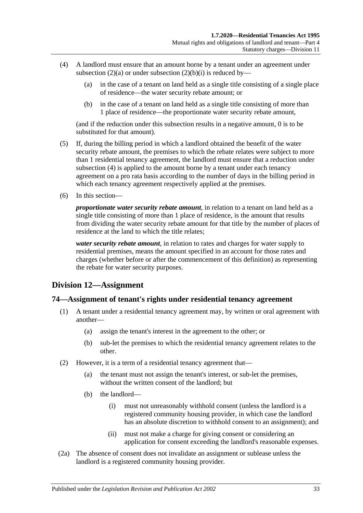- <span id="page-32-2"></span>(4) A landlord must ensure that an amount borne by a tenant under an agreement under [subsection](#page-31-5) (2)(a) or under [subsection](#page-31-6) (2)(b)(i) is reduced by—
	- (a) in the case of a tenant on land held as a single title consisting of a single place of residence—the water security rebate amount; or
	- (b) in the case of a tenant on land held as a single title consisting of more than 1 place of residence—the proportionate water security rebate amount,

(and if the reduction under this subsection results in a negative amount, 0 is to be substituted for that amount).

- (5) If, during the billing period in which a landlord obtained the benefit of the water security rebate amount, the premises to which the rebate relates were subject to more than 1 residential tenancy agreement, the landlord must ensure that a reduction under [subsection](#page-32-2) (4) is applied to the amount borne by a tenant under each tenancy agreement on a pro rata basis according to the number of days in the billing period in which each tenancy agreement respectively applied at the premises.
- (6) In this section—

*proportionate water security rebate amount*, in relation to a tenant on land held as a single title consisting of more than 1 place of residence, is the amount that results from dividing the water security rebate amount for that title by the number of places of residence at the land to which the title relates;

*water security rebate amount*, in relation to rates and charges for water supply to residential premises, means the amount specified in an account for those rates and charges (whether before or after the commencement of this definition) as representing the rebate for water security purposes.

### <span id="page-32-0"></span>**Division 12—Assignment**

#### <span id="page-32-1"></span>**74—Assignment of tenant's rights under residential tenancy agreement**

- (1) A tenant under a residential tenancy agreement may, by written or oral agreement with another—
	- (a) assign the tenant's interest in the agreement to the other; or
	- (b) sub-let the premises to which the residential tenancy agreement relates to the other.
- (2) However, it is a term of a residential tenancy agreement that—
	- (a) the tenant must not assign the tenant's interest, or sub-let the premises, without the written consent of the landlord; but
	- (b) the landlord—
		- (i) must not unreasonably withhold consent (unless the landlord is a registered community housing provider, in which case the landlord has an absolute discretion to withhold consent to an assignment); and
		- (ii) must not make a charge for giving consent or considering an application for consent exceeding the landlord's reasonable expenses.
- (2a) The absence of consent does not invalidate an assignment or sublease unless the landlord is a registered community housing provider.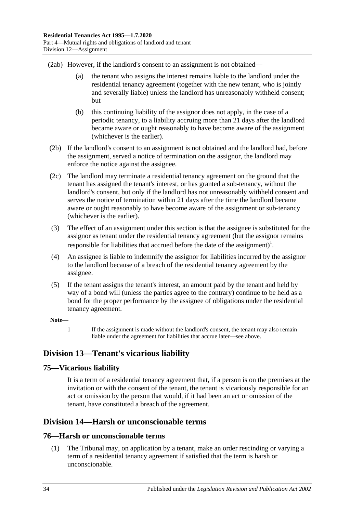(2ab) However, if the landlord's consent to an assignment is not obtained—

- (a) the tenant who assigns the interest remains liable to the landlord under the residential tenancy agreement (together with the new tenant, who is jointly and severally liable) unless the landlord has unreasonably withheld consent; but
- (b) this continuing liability of the assignor does not apply, in the case of a periodic tenancy, to a liability accruing more than 21 days after the landlord became aware or ought reasonably to have become aware of the assignment (whichever is the earlier).
- (2b) If the landlord's consent to an assignment is not obtained and the landlord had, before the assignment, served a notice of termination on the assignor, the landlord may enforce the notice against the assignee.
- (2c) The landlord may terminate a residential tenancy agreement on the ground that the tenant has assigned the tenant's interest, or has granted a sub-tenancy, without the landlord's consent, but only if the landlord has not unreasonably withheld consent and serves the notice of termination within 21 days after the time the landlord became aware or ought reasonably to have become aware of the assignment or sub-tenancy (whichever is the earlier).
- (3) The effect of an assignment under this section is that the assignee is substituted for the assignor as tenant under the residential tenancy agreement (but the assignor remains responsible for liabilities that accrued before the date of the assignment)<sup>1</sup>.
- (4) An assignee is liable to indemnify the assignor for liabilities incurred by the assignor to the landlord because of a breach of the residential tenancy agreement by the assignee.
- (5) If the tenant assigns the tenant's interest, an amount paid by the tenant and held by way of a bond will (unless the parties agree to the contrary) continue to be held as a bond for the proper performance by the assignee of obligations under the residential tenancy agreement.

#### **Note—**

1 If the assignment is made without the landlord's consent, the tenant may also remain liable under the agreement for liabilities that accrue later—see above.

## <span id="page-33-0"></span>**Division 13—Tenant's vicarious liability**

### <span id="page-33-1"></span>**75—Vicarious liability**

It is a term of a residential tenancy agreement that, if a person is on the premises at the invitation or with the consent of the tenant, the tenant is vicariously responsible for an act or omission by the person that would, if it had been an act or omission of the tenant, have constituted a breach of the agreement.

## <span id="page-33-2"></span>**Division 14—Harsh or unconscionable terms**

### <span id="page-33-4"></span><span id="page-33-3"></span>**76—Harsh or unconscionable terms**

(1) The Tribunal may, on application by a tenant, make an order rescinding or varying a term of a residential tenancy agreement if satisfied that the term is harsh or unconscionable.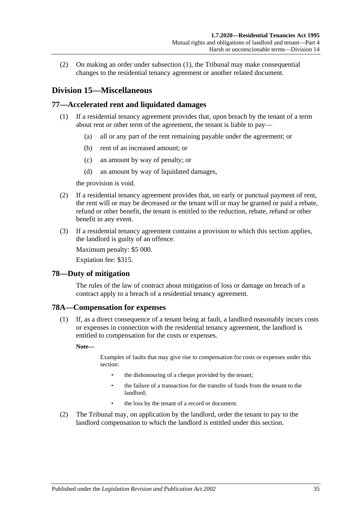(2) On making an order under [subsection](#page-33-4) (1), the Tribunal may make consequential changes to the residential tenancy agreement or another related document.

### <span id="page-34-0"></span>**Division 15—Miscellaneous**

### <span id="page-34-1"></span>**77—Accelerated rent and liquidated damages**

- (1) If a residential tenancy agreement provides that, upon breach by the tenant of a term about rent or other term of the agreement, the tenant is liable to pay—
	- (a) all or any part of the rent remaining payable under the agreement; or
	- (b) rent of an increased amount; or
	- (c) an amount by way of penalty; or
	- (d) an amount by way of liquidated damages,

the provision is void.

- (2) If a residential tenancy agreement provides that, on early or punctual payment of rent, the rent will or may be decreased or the tenant will or may be granted or paid a rebate, refund or other benefit, the tenant is entitled to the reduction, rebate, refund or other benefit in any event.
- (3) If a residential tenancy agreement contains a provision to which this section applies, the landlord is guilty of an offence.

Maximum penalty: \$5 000.

Expiation fee: \$315.

#### <span id="page-34-2"></span>**78—Duty of mitigation**

The rules of the law of contract about mitigation of loss or damage on breach of a contract apply to a breach of a residential tenancy agreement.

### <span id="page-34-3"></span>**78A—Compensation for expenses**

(1) If, as a direct consequence of a tenant being at fault, a landlord reasonably incurs costs or expenses in connection with the residential tenancy agreement, the landlord is entitled to compensation for the costs or expenses.

**Note—**

Examples of faults that may give rise to compensation for costs or expenses under this section:

- the dishonouring of a cheque provided by the tenant;
- the failure of a transaction for the transfer of funds from the tenant to the landlord;
- the loss by the tenant of a record or document.
- (2) The Tribunal may, on application by the landlord, order the tenant to pay to the landlord compensation to which the landlord is entitled under this section.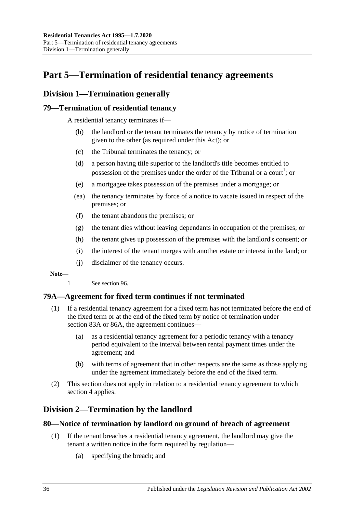# <span id="page-35-0"></span>**Part 5—Termination of residential tenancy agreements**

## <span id="page-35-1"></span>**Division 1—Termination generally**

### <span id="page-35-2"></span>**79—Termination of residential tenancy**

A residential tenancy terminates if—

- (b) the landlord or the tenant terminates the tenancy by notice of termination given to the other (as required under this Act); or
- (c) the Tribunal terminates the tenancy; or
- (d) a person having title superior to the landlord's title becomes entitled to possession of the premises under the order of the Tribunal or a court<sup>1</sup>; or
- (e) a mortgagee takes possession of the premises under a mortgage; or
- (ea) the tenancy terminates by force of a notice to vacate issued in respect of the premises; or
- (f) the tenant abandons the premises; or
- (g) the tenant dies without leaving dependants in occupation of the premises; or
- (h) the tenant gives up possession of the premises with the landlord's consent; or
- (i) the interest of the tenant merges with another estate or interest in the land; or
- (j) disclaimer of the tenancy occurs.

#### **Note—**

1 See [section](#page-48-1) 96.

### <span id="page-35-3"></span>**79A—Agreement for fixed term continues if not terminated**

- (1) If a residential tenancy agreement for a fixed term has not terminated before the end of the fixed term or at the end of the fixed term by notice of termination under [section](#page-38-1) 83A or [86A,](#page-40-2) the agreement continues—
	- (a) as a residential tenancy agreement for a periodic tenancy with a tenancy period equivalent to the interval between rental payment times under the agreement; and
	- (b) with terms of agreement that in other respects are the same as those applying under the agreement immediately before the end of the fixed term.
- (2) This section does not apply in relation to a residential tenancy agreement to which [section](#page-9-0) 4 applies.

## <span id="page-35-4"></span>**Division 2—Termination by the landlord**

### <span id="page-35-5"></span>**80—Notice of termination by landlord on ground of breach of agreement**

- (1) If the tenant breaches a residential tenancy agreement, the landlord may give the tenant a written notice in the form required by regulation—
	- (a) specifying the breach; and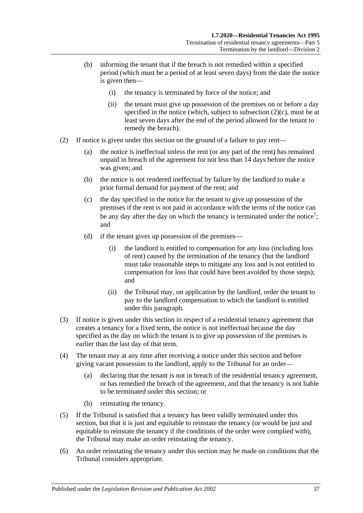- (b) informing the tenant that if the breach is not remedied within a specified period (which must be a period of at least seven days) from the date the notice is given then—
	- (i) the tenancy is terminated by force of the notice; and
	- (ii) the tenant must give up possession of the premises on or before a day specified in the notice (which, subject to [subsection](#page-36-0)  $(2)(c)$ , must be at least seven days after the end of the period allowed for the tenant to remedy the breach).
- <span id="page-36-1"></span><span id="page-36-0"></span>(2) If notice is given under this section on the ground of a failure to pay rent—
	- (a) the notice is ineffectual unless the rent (or any part of the rent) has remained unpaid in breach of the agreement for not less than 14 days before the notice was given; and
	- (b) the notice is not rendered ineffectual by failure by the landlord to make a prior formal demand for payment of the rent; and
	- (c) the day specified in the notice for the tenant to give up possession of the premises if the rent is not paid in accordance with the terms of the notice can be any day after the day on which the tenancy is terminated under the notice<sup>1</sup>; and
	- (d) if the tenant gives up possession of the premises—
		- (i) the landlord is entitled to compensation for any loss (including loss of rent) caused by the termination of the tenancy (but the landlord must take reasonable steps to mitigate any loss and is not entitled to compensation for loss that could have been avoided by those steps); and
		- (ii) the Tribunal may, on application by the landlord, order the tenant to pay to the landlord compensation to which the landlord is entitled under this paragraph.
- (3) If notice is given under this section in respect of a residential tenancy agreement that creates a tenancy for a fixed term, the notice is not ineffectual because the day specified as the day on which the tenant is to give up possession of the premises is earlier than the last day of that term.
- (4) The tenant may at any time after receiving a notice under this section and before giving vacant possession to the landlord, apply to the Tribunal for an order—
	- (a) declaring that the tenant is not in breach of the residential tenancy agreement, or has remedied the breach of the agreement, and that the tenancy is not liable to be terminated under this section; or
	- (b) reinstating the tenancy.
- (5) If the Tribunal is satisfied that a tenancy has been validly terminated under this section, but that it is just and equitable to reinstate the tenancy (or would be just and equitable to reinstate the tenancy if the conditions of the order were complied with), the Tribunal may make an order reinstating the tenancy.
- (6) An order reinstating the tenancy under this section may be made on conditions that the Tribunal considers appropriate.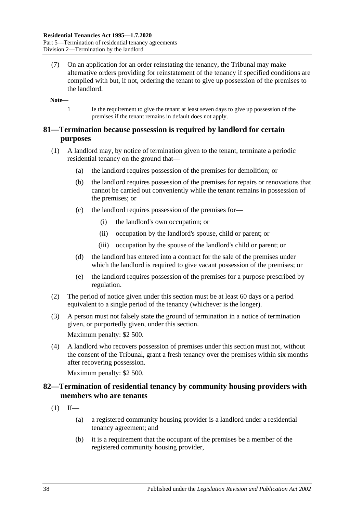(7) On an application for an order reinstating the tenancy, the Tribunal may make alternative orders providing for reinstatement of the tenancy if specified conditions are complied with but, if not, ordering the tenant to give up possession of the premises to the landlord.

**Note—**

1 Ie the requirement to give the tenant at least seven days to give up possession of the premises if the tenant remains in default does not apply.

## **81—Termination because possession is required by landlord for certain purposes**

- (1) A landlord may, by notice of termination given to the tenant, terminate a periodic residential tenancy on the ground that—
	- (a) the landlord requires possession of the premises for demolition; or
	- (b) the landlord requires possession of the premises for repairs or renovations that cannot be carried out conveniently while the tenant remains in possession of the premises; or
	- (c) the landlord requires possession of the premises for—
		- (i) the landlord's own occupation; or
		- (ii) occupation by the landlord's spouse, child or parent; or
		- (iii) occupation by the spouse of the landlord's child or parent; or
	- (d) the landlord has entered into a contract for the sale of the premises under which the landlord is required to give vacant possession of the premises; or
	- (e) the landlord requires possession of the premises for a purpose prescribed by regulation.
- (2) The period of notice given under this section must be at least 60 days or a period equivalent to a single period of the tenancy (whichever is the longer).
- (3) A person must not falsely state the ground of termination in a notice of termination given, or purportedly given, under this section. Maximum penalty: \$2 500.
- (4) A landlord who recovers possession of premises under this section must not, without the consent of the Tribunal, grant a fresh tenancy over the premises within six months after recovering possession.

Maximum penalty: \$2 500.

## **82—Termination of residential tenancy by community housing providers with members who are tenants**

- $(1)$  If—
	- (a) a registered community housing provider is a landlord under a residential tenancy agreement; and
	- (b) it is a requirement that the occupant of the premises be a member of the registered community housing provider,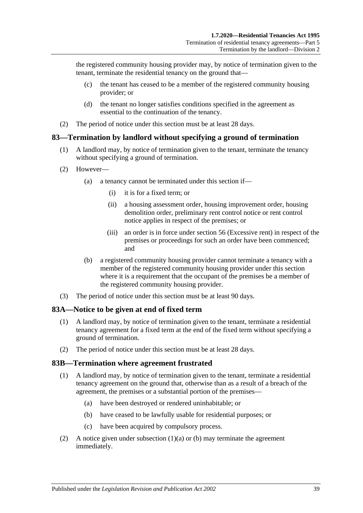the registered community housing provider may, by notice of termination given to the tenant, terminate the residential tenancy on the ground that—

- (c) the tenant has ceased to be a member of the registered community housing provider; or
- (d) the tenant no longer satisfies conditions specified in the agreement as essential to the continuation of the tenancy.
- (2) The period of notice under this section must be at least 28 days.

## **83—Termination by landlord without specifying a ground of termination**

- (1) A landlord may, by notice of termination given to the tenant, terminate the tenancy without specifying a ground of termination.
- (2) However—
	- (a) a tenancy cannot be terminated under this section if—
		- (i) it is for a fixed term; or
		- (ii) a housing assessment order, housing improvement order, housing demolition order, preliminary rent control notice or rent control notice applies in respect of the premises; or
		- (iii) an order is in force under [section](#page-20-0) 56 (Excessive rent) in respect of the premises or proceedings for such an order have been commenced; and
	- (b) a registered community housing provider cannot terminate a tenancy with a member of the registered community housing provider under this section where it is a requirement that the occupant of the premises be a member of the registered community housing provider.
- (3) The period of notice under this section must be at least 90 days.

#### **83A—Notice to be given at end of fixed term**

- (1) A landlord may, by notice of termination given to the tenant, terminate a residential tenancy agreement for a fixed term at the end of the fixed term without specifying a ground of termination.
- (2) The period of notice under this section must be at least 28 days.

#### **83B—Termination where agreement frustrated**

- <span id="page-38-0"></span>(1) A landlord may, by notice of termination given to the tenant, terminate a residential tenancy agreement on the ground that, otherwise than as a result of a breach of the agreement, the premises or a substantial portion of the premises—
	- (a) have been destroyed or rendered uninhabitable; or
	- (b) have ceased to be lawfully usable for residential purposes; or
	- (c) have been acquired by compulsory process.
- <span id="page-38-2"></span><span id="page-38-1"></span>(2) A notice given under [subsection](#page-38-0)  $(1)(a)$  or [\(b\)](#page-38-1) may terminate the agreement immediately.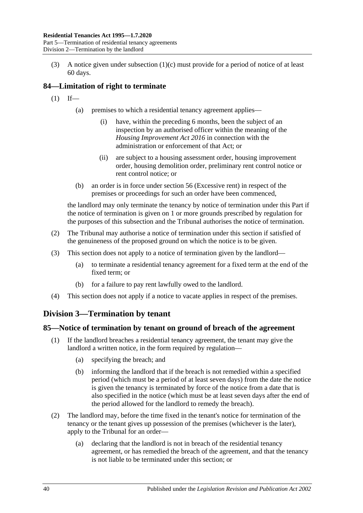(3) A notice given under [subsection](#page-38-2) (1)(c) must provide for a period of notice of at least 60 days.

# **84—Limitation of right to terminate**

- $(1)$  If—
	- (a) premises to which a residential tenancy agreement applies—
		- (i) have, within the preceding 6 months, been the subject of an inspection by an authorised officer within the meaning of the *[Housing Improvement Act](http://www.legislation.sa.gov.au/index.aspx?action=legref&type=act&legtitle=Housing%20Improvement%20Act%202016) 2016* in connection with the administration or enforcement of that Act; or
		- (ii) are subject to a housing assessment order, housing improvement order, housing demolition order, preliminary rent control notice or rent control notice; or
	- (b) an order is in force under [section](#page-20-0) 56 (Excessive rent) in respect of the premises or proceedings for such an order have been commenced,

the landlord may only terminate the tenancy by notice of termination under this Part if the notice of termination is given on 1 or more grounds prescribed by regulation for the purposes of this subsection and the Tribunal authorises the notice of termination.

- (2) The Tribunal may authorise a notice of termination under this section if satisfied of the genuineness of the proposed ground on which the notice is to be given.
- (3) This section does not apply to a notice of termination given by the landlord—
	- (a) to terminate a residential tenancy agreement for a fixed term at the end of the fixed term; or
	- (b) for a failure to pay rent lawfully owed to the landlord.
- (4) This section does not apply if a notice to vacate applies in respect of the premises.

# **Division 3—Termination by tenant**

## <span id="page-39-0"></span>**85—Notice of termination by tenant on ground of breach of the agreement**

- (1) If the landlord breaches a residential tenancy agreement, the tenant may give the landlord a written notice, in the form required by regulation—
	- (a) specifying the breach; and
	- (b) informing the landlord that if the breach is not remedied within a specified period (which must be a period of at least seven days) from the date the notice is given the tenancy is terminated by force of the notice from a date that is also specified in the notice (which must be at least seven days after the end of the period allowed for the landlord to remedy the breach).
- (2) The landlord may, before the time fixed in the tenant's notice for termination of the tenancy or the tenant gives up possession of the premises (whichever is the later), apply to the Tribunal for an order—
	- (a) declaring that the landlord is not in breach of the residential tenancy agreement, or has remedied the breach of the agreement, and that the tenancy is not liable to be terminated under this section; or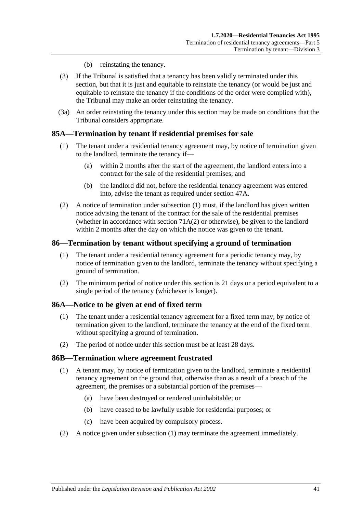- (b) reinstating the tenancy.
- (3) If the Tribunal is satisfied that a tenancy has been validly terminated under this section, but that it is just and equitable to reinstate the tenancy (or would be just and equitable to reinstate the tenancy if the conditions of the order were complied with), the Tribunal may make an order reinstating the tenancy.
- (3a) An order reinstating the tenancy under this section may be made on conditions that the Tribunal considers appropriate.

## <span id="page-40-0"></span>**85A—Termination by tenant if residential premises for sale**

- (1) The tenant under a residential tenancy agreement may, by notice of termination given to the landlord, terminate the tenancy if—
	- (a) within 2 months after the start of the agreement, the landlord enters into a contract for the sale of the residential premises; and
	- (b) the landlord did not, before the residential tenancy agreement was entered into, advise the tenant as required under [section](#page-14-0) 47A.
- (2) A notice of termination under [subsection](#page-40-0) (1) must, if the landlord has given written notice advising the tenant of the contract for the sale of the residential premises (whether in accordance with [section](#page-29-0)  $71A(2)$  or otherwise), be given to the landlord within 2 months after the day on which the notice was given to the tenant.

#### **86—Termination by tenant without specifying a ground of termination**

- (1) The tenant under a residential tenancy agreement for a periodic tenancy may, by notice of termination given to the landlord, terminate the tenancy without specifying a ground of termination.
- (2) The minimum period of notice under this section is 21 days or a period equivalent to a single period of the tenancy (whichever is longer).

#### **86A—Notice to be given at end of fixed term**

- (1) The tenant under a residential tenancy agreement for a fixed term may, by notice of termination given to the landlord, terminate the tenancy at the end of the fixed term without specifying a ground of termination.
- (2) The period of notice under this section must be at least 28 days.

#### <span id="page-40-1"></span>**86B—Termination where agreement frustrated**

- (1) A tenant may, by notice of termination given to the landlord, terminate a residential tenancy agreement on the ground that, otherwise than as a result of a breach of the agreement, the premises or a substantial portion of the premises—
	- (a) have been destroyed or rendered uninhabitable; or
	- (b) have ceased to be lawfully usable for residential purposes; or
	- (c) have been acquired by compulsory process.
- (2) A notice given under [subsection](#page-40-1) (1) may terminate the agreement immediately.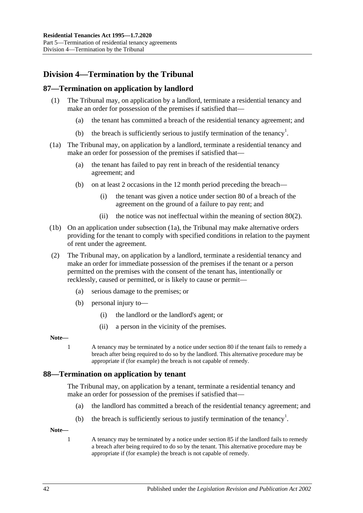# **Division 4—Termination by the Tribunal**

## **87—Termination on application by landlord**

- (1) The Tribunal may, on application by a landlord, terminate a residential tenancy and make an order for possession of the premises if satisfied that—
	- (a) the tenant has committed a breach of the residential tenancy agreement; and
	- (b) the breach is sufficiently serious to justify termination of the tenancy<sup>1</sup>.
- <span id="page-41-0"></span>(1a) The Tribunal may, on application by a landlord, terminate a residential tenancy and make an order for possession of the premises if satisfied that—
	- (a) the tenant has failed to pay rent in breach of the residential tenancy agreement; and
	- (b) on at least 2 occasions in the 12 month period preceding the breach—
		- (i) the tenant was given a notice under [section](#page-35-0) 80 of a breach of the agreement on the ground of a failure to pay rent; and
		- (ii) the notice was not ineffectual within the meaning of [section](#page-36-1) 80(2).
- (1b) On an application under [subsection](#page-41-0) (1a), the Tribunal may make alternative orders providing for the tenant to comply with specified conditions in relation to the payment of rent under the agreement.
- (2) The Tribunal may, on application by a landlord, terminate a residential tenancy and make an order for immediate possession of the premises if the tenant or a person permitted on the premises with the consent of the tenant has, intentionally or recklessly, caused or permitted, or is likely to cause or permit—
	- (a) serious damage to the premises; or
	- (b) personal injury to—
		- (i) the landlord or the landlord's agent; or
		- (ii) a person in the vicinity of the premises.

#### **Note—**

1 A tenancy may be terminated by a notice under [section](#page-35-0) 80 if the tenant fails to remedy a breach after being required to do so by the landlord. This alternative procedure may be appropriate if (for example) the breach is not capable of remedy.

### **88—Termination on application by tenant**

The Tribunal may, on application by a tenant, terminate a residential tenancy and make an order for possession of the premises if satisfied that—

- (a) the landlord has committed a breach of the residential tenancy agreement; and
- (b) the breach is sufficiently serious to justify termination of the tenancy<sup>1</sup>.

**Note—**

1 A tenancy may be terminated by a notice under [section](#page-39-0) 85 if the landlord fails to remedy a breach after being required to do so by the tenant. This alternative procedure may be appropriate if (for example) the breach is not capable of remedy.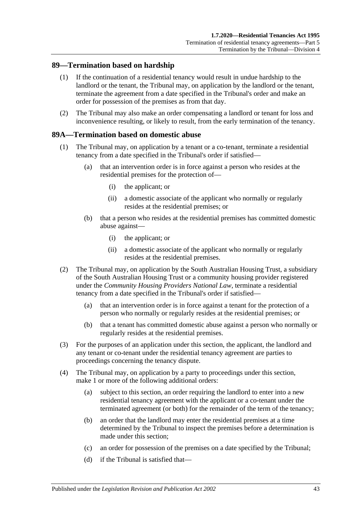## **89—Termination based on hardship**

- (1) If the continuation of a residential tenancy would result in undue hardship to the landlord or the tenant, the Tribunal may, on application by the landlord or the tenant, terminate the agreement from a date specified in the Tribunal's order and make an order for possession of the premises as from that day.
- (2) The Tribunal may also make an order compensating a landlord or tenant for loss and inconvenience resulting, or likely to result, from the early termination of the tenancy.

## <span id="page-42-3"></span>**89A—Termination based on domestic abuse**

- <span id="page-42-1"></span>(1) The Tribunal may, on application by a tenant or a co-tenant, terminate a residential tenancy from a date specified in the Tribunal's order if satisfied—
	- (a) that an intervention order is in force against a person who resides at the residential premises for the protection of—
		- (i) the applicant; or
		- (ii) a domestic associate of the applicant who normally or regularly resides at the residential premises; or
	- (b) that a person who resides at the residential premises has committed domestic abuse against—
		- (i) the applicant; or
		- (ii) a domestic associate of the applicant who normally or regularly resides at the residential premises.
- <span id="page-42-2"></span>(2) The Tribunal may, on application by the South Australian Housing Trust, a subsidiary of the South Australian Housing Trust or a community housing provider registered under the *Community Housing Providers National Law*, terminate a residential tenancy from a date specified in the Tribunal's order if satisfied—
	- (a) that an intervention order is in force against a tenant for the protection of a person who normally or regularly resides at the residential premises; or
	- (b) that a tenant has committed domestic abuse against a person who normally or regularly resides at the residential premises.
- (3) For the purposes of an application under this section, the applicant, the landlord and any tenant or co-tenant under the residential tenancy agreement are parties to proceedings concerning the tenancy dispute.
- <span id="page-42-5"></span><span id="page-42-4"></span><span id="page-42-0"></span>(4) The Tribunal may, on application by a party to proceedings under this section, make 1 or more of the following additional orders:
	- (a) subject to this section, an order requiring the landlord to enter into a new residential tenancy agreement with the applicant or a co-tenant under the terminated agreement (or both) for the remainder of the term of the tenancy;
	- (b) an order that the landlord may enter the residential premises at a time determined by the Tribunal to inspect the premises before a determination is made under this section;
	- (c) an order for possession of the premises on a date specified by the Tribunal;
	- (d) if the Tribunal is satisfied that—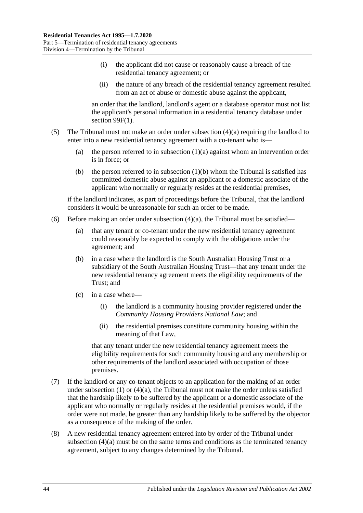- (i) the applicant did not cause or reasonably cause a breach of the residential tenancy agreement; or
- (ii) the nature of any breach of the residential tenancy agreement resulted from an act of abuse or domestic abuse against the applicant,

an order that the landlord, landlord's agent or a database operator must not list the applicant's personal information in a residential tenancy database under section [99F\(1\).](#page-54-0)

- (5) The Tribunal must not make an order under [subsection](#page-42-0) (4)(a) requiring the landlord to enter into a new residential tenancy agreement with a co-tenant who is
	- (a) the person referred to in [subsection](#page-42-1)  $(1)(a)$  against whom an intervention order is in force; or
	- (b) the person referred to in [subsection](#page-42-2)  $(1)(b)$  whom the Tribunal is satisfied has committed domestic abuse against an applicant or a domestic associate of the applicant who normally or regularly resides at the residential premises,

if the landlord indicates, as part of proceedings before the Tribunal, that the landlord considers it would be unreasonable for such an order to be made.

- (6) Before making an order under [subsection](#page-42-0)  $(4)(a)$ , the Tribunal must be satisfied—
	- (a) that any tenant or co-tenant under the new residential tenancy agreement could reasonably be expected to comply with the obligations under the agreement; and
	- (b) in a case where the landlord is the South Australian Housing Trust or a subsidiary of the South Australian Housing Trust—that any tenant under the new residential tenancy agreement meets the eligibility requirements of the Trust; and
	- (c) in a case where—
		- (i) the landlord is a community housing provider registered under the *Community Housing Providers National Law*; and
		- (ii) the residential premises constitute community housing within the meaning of that Law,

that any tenant under the new residential tenancy agreement meets the eligibility requirements for such community housing and any membership or other requirements of the landlord associated with occupation of those premises.

- (7) If the landlord or any co-tenant objects to an application for the making of an order under [subsection](#page-42-3)  $(1)$  or  $(4)(a)$ , the Tribunal must not make the order unless satisfied that the hardship likely to be suffered by the applicant or a domestic associate of the applicant who normally or regularly resides at the residential premises would, if the order were not made, be greater than any hardship likely to be suffered by the objector as a consequence of the making of the order.
- (8) A new residential tenancy agreement entered into by order of the Tribunal under [subsection](#page-42-0) (4)(a) must be on the same terms and conditions as the terminated tenancy agreement, subject to any changes determined by the Tribunal.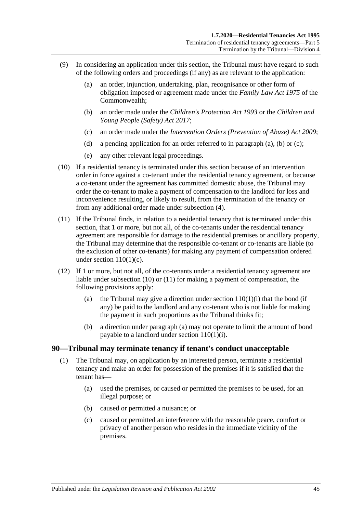- <span id="page-44-1"></span><span id="page-44-0"></span>(9) In considering an application under this section, the Tribunal must have regard to such of the following orders and proceedings (if any) as are relevant to the application:
	- (a) an order, injunction, undertaking, plan, recognisance or other form of obligation imposed or agreement made under the *Family Law Act 1975* of the Commonwealth;
	- (b) an order made under the *[Children's Protection Act](http://www.legislation.sa.gov.au/index.aspx?action=legref&type=act&legtitle=Childrens%20Protection%20Act%201993) 1993* or the *[Children and](http://www.legislation.sa.gov.au/index.aspx?action=legref&type=act&legtitle=Children%20and%20Young%20People%20(Safety)%20Act%202017)  [Young People \(Safety\) Act](http://www.legislation.sa.gov.au/index.aspx?action=legref&type=act&legtitle=Children%20and%20Young%20People%20(Safety)%20Act%202017) 2017*;
	- (c) an order made under the *[Intervention Orders \(Prevention of Abuse\) Act](http://www.legislation.sa.gov.au/index.aspx?action=legref&type=act&legtitle=Intervention%20Orders%20(Prevention%20of%20Abuse)%20Act%202009) 2009*;
	- (d) a pending application for an order referred to in [paragraph](#page-44-0) (a), [\(b\)](#page-44-1) or [\(c\);](#page-44-2)
	- (e) any other relevant legal proceedings.
- <span id="page-44-3"></span><span id="page-44-2"></span>(10) If a residential tenancy is terminated under this section because of an intervention order in force against a co-tenant under the residential tenancy agreement, or because a co-tenant under the agreement has committed domestic abuse, the Tribunal may order the co-tenant to make a payment of compensation to the landlord for loss and inconvenience resulting, or likely to result, from the termination of the tenancy or from any additional order made under [subsection](#page-42-4) (4).
- <span id="page-44-4"></span>(11) If the Tribunal finds, in relation to a residential tenancy that is terminated under this section, that 1 or more, but not all, of the co-tenants under the residential tenancy agreement are responsible for damage to the residential premises or ancillary property, the Tribunal may determine that the responsible co-tenant or co-tenants are liable (to the exclusion of other co-tenants) for making any payment of compensation ordered under section  $110(1)(c)$ .
- <span id="page-44-5"></span>(12) If 1 or more, but not all, of the co-tenants under a residential tenancy agreement are liable under [subsection](#page-44-3) (10) or [\(11\)](#page-44-4) for making a payment of compensation, the following provisions apply:
	- (a) the Tribunal may give a direction under section  $110(1)(i)$  that the bond (if any) be paid to the landlord and any co-tenant who is not liable for making the payment in such proportions as the Tribunal thinks fit;
	- (b) a direction under [paragraph](#page-44-5) (a) may not operate to limit the amount of bond payable to a landlord under section [110\(1\)\(i\).](#page-76-0)

#### **90—Tribunal may terminate tenancy if tenant's conduct unacceptable**

- (1) The Tribunal may, on application by an interested person, terminate a residential tenancy and make an order for possession of the premises if it is satisfied that the tenant has—
	- (a) used the premises, or caused or permitted the premises to be used, for an illegal purpose; or
	- (b) caused or permitted a nuisance; or
	- (c) caused or permitted an interference with the reasonable peace, comfort or privacy of another person who resides in the immediate vicinity of the premises.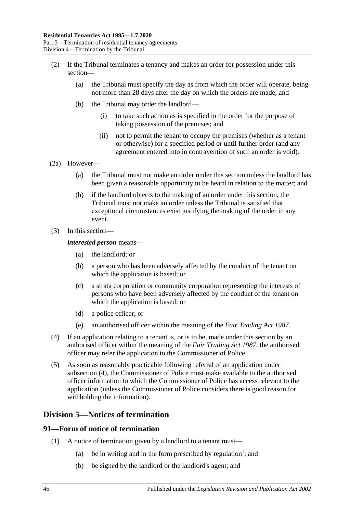- (2) If the Tribunal terminates a tenancy and makes an order for possession under this section—
	- (a) the Tribunal must specify the day as from which the order will operate, being not more than 28 days after the day on which the orders are made; and
	- (b) the Tribunal may order the landlord—
		- (i) to take such action as is specified in the order for the purpose of taking possession of the premises; and
		- (ii) not to permit the tenant to occupy the premises (whether as a tenant or otherwise) for a specified period or until further order (and any agreement entered into in contravention of such an order is void).
- (2a) However—
	- (a) the Tribunal must not make an order under this section unless the landlord has been given a reasonable opportunity to be heard in relation to the matter; and
	- (b) if the landlord objects to the making of an order under this section, the Tribunal must not make an order unless the Tribunal is satisfied that exceptional circumstances exist justifying the making of the order in any event.
- (3) In this section—

#### *interested person* means—

- (a) the landlord; or
- (b) a person who has been adversely affected by the conduct of the tenant on which the application is based; or
- (c) a strata corporation or community corporation representing the interests of persons who have been adversely affected by the conduct of the tenant on which the application is based; or
- (d) a police officer; or
- (e) an authorised officer within the meaning of the *[Fair Trading Act](http://www.legislation.sa.gov.au/index.aspx?action=legref&type=act&legtitle=Fair%20Trading%20Act%201987) 1987*.
- <span id="page-45-0"></span>(4) If an application relating to a tenant is, or is to be, made under this section by an authorised officer within the meaning of the *[Fair Trading Act](http://www.legislation.sa.gov.au/index.aspx?action=legref&type=act&legtitle=Fair%20Trading%20Act%201987) 1987*, the authorised officer may refer the application to the Commissioner of Police.
- (5) As soon as reasonably practicable following referral of an application under [subsection](#page-45-0) (4), the Commissioner of Police must make available to the authorised officer information to which the Commissioner of Police has access relevant to the application (unless the Commissioner of Police considers there is good reason for withholding the information).

## **Division 5—Notices of termination**

#### **91—Form of notice of termination**

- (1) A notice of termination given by a landlord to a tenant must—
	- (a) be in writing and in the form prescribed by regulation<sup>1</sup>; and
	- (b) be signed by the landlord or the landlord's agent; and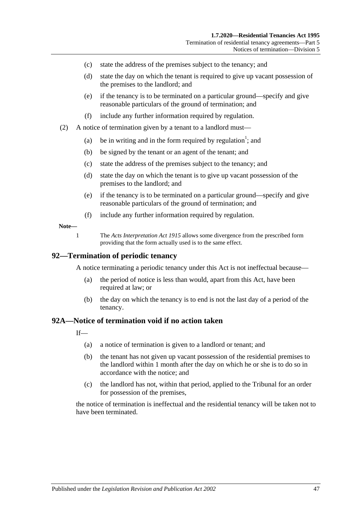- (c) state the address of the premises subject to the tenancy; and
- (d) state the day on which the tenant is required to give up vacant possession of the premises to the landlord; and
- (e) if the tenancy is to be terminated on a particular ground—specify and give reasonable particulars of the ground of termination; and
- (f) include any further information required by regulation.
- (2) A notice of termination given by a tenant to a landlord must—
	- (a) be in writing and in the form required by regulation<sup>1</sup>; and
	- (b) be signed by the tenant or an agent of the tenant; and
	- (c) state the address of the premises subject to the tenancy; and
	- (d) state the day on which the tenant is to give up vacant possession of the premises to the landlord; and
	- (e) if the tenancy is to be terminated on a particular ground—specify and give reasonable particulars of the ground of termination; and
	- (f) include any further information required by regulation.

#### **Note—**

1 The *[Acts Interpretation Act](http://www.legislation.sa.gov.au/index.aspx?action=legref&type=act&legtitle=Acts%20Interpretation%20Act%201915) 1915* allows some divergence from the prescribed form providing that the form actually used is to the same effect.

#### **92—Termination of periodic tenancy**

A notice terminating a periodic tenancy under this Act is not ineffectual because—

- (a) the period of notice is less than would, apart from this Act, have been required at law; or
- (b) the day on which the tenancy is to end is not the last day of a period of the tenancy.

#### <span id="page-46-0"></span>**92A—Notice of termination void if no action taken**

 $If$ <sub>—</sub>

- (a) a notice of termination is given to a landlord or tenant; and
- (b) the tenant has not given up vacant possession of the residential premises to the landlord within 1 month after the day on which he or she is to do so in accordance with the notice; and
- (c) the landlord has not, within that period, applied to the Tribunal for an order for possession of the premises,

the notice of termination is ineffectual and the residential tenancy will be taken not to have been terminated.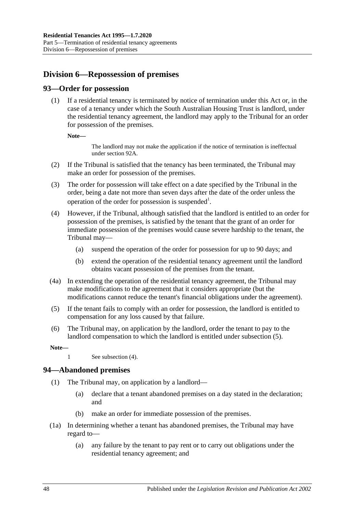# **Division 6—Repossession of premises**

## **93—Order for possession**

(1) If a residential tenancy is terminated by notice of termination under this Act or, in the case of a tenancy under which the South Australian Housing Trust is landlord, under the residential tenancy agreement, the landlord may apply to the Tribunal for an order for possession of the premises.

**Note—**

The landlord may not make the application if the notice of termination is ineffectual unde[r section](#page-46-0) 92A.

- (2) If the Tribunal is satisfied that the tenancy has been terminated, the Tribunal may make an order for possession of the premises.
- (3) The order for possession will take effect on a date specified by the Tribunal in the order, being a date not more than seven days after the date of the order unless the operation of the order for possession is suspended<sup>1</sup>.
- <span id="page-47-1"></span>(4) However, if the Tribunal, although satisfied that the landlord is entitled to an order for possession of the premises, is satisfied by the tenant that the grant of an order for immediate possession of the premises would cause severe hardship to the tenant, the Tribunal may—
	- (a) suspend the operation of the order for possession for up to 90 days; and
	- (b) extend the operation of the residential tenancy agreement until the landlord obtains vacant possession of the premises from the tenant.
- (4a) In extending the operation of the residential tenancy agreement, the Tribunal may make modifications to the agreement that it considers appropriate (but the modifications cannot reduce the tenant's financial obligations under the agreement).
- <span id="page-47-0"></span>(5) If the tenant fails to comply with an order for possession, the landlord is entitled to compensation for any loss caused by that failure.
- (6) The Tribunal may, on application by the landlord, order the tenant to pay to the landlord compensation to which the landlord is entitled under [subsection](#page-47-0) (5).

**Note—**

#### **94—Abandoned premises**

- (1) The Tribunal may, on application by a landlord—
	- (a) declare that a tenant abandoned premises on a day stated in the declaration; and
	- (b) make an order for immediate possession of the premises.
- (1a) In determining whether a tenant has abandoned premises, the Tribunal may have regard to—
	- (a) any failure by the tenant to pay rent or to carry out obligations under the residential tenancy agreement; and

<sup>1</sup> See [subsection](#page-47-1) (4).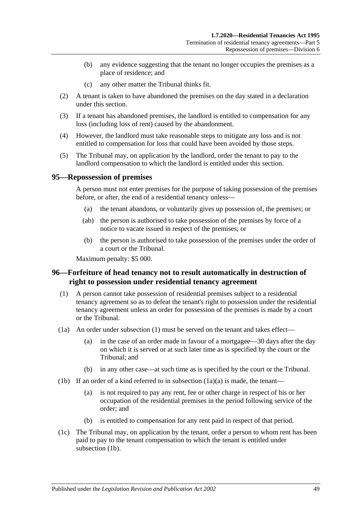- (b) any evidence suggesting that the tenant no longer occupies the premises as a place of residence; and
- (c) any other matter the Tribunal thinks fit.
- (2) A tenant is taken to have abandoned the premises on the day stated in a declaration under this section.
- (3) If a tenant has abandoned premises, the landlord is entitled to compensation for any loss (including loss of rent) caused by the abandonment.
- (4) However, the landlord must take reasonable steps to mitigate any loss and is not entitled to compensation for loss that could have been avoided by those steps.
- (5) The Tribunal may, on application by the landlord, order the tenant to pay to the landlord compensation to which the landlord is entitled under this section.

#### **95—Repossession of premises**

A person must not enter premises for the purpose of taking possession of the premises before, or after, the end of a residential tenancy unless—

- (a) the tenant abandons, or voluntarily gives up possession of, the premises; or
- (ab) the person is authorised to take possession of the premises by force of a notice to vacate issued in respect of the premises; or
- (b) the person is authorised to take possession of the premises under the order of a court or the Tribunal.

Maximum penalty: \$5 000.

## **96—Forfeiture of head tenancy not to result automatically in destruction of right to possession under residential tenancy agreement**

- <span id="page-48-0"></span>(1) A person cannot take possession of residential premises subject to a residential tenancy agreement so as to defeat the tenant's right to possession under the residential tenancy agreement unless an order for possession of the premises is made by a court or the Tribunal.
- <span id="page-48-1"></span>(1a) An order under [subsection](#page-48-0) (1) must be served on the tenant and takes effect—
	- (a) in the case of an order made in favour of a mortgagee—30 days after the day on which it is served or at such later time as is specified by the court or the Tribunal; and
	- (b) in any other case—at such time as is specified by the court or the Tribunal.
- <span id="page-48-2"></span>(1b) If an order of a kind referred to in [subsection](#page-48-1)  $(1a)(a)$  is made, the tenant—
	- (a) is not required to pay any rent, fee or other charge in respect of his or her occupation of the residential premises in the period following service of the order; and
	- (b) is entitled to compensation for any rent paid in respect of that period.
- (1c) The Tribunal may, on application by the tenant, order a person to whom rent has been paid to pay to the tenant compensation to which the tenant is entitled under [subsection](#page-48-2) (1b).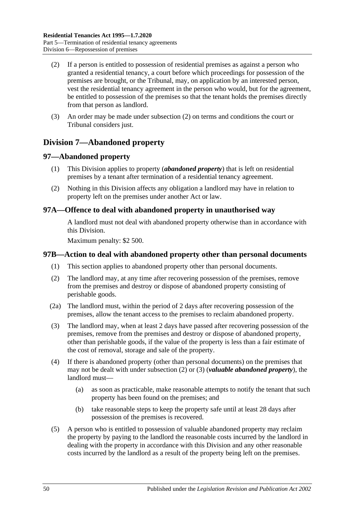- <span id="page-49-0"></span>(2) If a person is entitled to possession of residential premises as against a person who granted a residential tenancy, a court before which proceedings for possession of the premises are brought, or the Tribunal, may, on application by an interested person, vest the residential tenancy agreement in the person who would, but for the agreement, be entitled to possession of the premises so that the tenant holds the premises directly from that person as landlord.
- (3) An order may be made under [subsection](#page-49-0) (2) on terms and conditions the court or Tribunal considers just.

# **Division 7—Abandoned property**

## **97—Abandoned property**

- (1) This Division applies to property (*abandoned property*) that is left on residential premises by a tenant after termination of a residential tenancy agreement.
- (2) Nothing in this Division affects any obligation a landlord may have in relation to property left on the premises under another Act or law.

## **97A—Offence to deal with abandoned property in unauthorised way**

A landlord must not deal with abandoned property otherwise than in accordance with this Division.

Maximum penalty: \$2 500.

## **97B—Action to deal with abandoned property other than personal documents**

- (1) This section applies to abandoned property other than personal documents.
- <span id="page-49-1"></span>(2) The landlord may, at any time after recovering possession of the premises, remove from the premises and destroy or dispose of abandoned property consisting of perishable goods.
- (2a) The landlord must, within the period of 2 days after recovering possession of the premises, allow the tenant access to the premises to reclaim abandoned property.
- <span id="page-49-2"></span>(3) The landlord may, when at least 2 days have passed after recovering possession of the premises, remove from the premises and destroy or dispose of abandoned property, other than perishable goods, if the value of the property is less than a fair estimate of the cost of removal, storage and sale of the property.
- (4) If there is abandoned property (other than personal documents) on the premises that may not be dealt with under [subsection](#page-49-1) (2) or [\(3\)](#page-49-2) (*valuable abandoned property*), the landlord must—
	- (a) as soon as practicable, make reasonable attempts to notify the tenant that such property has been found on the premises; and
	- (b) take reasonable steps to keep the property safe until at least 28 days after possession of the premises is recovered.
- <span id="page-49-3"></span>(5) A person who is entitled to possession of valuable abandoned property may reclaim the property by paying to the landlord the reasonable costs incurred by the landlord in dealing with the property in accordance with this Division and any other reasonable costs incurred by the landlord as a result of the property being left on the premises.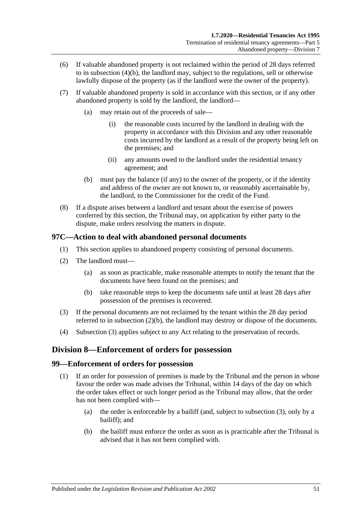- (6) If valuable abandoned property is not reclaimed within the period of 28 days referred to in [subsection](#page-49-3) (4)(b), the landlord may, subject to the regulations, sell or otherwise lawfully dispose of the property (as if the landlord were the owner of the property).
- (7) If valuable abandoned property is sold in accordance with this section, or if any other abandoned property is sold by the landlord, the landlord—
	- (a) may retain out of the proceeds of sale—
		- (i) the reasonable costs incurred by the landlord in dealing with the property in accordance with this Division and any other reasonable costs incurred by the landlord as a result of the property being left on the premises; and
		- (ii) any amounts owed to the landlord under the residential tenancy agreement; and
	- (b) must pay the balance (if any) to the owner of the property, or if the identity and address of the owner are not known to, or reasonably ascertainable by, the landlord, to the Commissioner for the credit of the Fund.
- (8) If a dispute arises between a landlord and tenant about the exercise of powers conferred by this section, the Tribunal may, on application by either party to the dispute, make orders resolving the matters in dispute.

## **97C—Action to deal with abandoned personal documents**

- (1) This section applies to abandoned property consisting of personal documents.
- (2) The landlord must—
	- (a) as soon as practicable, make reasonable attempts to notify the tenant that the documents have been found on the premises; and
	- (b) take reasonable steps to keep the documents safe until at least 28 days after possession of the premises is recovered.
- <span id="page-50-1"></span><span id="page-50-0"></span>(3) If the personal documents are not reclaimed by the tenant within the 28 day period referred to in [subsection](#page-50-0) (2)(b), the landlord may destroy or dispose of the documents.
- (4) [Subsection](#page-50-1) (3) applies subject to any Act relating to the preservation of records.

# **Division 8—Enforcement of orders for possession**

## **99—Enforcement of orders for possession**

- (1) If an order for possession of premises is made by the Tribunal and the person in whose favour the order was made advises the Tribunal, within 14 days of the day on which the order takes effect or such longer period as the Tribunal may allow, that the order has not been complied with—
	- (a) the order is enforceable by a bailiff (and, subject to [subsection](#page-51-0) (3), only by a bailiff); and
	- (b) the bailiff must enforce the order as soon as is practicable after the Tribunal is advised that it has not been complied with.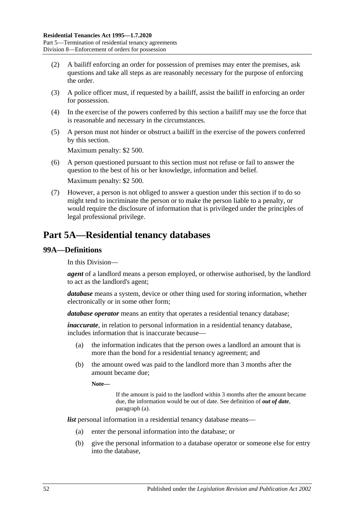- (2) A bailiff enforcing an order for possession of premises may enter the premises, ask questions and take all steps as are reasonably necessary for the purpose of enforcing the order.
- <span id="page-51-0"></span>(3) A police officer must, if requested by a bailiff, assist the bailiff in enforcing an order for possession.
- (4) In the exercise of the powers conferred by this section a bailiff may use the force that is reasonable and necessary in the circumstances.
- (5) A person must not hinder or obstruct a bailiff in the exercise of the powers conferred by this section.

Maximum penalty: \$2 500.

- (6) A person questioned pursuant to this section must not refuse or fail to answer the question to the best of his or her knowledge, information and belief. Maximum penalty: \$2 500.
- (7) However, a person is not obliged to answer a question under this section if to do so might tend to incriminate the person or to make the person liable to a penalty, or would require the disclosure of information that is privileged under the principles of legal professional privilege.

# **Part 5A—Residential tenancy databases**

## **99A—Definitions**

In this Division—

*agent* of a landlord means a person employed, or otherwise authorised, by the landlord to act as the landlord's agent;

*database* means a system, device or other thing used for storing information, whether electronically or in some other form;

*database operator* means an entity that operates a residential tenancy database;

*inaccurate*, in relation to personal information in a residential tenancy database, includes information that is inaccurate because—

- (a) the information indicates that the person owes a landlord an amount that is more than the bond for a residential tenancy agreement; and
- (b) the amount owed was paid to the landlord more than 3 months after the amount became due;

**Note—**

If the amount is paid to the landlord within 3 months after the amount became due, the information would be out of date. See definition of *out of date*, [paragraph](#page-52-0) (a).

*list* personal information in a residential tenancy database means—

- (a) enter the personal information into the database; or
- (b) give the personal information to a database operator or someone else for entry into the database,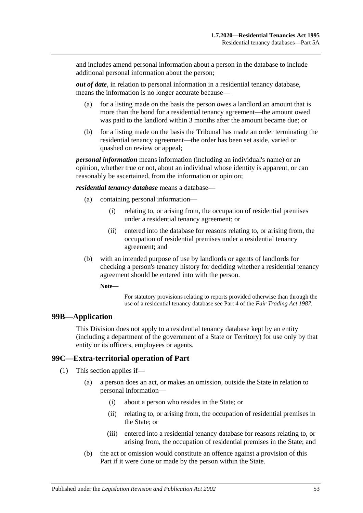and includes amend personal information about a person in the database to include additional personal information about the person;

<span id="page-52-0"></span>*out of date*, in relation to personal information in a residential tenancy database, means the information is no longer accurate because—

- (a) for a listing made on the basis the person owes a landlord an amount that is more than the bond for a residential tenancy agreement—the amount owed was paid to the landlord within 3 months after the amount became due; or
- (b) for a listing made on the basis the Tribunal has made an order terminating the residential tenancy agreement—the order has been set aside, varied or quashed on review or appeal;

*personal information* means information (including an individual's name) or an opinion, whether true or not, about an individual whose identity is apparent, or can reasonably be ascertained, from the information or opinion;

*residential tenancy database* means a database—

- (a) containing personal information—
	- (i) relating to, or arising from, the occupation of residential premises under a residential tenancy agreement; or
	- (ii) entered into the database for reasons relating to, or arising from, the occupation of residential premises under a residential tenancy agreement; and
- (b) with an intended purpose of use by landlords or agents of landlords for checking a person's tenancy history for deciding whether a residential tenancy agreement should be entered into with the person.

**Note—**

For statutory provisions relating to reports provided otherwise than through the use of a residential tenancy database see Part 4 of the *[Fair Trading Act](http://www.legislation.sa.gov.au/index.aspx?action=legref&type=act&legtitle=Fair%20Trading%20Act%201987) 1987*.

#### **99B—Application**

This Division does not apply to a residential tenancy database kept by an entity (including a department of the government of a State or Territory) for use only by that entity or its officers, employees or agents.

## **99C—Extra-territorial operation of Part**

(1) This section applies if—

- (a) a person does an act, or makes an omission, outside the State in relation to personal information—
	- (i) about a person who resides in the State; or
	- (ii) relating to, or arising from, the occupation of residential premises in the State; or
	- (iii) entered into a residential tenancy database for reasons relating to, or arising from, the occupation of residential premises in the State; and
- <span id="page-52-1"></span>(b) the act or omission would constitute an offence against a provision of this Part if it were done or made by the person within the State.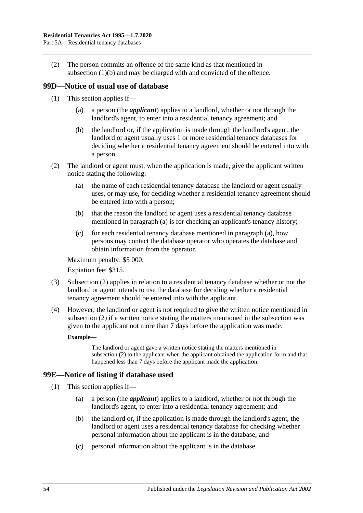(2) The person commits an offence of the same kind as that mentioned in [subsection](#page-52-1) (1)(b) and may be charged with and convicted of the offence.

## **99D—Notice of usual use of database**

- (1) This section applies if—
	- (a) a person (the *applicant*) applies to a landlord, whether or not through the landlord's agent, to enter into a residential tenancy agreement; and
	- (b) the landlord or, if the application is made through the landlord's agent, the landlord or agent usually uses 1 or more residential tenancy databases for deciding whether a residential tenancy agreement should be entered into with a person.
- <span id="page-53-1"></span><span id="page-53-0"></span>(2) The landlord or agent must, when the application is made, give the applicant written notice stating the following:
	- (a) the name of each residential tenancy database the landlord or agent usually uses, or may use, for deciding whether a residential tenancy agreement should be entered into with a person;
	- (b) that the reason the landlord or agent uses a residential tenancy database mentioned in [paragraph](#page-53-0) (a) is for checking an applicant's tenancy history;
	- (c) for each residential tenancy database mentioned in [paragraph](#page-53-0) (a), how persons may contact the database operator who operates the database and obtain information from the operator.

Maximum penalty: \$5 000.

Expiation fee: \$315.

- (3) [Subsection](#page-53-1) (2) applies in relation to a residential tenancy database whether or not the landlord or agent intends to use the database for deciding whether a residential tenancy agreement should be entered into with the applicant.
- (4) However, the landlord or agent is not required to give the written notice mentioned in [subsection](#page-53-1) (2) if a written notice stating the matters mentioned in the subsection was given to the applicant not more than 7 days before the application was made.

#### **Example—**

The landlord or agent gave a written notice stating the matters mentioned in [subsection](#page-53-1) (2) to the applicant when the applicant obtained the application form and that happened less than 7 days before the applicant made the application.

## **99E—Notice of listing if database used**

- (1) This section applies if—
	- (a) a person (the *applicant*) applies to a landlord, whether or not through the landlord's agent, to enter into a residential tenancy agreement; and
	- (b) the landlord or, if the application is made through the landlord's agent, the landlord or agent uses a residential tenancy database for checking whether personal information about the applicant is in the database; and
	- (c) personal information about the applicant is in the database.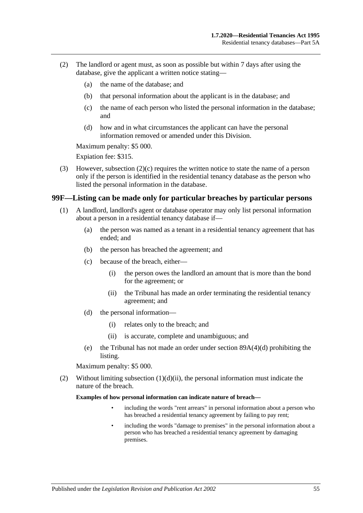- <span id="page-54-1"></span>(2) The landlord or agent must, as soon as possible but within 7 days after using the database, give the applicant a written notice stating—
	- (a) the name of the database; and
	- (b) that personal information about the applicant is in the database; and
	- (c) the name of each person who listed the personal information in the database; and
	- (d) how and in what circumstances the applicant can have the personal information removed or amended under this Division.

Maximum penalty: \$5 000.

Expiation fee: \$315.

(3) However, [subsection](#page-54-1) (2)(c) requires the written notice to state the name of a person only if the person is identified in the residential tenancy database as the person who listed the personal information in the database.

#### <span id="page-54-0"></span>**99F—Listing can be made only for particular breaches by particular persons**

- (1) A landlord, landlord's agent or database operator may only list personal information about a person in a residential tenancy database if—
	- (a) the person was named as a tenant in a residential tenancy agreement that has ended; and
	- (b) the person has breached the agreement; and
	- (c) because of the breach, either—
		- (i) the person owes the landlord an amount that is more than the bond for the agreement; or
		- (ii) the Tribunal has made an order terminating the residential tenancy agreement; and
	- (d) the personal information—
		- (i) relates only to the breach; and
		- (ii) is accurate, complete and unambiguous; and
	- (e) the Tribunal has not made an order under section [89A\(4\)\(d\)](#page-42-5) prohibiting the listing.

<span id="page-54-2"></span>Maximum penalty: \$5 000.

(2) Without limiting [subsection](#page-54-2)  $(1)(d)(ii)$ , the personal information must indicate the nature of the breach.

**Examples of how personal information can indicate nature of breach—**

- including the words "rent arrears" in personal information about a person who has breached a residential tenancy agreement by failing to pay rent;
- including the words "damage to premises" in the personal information about a person who has breached a residential tenancy agreement by damaging premises.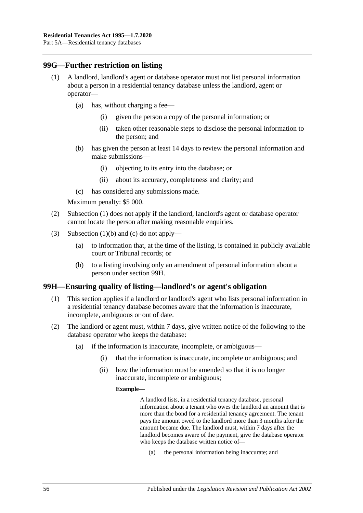## <span id="page-55-0"></span>**99G—Further restriction on listing**

- (1) A landlord, landlord's agent or database operator must not list personal information about a person in a residential tenancy database unless the landlord, agent or operator—
	- (a) has, without charging a fee—
		- (i) given the person a copy of the personal information; or
		- (ii) taken other reasonable steps to disclose the personal information to the person; and
	- (b) has given the person at least 14 days to review the personal information and make submissions—
		- (i) objecting to its entry into the database; or
		- (ii) about its accuracy, completeness and clarity; and
	- (c) has considered any submissions made.

<span id="page-55-1"></span>Maximum penalty: \$5 000.

- <span id="page-55-2"></span>(2) [Subsection](#page-55-0) (1) does not apply if the landlord, landlord's agent or database operator cannot locate the person after making reasonable enquiries.
- (3) [Subsection](#page-55-1) (1)(b) and [\(c\)](#page-55-2) do not apply—
	- (a) to information that, at the time of the listing, is contained in publicly available court or Tribunal records; or
	- (b) to a listing involving only an amendment of personal information about a person under [section](#page-55-3) 99H.

## <span id="page-55-3"></span>**99H—Ensuring quality of listing—landlord's or agent's obligation**

- (1) This section applies if a landlord or landlord's agent who lists personal information in a residential tenancy database becomes aware that the information is inaccurate, incomplete, ambiguous or out of date.
- <span id="page-55-4"></span>(2) The landlord or agent must, within 7 days, give written notice of the following to the database operator who keeps the database:
	- (a) if the information is inaccurate, incomplete, or ambiguous—
		- (i) that the information is inaccurate, incomplete or ambiguous; and
		- (ii) how the information must be amended so that it is no longer inaccurate, incomplete or ambiguous;

#### **Example—**

A landlord lists, in a residential tenancy database, personal information about a tenant who owes the landlord an amount that is more than the bond for a residential tenancy agreement. The tenant pays the amount owed to the landlord more than 3 months after the amount became due. The landlord must, within 7 days after the landlord becomes aware of the payment, give the database operator who keeps the database written notice of—

(a) the personal information being inaccurate; and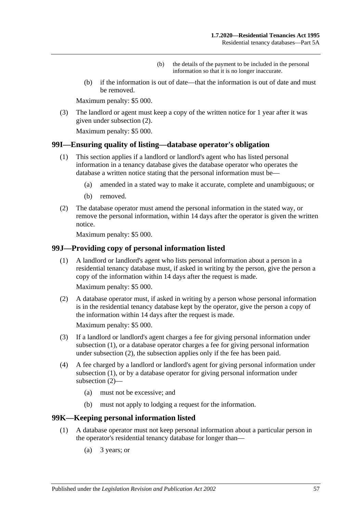- (b) the details of the payment to be included in the personal information so that it is no longer inaccurate.
- (b) if the information is out of date—that the information is out of date and must be removed.

Maximum penalty: \$5 000.

(3) The landlord or agent must keep a copy of the written notice for 1 year after it was given under [subsection](#page-55-4) (2).

Maximum penalty: \$5 000.

### **99I—Ensuring quality of listing—database operator's obligation**

- (1) This section applies if a landlord or landlord's agent who has listed personal information in a tenancy database gives the database operator who operates the database a written notice stating that the personal information must be—
	- (a) amended in a stated way to make it accurate, complete and unambiguous; or
	- (b) removed.
- (2) The database operator must amend the personal information in the stated way, or remove the personal information, within 14 days after the operator is given the written notice.

Maximum penalty: \$5 000.

### <span id="page-56-0"></span>**99J—Providing copy of personal information listed**

(1) A landlord or landlord's agent who lists personal information about a person in a residential tenancy database must, if asked in writing by the person, give the person a copy of the information within 14 days after the request is made.

Maximum penalty: \$5 000.

<span id="page-56-1"></span>(2) A database operator must, if asked in writing by a person whose personal information is in the residential tenancy database kept by the operator, give the person a copy of the information within 14 days after the request is made.

Maximum penalty: \$5 000.

- (3) If a landlord or landlord's agent charges a fee for giving personal information under [subsection](#page-56-0) (1), or a database operator charges a fee for giving personal information under [subsection](#page-56-1) (2), the subsection applies only if the fee has been paid.
- (4) A fee charged by a landlord or landlord's agent for giving personal information under [subsection](#page-56-0) (1), or by a database operator for giving personal information under [subsection](#page-56-1) (2)—
	- (a) must not be excessive; and
	- (b) must not apply to lodging a request for the information.

#### <span id="page-56-3"></span>**99K—Keeping personal information listed**

- <span id="page-56-2"></span>(1) A database operator must not keep personal information about a particular person in the operator's residential tenancy database for longer than—
	- (a) 3 years; or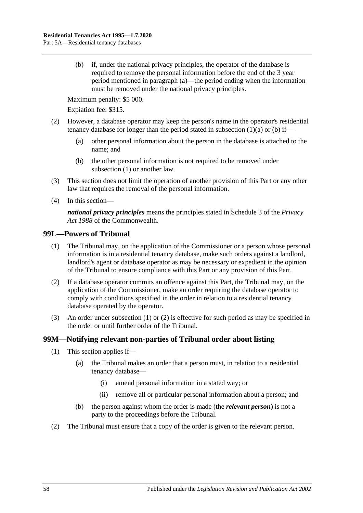<span id="page-57-0"></span>(b) if, under the national privacy principles, the operator of the database is required to remove the personal information before the end of the 3 year period mentioned in [paragraph](#page-56-2) (a)—the period ending when the information must be removed under the national privacy principles.

Maximum penalty: \$5 000.

Expiation fee: \$315.

- (2) However, a database operator may keep the person's name in the operator's residential tenancy database for longer than the period stated in [subsection](#page-56-2)  $(1)(a)$  or  $(b)$  if—
	- (a) other personal information about the person in the database is attached to the name; and
	- (b) the other personal information is not required to be removed under [subsection](#page-56-3) (1) or another law.
- (3) This section does not limit the operation of another provision of this Part or any other law that requires the removal of the personal information.
- (4) In this section—

*national privacy principles* means the principles stated in Schedule 3 of the *Privacy Act 1988* of the Commonwealth.

#### <span id="page-57-1"></span>**99L—Powers of Tribunal**

- (1) The Tribunal may, on the application of the Commissioner or a person whose personal information is in a residential tenancy database, make such orders against a landlord, landlord's agent or database operator as may be necessary or expedient in the opinion of the Tribunal to ensure compliance with this Part or any provision of this Part.
- <span id="page-57-2"></span>(2) If a database operator commits an offence against this Part, the Tribunal may, on the application of the Commissioner, make an order requiring the database operator to comply with conditions specified in the order in relation to a residential tenancy database operated by the operator.
- (3) An order under [subsection](#page-57-1) (1) or [\(2\)](#page-57-2) is effective for such period as may be specified in the order or until further order of the Tribunal.

## **99M—Notifying relevant non-parties of Tribunal order about listing**

- (1) This section applies if—
	- (a) the Tribunal makes an order that a person must, in relation to a residential tenancy database—
		- (i) amend personal information in a stated way; or
		- (ii) remove all or particular personal information about a person; and
	- (b) the person against whom the order is made (the *relevant person*) is not a party to the proceedings before the Tribunal.
- (2) The Tribunal must ensure that a copy of the order is given to the relevant person.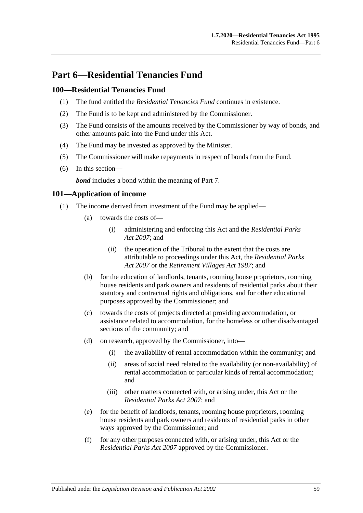# **Part 6—Residential Tenancies Fund**

## **100—Residential Tenancies Fund**

- (1) The fund entitled the *Residential Tenancies Fund* continues in existence.
- (2) The Fund is to be kept and administered by the Commissioner.
- (3) The Fund consists of the amounts received by the Commissioner by way of bonds, and other amounts paid into the Fund under this Act.
- (4) The Fund may be invested as approved by the Minister.
- (5) The Commissioner will make repayments in respect of bonds from the Fund.
- (6) In this section—

*bond* includes a bond within the meaning of [Part 7.](#page-59-0)

### **101—Application of income**

- (1) The income derived from investment of the Fund may be applied—
	- (a) towards the costs of—
		- (i) administering and enforcing this Act and the *[Residential Parks](http://www.legislation.sa.gov.au/index.aspx?action=legref&type=act&legtitle=Residential%20Parks%20Act%202007)  Act [2007](http://www.legislation.sa.gov.au/index.aspx?action=legref&type=act&legtitle=Residential%20Parks%20Act%202007)*; and
		- (ii) the operation of the Tribunal to the extent that the costs are attributable to proceedings under this Act, the *[Residential Parks](http://www.legislation.sa.gov.au/index.aspx?action=legref&type=act&legtitle=Residential%20Parks%20Act%202007)  Act [2007](http://www.legislation.sa.gov.au/index.aspx?action=legref&type=act&legtitle=Residential%20Parks%20Act%202007)* or the *[Retirement Villages Act](http://www.legislation.sa.gov.au/index.aspx?action=legref&type=act&legtitle=Retirement%20Villages%20Act%201987) 1987*; and
	- (b) for the education of landlords, tenants, rooming house proprietors, rooming house residents and park owners and residents of residential parks about their statutory and contractual rights and obligations, and for other educational purposes approved by the Commissioner; and
	- (c) towards the costs of projects directed at providing accommodation, or assistance related to accommodation, for the homeless or other disadvantaged sections of the community; and
	- (d) on research, approved by the Commissioner, into—
		- (i) the availability of rental accommodation within the community; and
		- (ii) areas of social need related to the availability (or non-availability) of rental accommodation or particular kinds of rental accommodation; and
		- (iii) other matters connected with, or arising under, this Act or the *[Residential Parks Act](http://www.legislation.sa.gov.au/index.aspx?action=legref&type=act&legtitle=Residential%20Parks%20Act%202007) 2007*; and
	- (e) for the benefit of landlords, tenants, rooming house proprietors, rooming house residents and park owners and residents of residential parks in other ways approved by the Commissioner; and
	- (f) for any other purposes connected with, or arising under, this Act or the *[Residential Parks Act](http://www.legislation.sa.gov.au/index.aspx?action=legref&type=act&legtitle=Residential%20Parks%20Act%202007) 2007* approved by the Commissioner.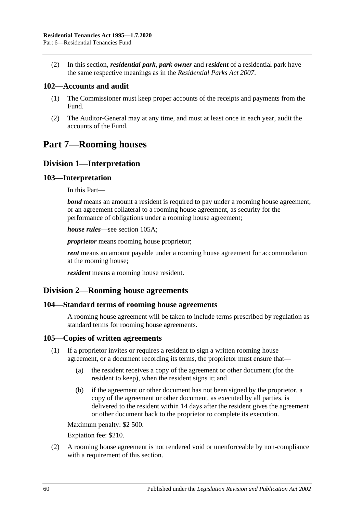(2) In this section, *residential park*, *park owner* and *resident* of a residential park have the same respective meanings as in the *[Residential Parks Act](http://www.legislation.sa.gov.au/index.aspx?action=legref&type=act&legtitle=Residential%20Parks%20Act%202007) 2007*.

## **102—Accounts and audit**

- (1) The Commissioner must keep proper accounts of the receipts and payments from the Fund.
- (2) The Auditor-General may at any time, and must at least once in each year, audit the accounts of the Fund.

# <span id="page-59-0"></span>**Part 7—Rooming houses**

# **Division 1—Interpretation**

## **103—Interpretation**

In this Part—

*bond* means an amount a resident is required to pay under a rooming house agreement, or an agreement collateral to a rooming house agreement, as security for the performance of obligations under a rooming house agreement;

*house rules*—see [section](#page-60-0) 105A;

*proprietor* means rooming house proprietor;

*rent* means an amount payable under a rooming house agreement for accommodation at the rooming house;

*resident* means a rooming house resident.

## **Division 2—Rooming house agreements**

## **104—Standard terms of rooming house agreements**

A rooming house agreement will be taken to include terms prescribed by regulation as standard terms for rooming house agreements.

## **105—Copies of written agreements**

- (1) If a proprietor invites or requires a resident to sign a written rooming house agreement, or a document recording its terms, the proprietor must ensure that—
	- (a) the resident receives a copy of the agreement or other document (for the resident to keep), when the resident signs it; and
	- (b) if the agreement or other document has not been signed by the proprietor, a copy of the agreement or other document, as executed by all parties, is delivered to the resident within 14 days after the resident gives the agreement or other document back to the proprietor to complete its execution.

Maximum penalty: \$2 500.

Expiation fee: \$210.

(2) A rooming house agreement is not rendered void or unenforceable by non-compliance with a requirement of this section.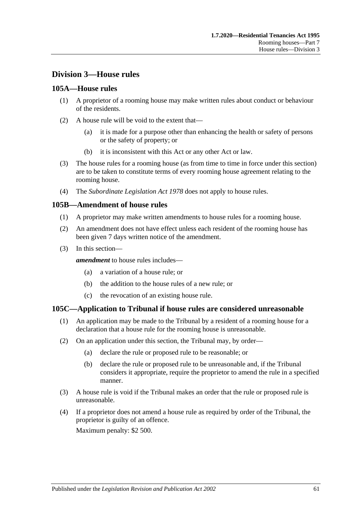# **Division 3—House rules**

## <span id="page-60-0"></span>**105A—House rules**

- (1) A proprietor of a rooming house may make written rules about conduct or behaviour of the residents.
- (2) A house rule will be void to the extent that—
	- (a) it is made for a purpose other than enhancing the health or safety of persons or the safety of property; or
	- (b) it is inconsistent with this Act or any other Act or law.
- (3) The house rules for a rooming house (as from time to time in force under this section) are to be taken to constitute terms of every rooming house agreement relating to the rooming house.
- (4) The *[Subordinate Legislation Act](http://www.legislation.sa.gov.au/index.aspx?action=legref&type=act&legtitle=Subordinate%20Legislation%20Act%201978) 1978* does not apply to house rules.

## **105B—Amendment of house rules**

- (1) A proprietor may make written amendments to house rules for a rooming house.
- (2) An amendment does not have effect unless each resident of the rooming house has been given 7 days written notice of the amendment.
- (3) In this section—

*amendment* to house rules includes—

- (a) a variation of a house rule; or
- (b) the addition to the house rules of a new rule; or
- (c) the revocation of an existing house rule.

## **105C—Application to Tribunal if house rules are considered unreasonable**

- (1) An application may be made to the Tribunal by a resident of a rooming house for a declaration that a house rule for the rooming house is unreasonable.
- (2) On an application under this section, the Tribunal may, by order—
	- (a) declare the rule or proposed rule to be reasonable; or
	- (b) declare the rule or proposed rule to be unreasonable and, if the Tribunal considers it appropriate, require the proprietor to amend the rule in a specified manner.
- (3) A house rule is void if the Tribunal makes an order that the rule or proposed rule is unreasonable.
- (4) If a proprietor does not amend a house rule as required by order of the Tribunal, the proprietor is guilty of an offence.

Maximum penalty: \$2 500.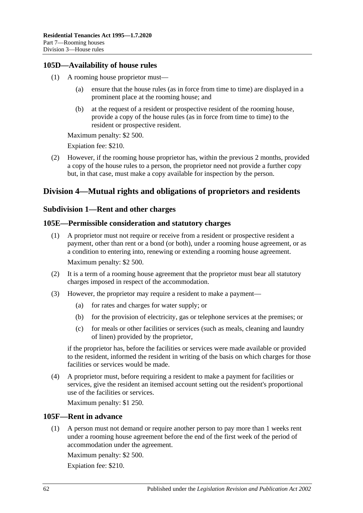## **105D—Availability of house rules**

- (1) A rooming house proprietor must
	- ensure that the house rules (as in force from time to time) are displayed in a prominent place at the rooming house; and
	- (b) at the request of a resident or prospective resident of the rooming house, provide a copy of the house rules (as in force from time to time) to the resident or prospective resident.

Maximum penalty: \$2 500.

Expiation fee: \$210.

(2) However, if the rooming house proprietor has, within the previous 2 months, provided a copy of the house rules to a person, the proprietor need not provide a further copy but, in that case, must make a copy available for inspection by the person.

# **Division 4—Mutual rights and obligations of proprietors and residents**

## **Subdivision 1—Rent and other charges**

## **105E—Permissible consideration and statutory charges**

- (1) A proprietor must not require or receive from a resident or prospective resident a payment, other than rent or a bond (or both), under a rooming house agreement, or as a condition to entering into, renewing or extending a rooming house agreement. Maximum penalty: \$2 500.
- (2) It is a term of a rooming house agreement that the proprietor must bear all statutory charges imposed in respect of the accommodation.
- (3) However, the proprietor may require a resident to make a payment—
	- (a) for rates and charges for water supply; or
	- (b) for the provision of electricity, gas or telephone services at the premises; or
	- (c) for meals or other facilities or services (such as meals, cleaning and laundry of linen) provided by the proprietor,

if the proprietor has, before the facilities or services were made available or provided to the resident, informed the resident in writing of the basis on which charges for those facilities or services would be made.

(4) A proprietor must, before requiring a resident to make a payment for facilities or services, give the resident an itemised account setting out the resident's proportional use of the facilities or services.

Maximum penalty: \$1 250.

## **105F—Rent in advance**

(1) A person must not demand or require another person to pay more than 1 weeks rent under a rooming house agreement before the end of the first week of the period of accommodation under the agreement.

Maximum penalty: \$2 500.

Expiation fee: \$210.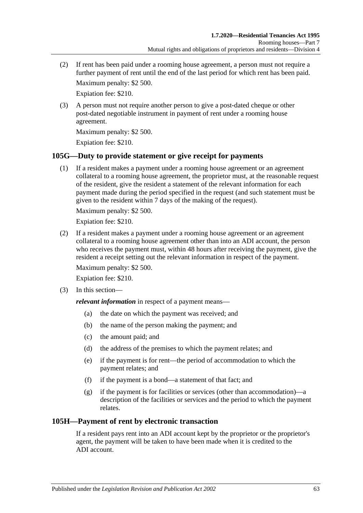(2) If rent has been paid under a rooming house agreement, a person must not require a further payment of rent until the end of the last period for which rent has been paid.

Maximum penalty: \$2 500.

Expiation fee: \$210.

(3) A person must not require another person to give a post-dated cheque or other post-dated negotiable instrument in payment of rent under a rooming house agreement.

Maximum penalty: \$2 500.

Expiation fee: \$210.

## **105G—Duty to provide statement or give receipt for payments**

(1) If a resident makes a payment under a rooming house agreement or an agreement collateral to a rooming house agreement, the proprietor must, at the reasonable request of the resident, give the resident a statement of the relevant information for each payment made during the period specified in the request (and such statement must be given to the resident within 7 days of the making of the request).

Maximum penalty: \$2 500.

Expiation fee: \$210.

(2) If a resident makes a payment under a rooming house agreement or an agreement collateral to a rooming house agreement other than into an ADI account, the person who receives the payment must, within 48 hours after receiving the payment, give the resident a receipt setting out the relevant information in respect of the payment.

Maximum penalty: \$2 500.

Expiation fee: \$210.

(3) In this section—

*relevant information* in respect of a payment means—

- (a) the date on which the payment was received; and
- (b) the name of the person making the payment; and
- (c) the amount paid; and
- (d) the address of the premises to which the payment relates; and
- (e) if the payment is for rent—the period of accommodation to which the payment relates; and
- (f) if the payment is a bond—a statement of that fact; and
- (g) if the payment is for facilities or services (other than accommodation)—a description of the facilities or services and the period to which the payment relates.

## **105H—Payment of rent by electronic transaction**

If a resident pays rent into an ADI account kept by the proprietor or the proprietor's agent, the payment will be taken to have been made when it is credited to the ADI account.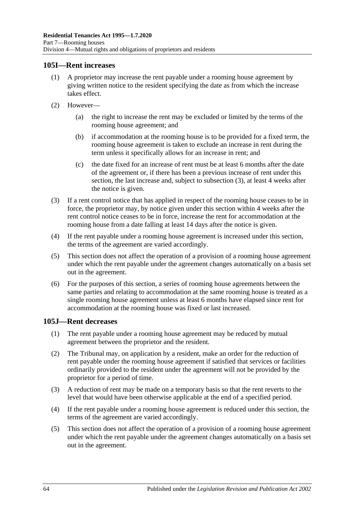## **105I—Rent increases**

- (1) A proprietor may increase the rent payable under a rooming house agreement by giving written notice to the resident specifying the date as from which the increase takes effect.
- (2) However—
	- (a) the right to increase the rent may be excluded or limited by the terms of the rooming house agreement; and
	- (b) if accommodation at the rooming house is to be provided for a fixed term, the rooming house agreement is taken to exclude an increase in rent during the term unless it specifically allows for an increase in rent; and
	- (c) the date fixed for an increase of rent must be at least 6 months after the date of the agreement or, if there has been a previous increase of rent under this section, the last increase and, subject to [subsection](#page-63-0) (3), at least 4 weeks after the notice is given.
- <span id="page-63-0"></span>(3) If a rent control notice that has applied in respect of the rooming house ceases to be in force, the proprietor may, by notice given under this section within 4 weeks after the rent control notice ceases to be in force, increase the rent for accommodation at the rooming house from a date falling at least 14 days after the notice is given.
- (4) If the rent payable under a rooming house agreement is increased under this section, the terms of the agreement are varied accordingly.
- (5) This section does not affect the operation of a provision of a rooming house agreement under which the rent payable under the agreement changes automatically on a basis set out in the agreement.
- (6) For the purposes of this section, a series of rooming house agreements between the same parties and relating to accommodation at the same rooming house is treated as a single rooming house agreement unless at least 6 months have elapsed since rent for accommodation at the rooming house was fixed or last increased.

## **105J—Rent decreases**

- (1) The rent payable under a rooming house agreement may be reduced by mutual agreement between the proprietor and the resident.
- (2) The Tribunal may, on application by a resident, make an order for the reduction of rent payable under the rooming house agreement if satisfied that services or facilities ordinarily provided to the resident under the agreement will not be provided by the proprietor for a period of time.
- (3) A reduction of rent may be made on a temporary basis so that the rent reverts to the level that would have been otherwise applicable at the end of a specified period.
- (4) If the rent payable under a rooming house agreement is reduced under this section, the terms of the agreement are varied accordingly.
- (5) This section does not affect the operation of a provision of a rooming house agreement under which the rent payable under the agreement changes automatically on a basis set out in the agreement.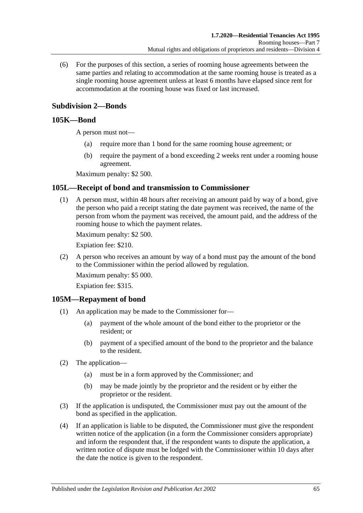(6) For the purposes of this section, a series of rooming house agreements between the same parties and relating to accommodation at the same rooming house is treated as a single rooming house agreement unless at least 6 months have elapsed since rent for accommodation at the rooming house was fixed or last increased.

# **Subdivision 2—Bonds**

## <span id="page-64-1"></span>**105K—Bond**

A person must not—

- (a) require more than 1 bond for the same rooming house agreement; or
- (b) require the payment of a bond exceeding 2 weeks rent under a rooming house agreement.

Maximum penalty: \$2 500.

## **105L—Receipt of bond and transmission to Commissioner**

(1) A person must, within 48 hours after receiving an amount paid by way of a bond, give the person who paid a receipt stating the date payment was received, the name of the person from whom the payment was received, the amount paid, and the address of the rooming house to which the payment relates.

Maximum penalty: \$2 500.

Expiation fee: \$210.

(2) A person who receives an amount by way of a bond must pay the amount of the bond to the Commissioner within the period allowed by regulation.

Maximum penalty: \$5 000.

Expiation fee: \$315.

#### **105M—Repayment of bond**

- (1) An application may be made to the Commissioner for—
	- (a) payment of the whole amount of the bond either to the proprietor or the resident; or
	- (b) payment of a specified amount of the bond to the proprietor and the balance to the resident.
- (2) The application—
	- (a) must be in a form approved by the Commissioner; and
	- (b) may be made jointly by the proprietor and the resident or by either the proprietor or the resident.
- (3) If the application is undisputed, the Commissioner must pay out the amount of the bond as specified in the application.
- <span id="page-64-0"></span>(4) If an application is liable to be disputed, the Commissioner must give the respondent written notice of the application (in a form the Commissioner considers appropriate) and inform the respondent that, if the respondent wants to dispute the application, a written notice of dispute must be lodged with the Commissioner within 10 days after the date the notice is given to the respondent.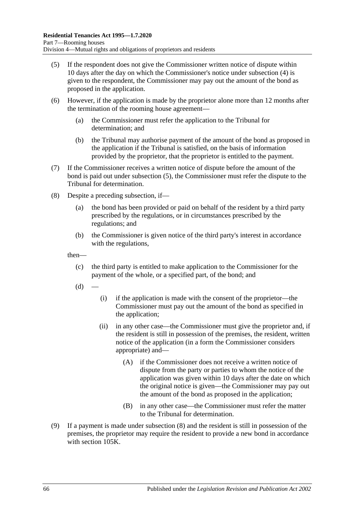- <span id="page-65-0"></span>(5) If the respondent does not give the Commissioner written notice of dispute within 10 days after the day on which the Commissioner's notice under [subsection](#page-64-0) (4) is given to the respondent, the Commissioner may pay out the amount of the bond as proposed in the application.
- (6) However, if the application is made by the proprietor alone more than 12 months after the termination of the rooming house agreement—
	- (a) the Commissioner must refer the application to the Tribunal for determination; and
	- (b) the Tribunal may authorise payment of the amount of the bond as proposed in the application if the Tribunal is satisfied, on the basis of information provided by the proprietor, that the proprietor is entitled to the payment.
- (7) If the Commissioner receives a written notice of dispute before the amount of the bond is paid out under [subsection](#page-65-0) (5), the Commissioner must refer the dispute to the Tribunal for determination.
- <span id="page-65-1"></span>(8) Despite a preceding subsection, if—
	- (a) the bond has been provided or paid on behalf of the resident by a third party prescribed by the regulations, or in circumstances prescribed by the regulations; and
	- (b) the Commissioner is given notice of the third party's interest in accordance with the regulations,

then—

- (c) the third party is entitled to make application to the Commissioner for the payment of the whole, or a specified part, of the bond; and
- $(d)$
- (i) if the application is made with the consent of the proprietor—the Commissioner must pay out the amount of the bond as specified in the application;
- (ii) in any other case—the Commissioner must give the proprietor and, if the resident is still in possession of the premises, the resident, written notice of the application (in a form the Commissioner considers appropriate) and—
	- (A) if the Commissioner does not receive a written notice of dispute from the party or parties to whom the notice of the application was given within 10 days after the date on which the original notice is given—the Commissioner may pay out the amount of the bond as proposed in the application;
	- (B) in any other case—the Commissioner must refer the matter to the Tribunal for determination.
- (9) If a payment is made under [subsection](#page-65-1) (8) and the resident is still in possession of the premises, the proprietor may require the resident to provide a new bond in accordance with [section](#page-64-1) 105K.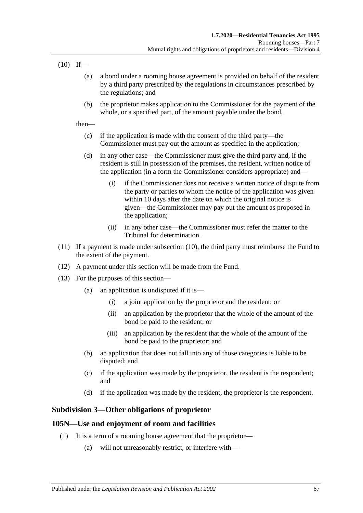<span id="page-66-0"></span> $(10)$  If—

- (a) a bond under a rooming house agreement is provided on behalf of the resident by a third party prescribed by the regulations in circumstances prescribed by the regulations; and
- (b) the proprietor makes application to the Commissioner for the payment of the whole, or a specified part, of the amount payable under the bond,

then—

- (c) if the application is made with the consent of the third party—the Commissioner must pay out the amount as specified in the application;
- (d) in any other case—the Commissioner must give the third party and, if the resident is still in possession of the premises, the resident, written notice of the application (in a form the Commissioner considers appropriate) and—
	- (i) if the Commissioner does not receive a written notice of dispute from the party or parties to whom the notice of the application was given within 10 days after the date on which the original notice is given—the Commissioner may pay out the amount as proposed in the application;
	- (ii) in any other case—the Commissioner must refer the matter to the Tribunal for determination.
- (11) If a payment is made under [subsection](#page-66-0) (10), the third party must reimburse the Fund to the extent of the payment.
- (12) A payment under this section will be made from the Fund.
- (13) For the purposes of this section—
	- (a) an application is undisputed if it is—
		- (i) a joint application by the proprietor and the resident; or
		- (ii) an application by the proprietor that the whole of the amount of the bond be paid to the resident; or
		- (iii) an application by the resident that the whole of the amount of the bond be paid to the proprietor; and
	- (b) an application that does not fall into any of those categories is liable to be disputed; and
	- (c) if the application was made by the proprietor, the resident is the respondent; and
	- (d) if the application was made by the resident, the proprietor is the respondent.

## **Subdivision 3—Other obligations of proprietor**

## <span id="page-66-1"></span>**105N—Use and enjoyment of room and facilities**

- (1) It is a term of a rooming house agreement that the proprietor—
	- (a) will not unreasonably restrict, or interfere with—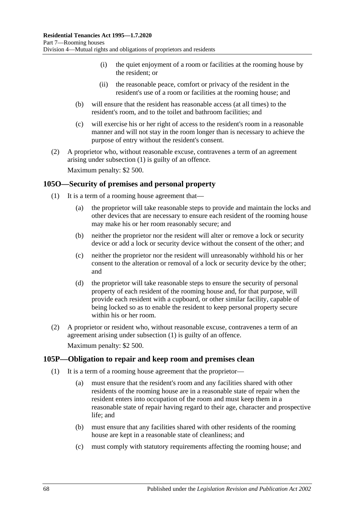- (i) the quiet enjoyment of a room or facilities at the rooming house by the resident; or
- (ii) the reasonable peace, comfort or privacy of the resident in the resident's use of a room or facilities at the rooming house; and
- (b) will ensure that the resident has reasonable access (at all times) to the resident's room, and to the toilet and bathroom facilities; and
- (c) will exercise his or her right of access to the resident's room in a reasonable manner and will not stay in the room longer than is necessary to achieve the purpose of entry without the resident's consent.
- (2) A proprietor who, without reasonable excuse, contravenes a term of an agreement arising under [subsection](#page-66-1) (1) is guilty of an offence. Maximum penalty: \$2 500.

<span id="page-67-0"></span>**105O—Security of premises and personal property**

- (1) It is a term of a rooming house agreement that—
	- (a) the proprietor will take reasonable steps to provide and maintain the locks and other devices that are necessary to ensure each resident of the rooming house may make his or her room reasonably secure; and
	- (b) neither the proprietor nor the resident will alter or remove a lock or security device or add a lock or security device without the consent of the other; and
	- (c) neither the proprietor nor the resident will unreasonably withhold his or her consent to the alteration or removal of a lock or security device by the other; and
	- (d) the proprietor will take reasonable steps to ensure the security of personal property of each resident of the rooming house and, for that purpose, will provide each resident with a cupboard, or other similar facility, capable of being locked so as to enable the resident to keep personal property secure within his or her room.
- (2) A proprietor or resident who, without reasonable excuse, contravenes a term of an agreement arising under [subsection](#page-67-0) (1) is guilty of an offence. Maximum penalty: \$2 500.

## **105P—Obligation to repair and keep room and premises clean**

- (1) It is a term of a rooming house agreement that the proprietor—
	- (a) must ensure that the resident's room and any facilities shared with other residents of the rooming house are in a reasonable state of repair when the resident enters into occupation of the room and must keep them in a reasonable state of repair having regard to their age, character and prospective life; and
	- (b) must ensure that any facilities shared with other residents of the rooming house are kept in a reasonable state of cleanliness; and
	- (c) must comply with statutory requirements affecting the rooming house; and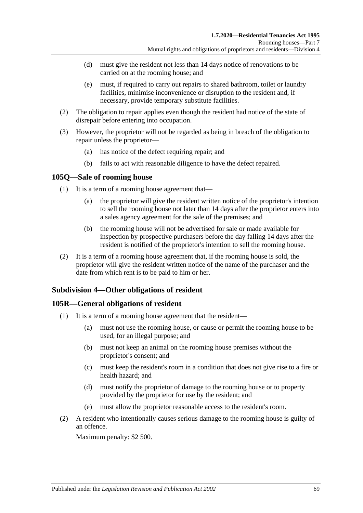- (d) must give the resident not less than 14 days notice of renovations to be carried on at the rooming house; and
- (e) must, if required to carry out repairs to shared bathroom, toilet or laundry facilities, minimise inconvenience or disruption to the resident and, if necessary, provide temporary substitute facilities.
- (2) The obligation to repair applies even though the resident had notice of the state of disrepair before entering into occupation.
- (3) However, the proprietor will not be regarded as being in breach of the obligation to repair unless the proprietor—
	- (a) has notice of the defect requiring repair; and
	- (b) fails to act with reasonable diligence to have the defect repaired.

### **105Q—Sale of rooming house**

- (1) It is a term of a rooming house agreement that—
	- (a) the proprietor will give the resident written notice of the proprietor's intention to sell the rooming house not later than 14 days after the proprietor enters into a sales agency agreement for the sale of the premises; and
	- (b) the rooming house will not be advertised for sale or made available for inspection by prospective purchasers before the day falling 14 days after the resident is notified of the proprietor's intention to sell the rooming house.
- (2) It is a term of a rooming house agreement that, if the rooming house is sold, the proprietor will give the resident written notice of the name of the purchaser and the date from which rent is to be paid to him or her.

## **Subdivision 4—Other obligations of resident**

## **105R—General obligations of resident**

- (1) It is a term of a rooming house agreement that the resident—
	- (a) must not use the rooming house, or cause or permit the rooming house to be used, for an illegal purpose; and
	- (b) must not keep an animal on the rooming house premises without the proprietor's consent; and
	- (c) must keep the resident's room in a condition that does not give rise to a fire or health hazard; and
	- (d) must notify the proprietor of damage to the rooming house or to property provided by the proprietor for use by the resident; and
	- (e) must allow the proprietor reasonable access to the resident's room.
- (2) A resident who intentionally causes serious damage to the rooming house is guilty of an offence.

Maximum penalty: \$2 500.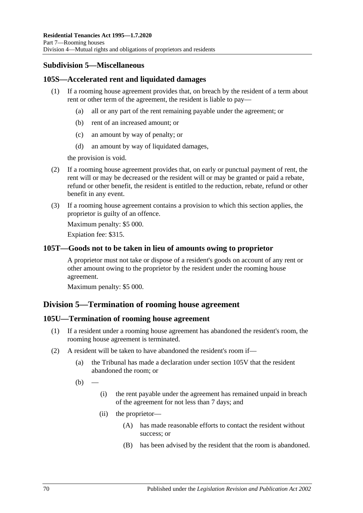## **Subdivision 5—Miscellaneous**

## **105S—Accelerated rent and liquidated damages**

- (1) If a rooming house agreement provides that, on breach by the resident of a term about rent or other term of the agreement, the resident is liable to pay—
	- (a) all or any part of the rent remaining payable under the agreement; or
	- (b) rent of an increased amount; or
	- (c) an amount by way of penalty; or
	- (d) an amount by way of liquidated damages,

the provision is void.

- (2) If a rooming house agreement provides that, on early or punctual payment of rent, the rent will or may be decreased or the resident will or may be granted or paid a rebate, refund or other benefit, the resident is entitled to the reduction, rebate, refund or other benefit in any event.
- (3) If a rooming house agreement contains a provision to which this section applies, the proprietor is guilty of an offence.

Maximum penalty: \$5 000.

Expiation fee: \$315.

### **105T—Goods not to be taken in lieu of amounts owing to proprietor**

A proprietor must not take or dispose of a resident's goods on account of any rent or other amount owing to the proprietor by the resident under the rooming house agreement.

Maximum penalty: \$5 000.

## **Division 5—Termination of rooming house agreement**

#### **105U—Termination of rooming house agreement**

- (1) If a resident under a rooming house agreement has abandoned the resident's room, the rooming house agreement is terminated.
- (2) A resident will be taken to have abandoned the resident's room if—
	- (a) the Tribunal has made a declaration under [section](#page-72-0) 105V that the resident abandoned the room; or
	- $(b)$
- (i) the rent payable under the agreement has remained unpaid in breach of the agreement for not less than 7 days; and
- (ii) the proprietor—
	- (A) has made reasonable efforts to contact the resident without success; or
	- (B) has been advised by the resident that the room is abandoned.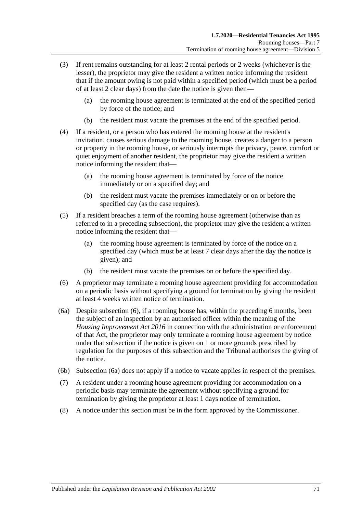- (3) If rent remains outstanding for at least 2 rental periods or 2 weeks (whichever is the lesser), the proprietor may give the resident a written notice informing the resident that if the amount owing is not paid within a specified period (which must be a period of at least 2 clear days) from the date the notice is given then—
	- (a) the rooming house agreement is terminated at the end of the specified period by force of the notice; and
	- (b) the resident must vacate the premises at the end of the specified period.
- (4) If a resident, or a person who has entered the rooming house at the resident's invitation, causes serious damage to the rooming house, creates a danger to a person or property in the rooming house, or seriously interrupts the privacy, peace, comfort or quiet enjoyment of another resident, the proprietor may give the resident a written notice informing the resident that—
	- (a) the rooming house agreement is terminated by force of the notice immediately or on a specified day; and
	- (b) the resident must vacate the premises immediately or on or before the specified day (as the case requires).
- (5) If a resident breaches a term of the rooming house agreement (otherwise than as referred to in a preceding subsection), the proprietor may give the resident a written notice informing the resident that—
	- (a) the rooming house agreement is terminated by force of the notice on a specified day (which must be at least 7 clear days after the day the notice is given); and
	- (b) the resident must vacate the premises on or before the specified day.
- <span id="page-70-0"></span>(6) A proprietor may terminate a rooming house agreement providing for accommodation on a periodic basis without specifying a ground for termination by giving the resident at least 4 weeks written notice of termination.
- <span id="page-70-1"></span>(6a) Despite [subsection](#page-70-0) (6), if a rooming house has, within the preceding 6 months, been the subject of an inspection by an authorised officer within the meaning of the *[Housing Improvement Act](http://www.legislation.sa.gov.au/index.aspx?action=legref&type=act&legtitle=Housing%20Improvement%20Act%202016) 2016* in connection with the administration or enforcement of that Act, the proprietor may only terminate a rooming house agreement by notice under that subsection if the notice is given on 1 or more grounds prescribed by regulation for the purposes of this subsection and the Tribunal authorises the giving of the notice.
- (6b) [Subsection](#page-70-1) (6a) does not apply if a notice to vacate applies in respect of the premises.
- (7) A resident under a rooming house agreement providing for accommodation on a periodic basis may terminate the agreement without specifying a ground for termination by giving the proprietor at least 1 days notice of termination.
- (8) A notice under this section must be in the form approved by the Commissioner.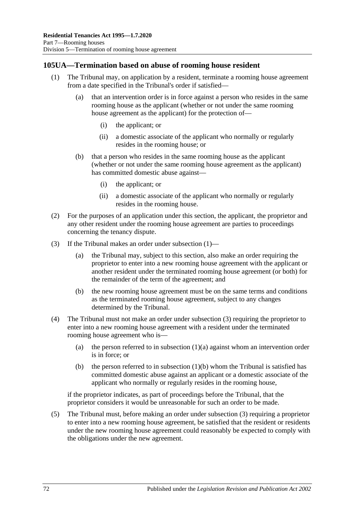## <span id="page-71-0"></span>**105UA—Termination based on abuse of rooming house resident**

- <span id="page-71-2"></span>(1) The Tribunal may, on application by a resident, terminate a rooming house agreement from a date specified in the Tribunal's order if satisfied—
	- (a) that an intervention order is in force against a person who resides in the same rooming house as the applicant (whether or not under the same rooming house agreement as the applicant) for the protection of—
		- (i) the applicant; or
		- (ii) a domestic associate of the applicant who normally or regularly resides in the rooming house; or
	- (b) that a person who resides in the same rooming house as the applicant (whether or not under the same rooming house agreement as the applicant) has committed domestic abuse against—
		- (i) the applicant; or
		- (ii) a domestic associate of the applicant who normally or regularly resides in the rooming house.
- <span id="page-71-3"></span>(2) For the purposes of an application under this section, the applicant, the proprietor and any other resident under the rooming house agreement are parties to proceedings concerning the tenancy dispute.
- <span id="page-71-1"></span>(3) If the Tribunal makes an order under [subsection](#page-71-0) (1)—
	- (a) the Tribunal may, subject to this section, also make an order requiring the proprietor to enter into a new rooming house agreement with the applicant or another resident under the terminated rooming house agreement (or both) for the remainder of the term of the agreement; and
	- (b) the new rooming house agreement must be on the same terms and conditions as the terminated rooming house agreement, subject to any changes determined by the Tribunal.
- (4) The Tribunal must not make an order under [subsection](#page-71-1) (3) requiring the proprietor to enter into a new rooming house agreement with a resident under the terminated rooming house agreement who is
	- (a) the person referred to in [subsection](#page-71-2)  $(1)(a)$  against whom an intervention order is in force; or
	- (b) the person referred to in [subsection](#page-71-3)  $(1)(b)$  whom the Tribunal is satisfied has committed domestic abuse against an applicant or a domestic associate of the applicant who normally or regularly resides in the rooming house,

if the proprietor indicates, as part of proceedings before the Tribunal, that the proprietor considers it would be unreasonable for such an order to be made.

(5) The Tribunal must, before making an order under [subsection](#page-71-1) (3) requiring a proprietor to enter into a new rooming house agreement, be satisfied that the resident or residents under the new rooming house agreement could reasonably be expected to comply with the obligations under the new agreement.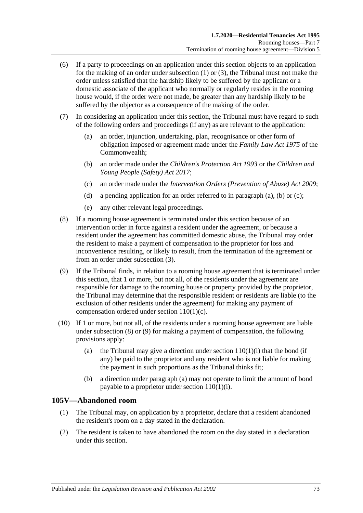- (6) If a party to proceedings on an application under this section objects to an application for the making of an order under [subsection](#page-71-0) (1) or [\(3\),](#page-71-1) the Tribunal must not make the order unless satisfied that the hardship likely to be suffered by the applicant or a domestic associate of the applicant who normally or regularly resides in the rooming house would, if the order were not made, be greater than any hardship likely to be suffered by the objector as a consequence of the making of the order.
- <span id="page-72-1"></span><span id="page-72-0"></span>(7) In considering an application under this section, the Tribunal must have regard to such of the following orders and proceedings (if any) as are relevant to the application:
	- (a) an order, injunction, undertaking, plan, recognisance or other form of obligation imposed or agreement made under the *Family Law Act 1975* of the Commonwealth;
	- (b) an order made under the *[Children's Protection Act](http://www.legislation.sa.gov.au/index.aspx?action=legref&type=act&legtitle=Childrens%20Protection%20Act%201993) 1993* or the *[Children and](http://www.legislation.sa.gov.au/index.aspx?action=legref&type=act&legtitle=Children%20and%20Young%20People%20(Safety)%20Act%202017)  [Young People \(Safety\) Act](http://www.legislation.sa.gov.au/index.aspx?action=legref&type=act&legtitle=Children%20and%20Young%20People%20(Safety)%20Act%202017) 2017*;
	- (c) an order made under the *[Intervention Orders \(Prevention of Abuse\) Act](http://www.legislation.sa.gov.au/index.aspx?action=legref&type=act&legtitle=Intervention%20Orders%20(Prevention%20of%20Abuse)%20Act%202009) 2009*;
	- (d) a pending application for an order referred to in [paragraph](#page-72-0) (a), [\(b\)](#page-72-1) or [\(c\);](#page-72-2)
	- (e) any other relevant legal proceedings.
- <span id="page-72-3"></span><span id="page-72-2"></span>(8) If a rooming house agreement is terminated under this section because of an intervention order in force against a resident under the agreement, or because a resident under the agreement has committed domestic abuse, the Tribunal may order the resident to make a payment of compensation to the proprietor for loss and inconvenience resulting, or likely to result, from the termination of the agreement or from an order under [subsection](#page-71-1) (3).
- <span id="page-72-4"></span>(9) If the Tribunal finds, in relation to a rooming house agreement that is terminated under this section, that 1 or more, but not all, of the residents under the agreement are responsible for damage to the rooming house or property provided by the proprietor, the Tribunal may determine that the responsible resident or residents are liable (to the exclusion of other residents under the agreement) for making any payment of compensation ordered under section [110\(1\)\(c\).](#page-76-0)
- <span id="page-72-5"></span>(10) If 1 or more, but not all, of the residents under a rooming house agreement are liable under [subsection](#page-72-3) (8) or [\(9\)](#page-72-4) for making a payment of compensation, the following provisions apply:
	- (a) the Tribunal may give a direction under section  $110(1)(i)$  that the bond (if any) be paid to the proprietor and any resident who is not liable for making the payment in such proportions as the Tribunal thinks fit;
	- (b) a direction under [paragraph](#page-72-5) (a) may not operate to limit the amount of bond payable to a proprietor under section [110\(1\)\(i\).](#page-76-1)

## **105V—Abandoned room**

- (1) The Tribunal may, on application by a proprietor, declare that a resident abandoned the resident's room on a day stated in the declaration.
- (2) The resident is taken to have abandoned the room on the day stated in a declaration under this section.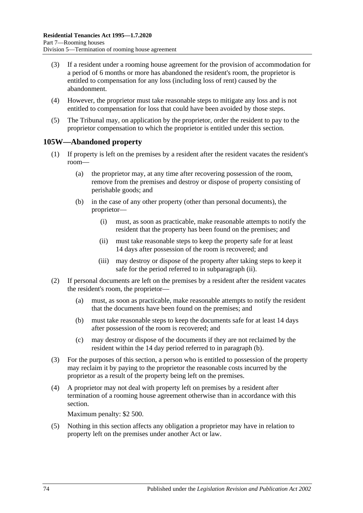- (3) If a resident under a rooming house agreement for the provision of accommodation for a period of 6 months or more has abandoned the resident's room, the proprietor is entitled to compensation for any loss (including loss of rent) caused by the abandonment.
- (4) However, the proprietor must take reasonable steps to mitigate any loss and is not entitled to compensation for loss that could have been avoided by those steps.
- (5) The Tribunal may, on application by the proprietor, order the resident to pay to the proprietor compensation to which the proprietor is entitled under this section.

## <span id="page-73-2"></span>**105W—Abandoned property**

- (1) If property is left on the premises by a resident after the resident vacates the resident's room—
	- (a) the proprietor may, at any time after recovering possession of the room, remove from the premises and destroy or dispose of property consisting of perishable goods; and
	- (b) in the case of any other property (other than personal documents), the proprietor—
		- (i) must, as soon as practicable, make reasonable attempts to notify the resident that the property has been found on the premises; and
		- (ii) must take reasonable steps to keep the property safe for at least 14 days after possession of the room is recovered; and
		- (iii) may destroy or dispose of the property after taking steps to keep it safe for the period referred to in [subparagraph](#page-73-0) (ii).
- <span id="page-73-1"></span><span id="page-73-0"></span>(2) If personal documents are left on the premises by a resident after the resident vacates the resident's room, the proprietor—
	- (a) must, as soon as practicable, make reasonable attempts to notify the resident that the documents have been found on the premises; and
	- (b) must take reasonable steps to keep the documents safe for at least 14 days after possession of the room is recovered; and
	- (c) may destroy or dispose of the documents if they are not reclaimed by the resident within the 14 day period referred to in [paragraph](#page-73-1) (b).
- (3) For the purposes of this section, a person who is entitled to possession of the property may reclaim it by paying to the proprietor the reasonable costs incurred by the proprietor as a result of the property being left on the premises.
- (4) A proprietor may not deal with property left on premises by a resident after termination of a rooming house agreement otherwise than in accordance with this section.

Maximum penalty: \$2 500.

(5) Nothing in this section affects any obligation a proprietor may have in relation to property left on the premises under another Act or law.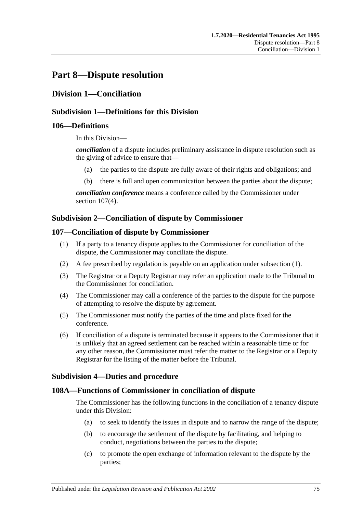## **Part 8—Dispute resolution**

## **Division 1—Conciliation**

## **Subdivision 1—Definitions for this Division**

#### **106—Definitions**

In this Division—

*conciliation* of a dispute includes preliminary assistance in dispute resolution such as the giving of advice to ensure that—

- (a) the parties to the dispute are fully aware of their rights and obligations; and
- (b) there is full and open communication between the parties about the dispute;

*conciliation conference* means a conference called by the Commissioner under section [107\(4\).](#page-74-0)

## **Subdivision 2—Conciliation of dispute by Commissioner**

#### <span id="page-74-1"></span>**107—Conciliation of dispute by Commissioner**

- (1) If a party to a tenancy dispute applies to the Commissioner for conciliation of the dispute, the Commissioner may conciliate the dispute.
- (2) A fee prescribed by regulation is payable on an application under [subsection](#page-74-1) (1).
- (3) The Registrar or a Deputy Registrar may refer an application made to the Tribunal to the Commissioner for conciliation.
- <span id="page-74-0"></span>(4) The Commissioner may call a conference of the parties to the dispute for the purpose of attempting to resolve the dispute by agreement.
- (5) The Commissioner must notify the parties of the time and place fixed for the conference.
- (6) If conciliation of a dispute is terminated because it appears to the Commissioner that it is unlikely that an agreed settlement can be reached within a reasonable time or for any other reason, the Commissioner must refer the matter to the Registrar or a Deputy Registrar for the listing of the matter before the Tribunal.

## **Subdivision 4—Duties and procedure**

## **108A—Functions of Commissioner in conciliation of dispute**

The Commissioner has the following functions in the conciliation of a tenancy dispute under this Division:

- (a) to seek to identify the issues in dispute and to narrow the range of the dispute;
- (b) to encourage the settlement of the dispute by facilitating, and helping to conduct, negotiations between the parties to the dispute;
- (c) to promote the open exchange of information relevant to the dispute by the parties;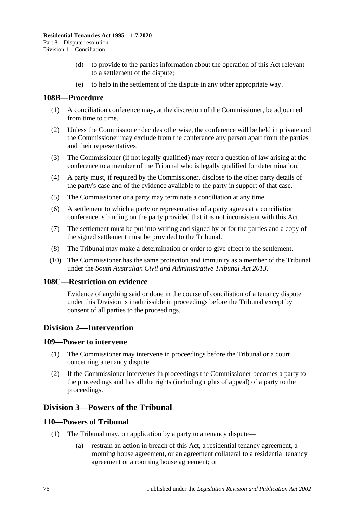- (d) to provide to the parties information about the operation of this Act relevant to a settlement of the dispute;
- (e) to help in the settlement of the dispute in any other appropriate way.

#### **108B—Procedure**

- (1) A conciliation conference may, at the discretion of the Commissioner, be adjourned from time to time.
- (2) Unless the Commissioner decides otherwise, the conference will be held in private and the Commissioner may exclude from the conference any person apart from the parties and their representatives.
- (3) The Commissioner (if not legally qualified) may refer a question of law arising at the conference to a member of the Tribunal who is legally qualified for determination.
- (4) A party must, if required by the Commissioner, disclose to the other party details of the party's case and of the evidence available to the party in support of that case.
- (5) The Commissioner or a party may terminate a conciliation at any time.
- (6) A settlement to which a party or representative of a party agrees at a conciliation conference is binding on the party provided that it is not inconsistent with this Act.
- (7) The settlement must be put into writing and signed by or for the parties and a copy of the signed settlement must be provided to the Tribunal.
- (8) The Tribunal may make a determination or order to give effect to the settlement.
- (10) The Commissioner has the same protection and immunity as a member of the Tribunal under the *[South Australian Civil and Administrative Tribunal Act](http://www.legislation.sa.gov.au/index.aspx?action=legref&type=act&legtitle=South%20Australian%20Civil%20and%20Administrative%20Tribunal%20Act%202013) 2013*.

#### **108C—Restriction on evidence**

Evidence of anything said or done in the course of conciliation of a tenancy dispute under this Division is inadmissible in proceedings before the Tribunal except by consent of all parties to the proceedings.

## **Division 2—Intervention**

#### **109—Power to intervene**

- (1) The Commissioner may intervene in proceedings before the Tribunal or a court concerning a tenancy dispute.
- (2) If the Commissioner intervenes in proceedings the Commissioner becomes a party to the proceedings and has all the rights (including rights of appeal) of a party to the proceedings.

## **Division 3—Powers of the Tribunal**

#### **110—Powers of Tribunal**

- (1) The Tribunal may, on application by a party to a tenancy dispute—
	- (a) restrain an action in breach of this Act, a residential tenancy agreement, a rooming house agreement, or an agreement collateral to a residential tenancy agreement or a rooming house agreement; or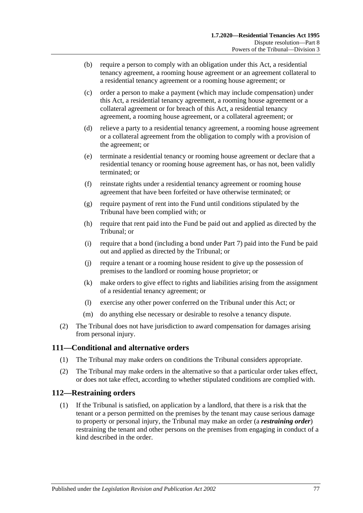- (b) require a person to comply with an obligation under this Act, a residential tenancy agreement, a rooming house agreement or an agreement collateral to a residential tenancy agreement or a rooming house agreement; or
- <span id="page-76-0"></span>(c) order a person to make a payment (which may include compensation) under this Act, a residential tenancy agreement, a rooming house agreement or a collateral agreement or for breach of this Act, a residential tenancy agreement, a rooming house agreement, or a collateral agreement; or
- (d) relieve a party to a residential tenancy agreement, a rooming house agreement or a collateral agreement from the obligation to comply with a provision of the agreement; or
- (e) terminate a residential tenancy or rooming house agreement or declare that a residential tenancy or rooming house agreement has, or has not, been validly terminated; or
- (f) reinstate rights under a residential tenancy agreement or rooming house agreement that have been forfeited or have otherwise terminated; or
- (g) require payment of rent into the Fund until conditions stipulated by the Tribunal have been complied with; or
- (h) require that rent paid into the Fund be paid out and applied as directed by the Tribunal; or
- <span id="page-76-1"></span>(i) require that a bond (including a bond under [Part 7\)](#page-59-0) paid into the Fund be paid out and applied as directed by the Tribunal; or
- (j) require a tenant or a rooming house resident to give up the possession of premises to the landlord or rooming house proprietor; or
- (k) make orders to give effect to rights and liabilities arising from the assignment of a residential tenancy agreement; or
- (l) exercise any other power conferred on the Tribunal under this Act; or
- (m) do anything else necessary or desirable to resolve a tenancy dispute.
- (2) The Tribunal does not have jurisdiction to award compensation for damages arising from personal injury.

## **111—Conditional and alternative orders**

- (1) The Tribunal may make orders on conditions the Tribunal considers appropriate.
- (2) The Tribunal may make orders in the alternative so that a particular order takes effect, or does not take effect, according to whether stipulated conditions are complied with.

#### **112—Restraining orders**

(1) If the Tribunal is satisfied, on application by a landlord, that there is a risk that the tenant or a person permitted on the premises by the tenant may cause serious damage to property or personal injury, the Tribunal may make an order (a *restraining order*) restraining the tenant and other persons on the premises from engaging in conduct of a kind described in the order.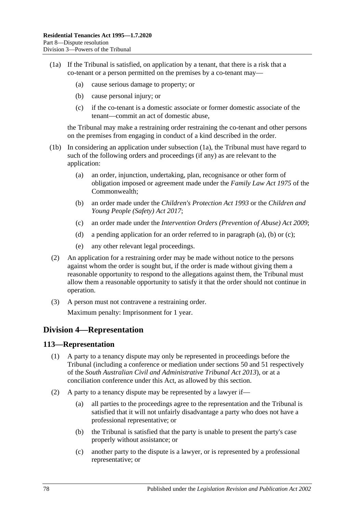- (1a) If the Tribunal is satisfied, on application by a tenant, that there is a risk that a co-tenant or a person permitted on the premises by a co-tenant may—
	- (a) cause serious damage to property; or
	- (b) cause personal injury; or
	- (c) if the co-tenant is a domestic associate or former domestic associate of the tenant—commit an act of domestic abuse,

the Tribunal may make a restraining order restraining the co-tenant and other persons on the premises from engaging in conduct of a kind described in the order.

- <span id="page-77-1"></span><span id="page-77-0"></span>(1b) In considering an application under subsection (1a), the Tribunal must have regard to such of the following orders and proceedings (if any) as are relevant to the application:
	- (a) an order, injunction, undertaking, plan, recognisance or other form of obligation imposed or agreement made under the *Family Law Act 1975* of the Commonwealth;
	- (b) an order made under the *[Children's Protection Act](http://www.legislation.sa.gov.au/index.aspx?action=legref&type=act&legtitle=Childrens%20Protection%20Act%201993) 1993* or the *[Children and](http://www.legislation.sa.gov.au/index.aspx?action=legref&type=act&legtitle=Children%20and%20Young%20People%20(Safety)%20Act%202017)  [Young People \(Safety\) Act](http://www.legislation.sa.gov.au/index.aspx?action=legref&type=act&legtitle=Children%20and%20Young%20People%20(Safety)%20Act%202017) 2017*;
	- (c) an order made under the *[Intervention Orders \(Prevention of Abuse\) Act](http://www.legislation.sa.gov.au/index.aspx?action=legref&type=act&legtitle=Intervention%20Orders%20(Prevention%20of%20Abuse)%20Act%202009) 2009*;
	- (d) a pending application for an order referred to in [paragraph](#page-77-0) (a), [\(b\)](#page-77-1) or [\(c\);](#page-77-2)
	- (e) any other relevant legal proceedings.
- <span id="page-77-2"></span>(2) An application for a restraining order may be made without notice to the persons against whom the order is sought but, if the order is made without giving them a reasonable opportunity to respond to the allegations against them, the Tribunal must allow them a reasonable opportunity to satisfy it that the order should not continue in operation.
- (3) A person must not contravene a restraining order. Maximum penalty: Imprisonment for 1 year.

## **Division 4—Representation**

#### **113—Representation**

- (1) A party to a tenancy dispute may only be represented in proceedings before the Tribunal (including a conference or mediation under sections 50 and 51 respectively of the *[South Australian Civil and Administrative Tribunal Act](http://www.legislation.sa.gov.au/index.aspx?action=legref&type=act&legtitle=South%20Australian%20Civil%20and%20Administrative%20Tribunal%20Act%202013) 2013*), or at a conciliation conference under this Act, as allowed by this section.
- (2) A party to a tenancy dispute may be represented by a lawyer if—
	- (a) all parties to the proceedings agree to the representation and the Tribunal is satisfied that it will not unfairly disadvantage a party who does not have a professional representative; or
	- (b) the Tribunal is satisfied that the party is unable to present the party's case properly without assistance; or
	- (c) another party to the dispute is a lawyer, or is represented by a professional representative; or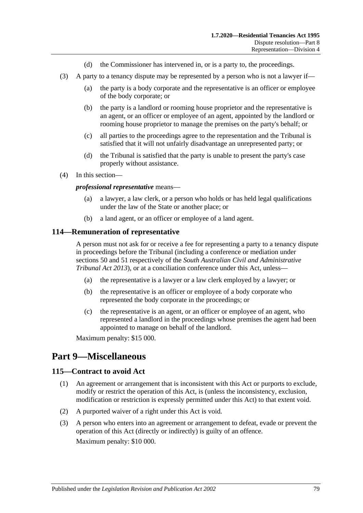- (d) the Commissioner has intervened in, or is a party to, the proceedings.
- (3) A party to a tenancy dispute may be represented by a person who is not a lawyer if—
	- (a) the party is a body corporate and the representative is an officer or employee of the body corporate; or
	- (b) the party is a landlord or rooming house proprietor and the representative is an agent, or an officer or employee of an agent, appointed by the landlord or rooming house proprietor to manage the premises on the party's behalf; or
	- (c) all parties to the proceedings agree to the representation and the Tribunal is satisfied that it will not unfairly disadvantage an unrepresented party; or
	- (d) the Tribunal is satisfied that the party is unable to present the party's case properly without assistance.
- (4) In this section—

#### *professional representative* means—

- (a) a lawyer, a law clerk, or a person who holds or has held legal qualifications under the law of the State or another place; or
- (b) a land agent, or an officer or employee of a land agent.

#### **114—Remuneration of representative**

A person must not ask for or receive a fee for representing a party to a tenancy dispute in proceedings before the Tribunal (including a conference or mediation under sections 50 and 51 respectively of the *[South Australian Civil and Administrative](http://www.legislation.sa.gov.au/index.aspx?action=legref&type=act&legtitle=South%20Australian%20Civil%20and%20Administrative%20Tribunal%20Act%202013)  [Tribunal Act](http://www.legislation.sa.gov.au/index.aspx?action=legref&type=act&legtitle=South%20Australian%20Civil%20and%20Administrative%20Tribunal%20Act%202013) 2013*), or at a conciliation conference under this Act, unless—

- (a) the representative is a lawyer or a law clerk employed by a lawyer; or
- (b) the representative is an officer or employee of a body corporate who represented the body corporate in the proceedings; or
- (c) the representative is an agent, or an officer or employee of an agent, who represented a landlord in the proceedings whose premises the agent had been appointed to manage on behalf of the landlord.

Maximum penalty: \$15 000.

## **Part 9—Miscellaneous**

#### **115—Contract to avoid Act**

- (1) An agreement or arrangement that is inconsistent with this Act or purports to exclude, modify or restrict the operation of this Act, is (unless the inconsistency, exclusion, modification or restriction is expressly permitted under this Act) to that extent void.
- (2) A purported waiver of a right under this Act is void.
- (3) A person who enters into an agreement or arrangement to defeat, evade or prevent the operation of this Act (directly or indirectly) is guilty of an offence. Maximum penalty: \$10 000.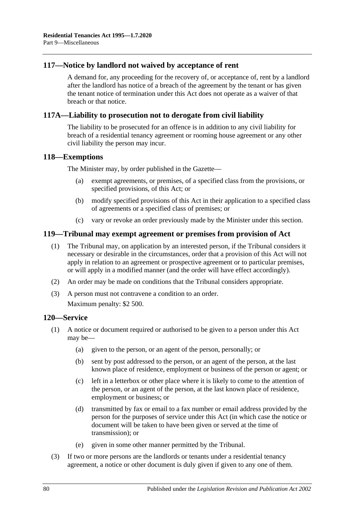## **117—Notice by landlord not waived by acceptance of rent**

A demand for, any proceeding for the recovery of, or acceptance of, rent by a landlord after the landlord has notice of a breach of the agreement by the tenant or has given the tenant notice of termination under this Act does not operate as a waiver of that breach or that notice.

## **117A—Liability to prosecution not to derogate from civil liability**

The liability to be prosecuted for an offence is in addition to any civil liability for breach of a residential tenancy agreement or rooming house agreement or any other civil liability the person may incur.

#### **118—Exemptions**

The Minister may, by order published in the Gazette—

- (a) exempt agreements, or premises, of a specified class from the provisions, or specified provisions, of this Act; or
- (b) modify specified provisions of this Act in their application to a specified class of agreements or a specified class of premises; or
- (c) vary or revoke an order previously made by the Minister under this section.

## **119—Tribunal may exempt agreement or premises from provision of Act**

- (1) The Tribunal may, on application by an interested person, if the Tribunal considers it necessary or desirable in the circumstances, order that a provision of this Act will not apply in relation to an agreement or prospective agreement or to particular premises, or will apply in a modified manner (and the order will have effect accordingly).
- (2) An order may be made on conditions that the Tribunal considers appropriate.
- (3) A person must not contravene a condition to an order.

Maximum penalty: \$2 500.

#### **120—Service**

- (1) A notice or document required or authorised to be given to a person under this Act may be—
	- (a) given to the person, or an agent of the person, personally; or
	- (b) sent by post addressed to the person, or an agent of the person, at the last known place of residence, employment or business of the person or agent; or
	- (c) left in a letterbox or other place where it is likely to come to the attention of the person, or an agent of the person, at the last known place of residence, employment or business; or
	- (d) transmitted by fax or email to a fax number or email address provided by the person for the purposes of service under this Act (in which case the notice or document will be taken to have been given or served at the time of transmission); or
	- (e) given in some other manner permitted by the Tribunal.
- (3) If two or more persons are the landlords or tenants under a residential tenancy agreement, a notice or other document is duly given if given to any one of them.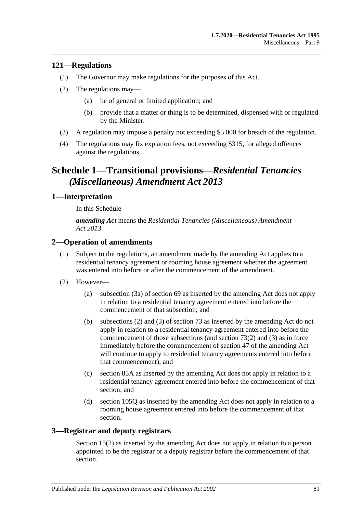## **121—Regulations**

- (1) The Governor may make regulations for the purposes of this Act.
- (2) The regulations may—
	- (a) be of general or limited application; and
	- (b) provide that a matter or thing is to be determined, dispensed with or regulated by the Minister.
- (3) A regulation may impose a penalty not exceeding \$5 000 for breach of the regulation.
- (4) The regulations may fix expiation fees, not exceeding \$315, for alleged offences against the regulations.

## **Schedule 1—Transitional provisions—***Residential Tenancies (Miscellaneous) Amendment Act 2013*

## **1—Interpretation**

In this Schedule—

*amending Act* means the *[Residential Tenancies \(Miscellaneous\) Amendment](http://www.legislation.sa.gov.au/index.aspx?action=legref&type=act&legtitle=Residential%20Tenancies%20(Miscellaneous)%20Amendment%20Act%202013)  Act [2013](http://www.legislation.sa.gov.au/index.aspx?action=legref&type=act&legtitle=Residential%20Tenancies%20(Miscellaneous)%20Amendment%20Act%202013)*.

## **2—Operation of amendments**

- (1) Subject to the regulations, an amendment made by the amending Act applies to a residential tenancy agreement or rooming house agreement whether the agreement was entered into before or after the commencement of the amendment.
- (2) However—
	- (a) [subsection](#page-28-0) (3a) of [section](#page-27-0) 69 as inserted by the amending Act does not apply in relation to a residential tenancy agreement entered into before the commencement of that subsection; and
	- (b) [subsections](#page-31-0) (2) and [\(3\)](#page-31-1) of [section](#page-31-2) 73 as inserted by the amending Act do not apply in relation to a residential tenancy agreement entered into before the commencement of those subsections (and [section](#page-31-0) 73(2) and [\(3\)](#page-31-1) as in force immediately before the commencement of section 47 of the amending Act will continue to apply to residential tenancy agreements entered into before that commencement); and
	- (c) [section](#page-40-0) 85A as inserted by the amending Act does not apply in relation to a residential tenancy agreement entered into before the commencement of that section; and
	- (d) [section](#page-68-0) 105Q as inserted by the amending Act does not apply in relation to a rooming house agreement entered into before the commencement of that section.

## **3—Registrar and deputy registrars**

Section 15(2) as inserted by the amending Act does not apply in relation to a person appointed to be the registrar or a deputy registrar before the commencement of that section.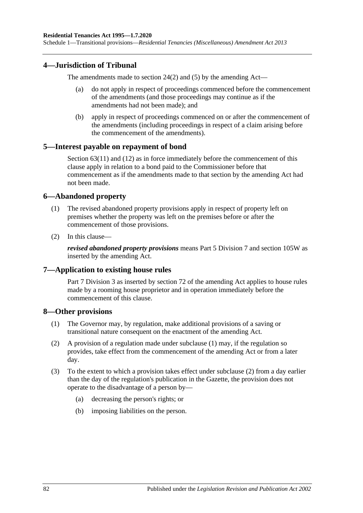Schedule 1—Transitional provisions—*Residential Tenancies (Miscellaneous) Amendment Act 2013*

#### **4—Jurisdiction of Tribunal**

The amendments made to [section](#page-12-0) 24(2) and [\(5\)](#page-12-1) by the amending Act—

- (a) do not apply in respect of proceedings commenced before the commencement of the amendments (and those proceedings may continue as if the amendments had not been made); and
- (b) apply in respect of proceedings commenced on or after the commencement of the amendments (including proceedings in respect of a claim arising before the commencement of the amendments).

#### **5—Interest payable on repayment of bond**

[Section](#page-25-0) 63(11) and (12) as in force immediately before the commencement of this clause apply in relation to a bond paid to the Commissioner before that commencement as if the amendments made to that section by the amending Act had not been made.

#### **6—Abandoned property**

- (1) The revised abandoned property provisions apply in respect of property left on premises whether the property was left on the premises before or after the commencement of those provisions.
- (2) In this clause—

*revised abandoned property provisions* means [Part 5 Division 7](#page-49-0) and [section](#page-73-2) 105W as inserted by the amending Act.

#### **7—Application to existing house rules**

[Part 7 Division](#page-60-0) 3 as inserted by section 72 of the amending Act applies to house rules made by a rooming house proprietor and in operation immediately before the commencement of this clause.

#### <span id="page-81-0"></span>**8—Other provisions**

- (1) The Governor may, by regulation, make additional provisions of a saving or transitional nature consequent on the enactment of the amending Act.
- <span id="page-81-1"></span>(2) A provision of a regulation made under [subclause](#page-81-0) (1) may, if the regulation so provides, take effect from the commencement of the amending Act or from a later day.
- (3) To the extent to which a provision takes effect under [subclause](#page-81-1) (2) from a day earlier than the day of the regulation's publication in the Gazette, the provision does not operate to the disadvantage of a person by—
	- (a) decreasing the person's rights; or
	- (b) imposing liabilities on the person.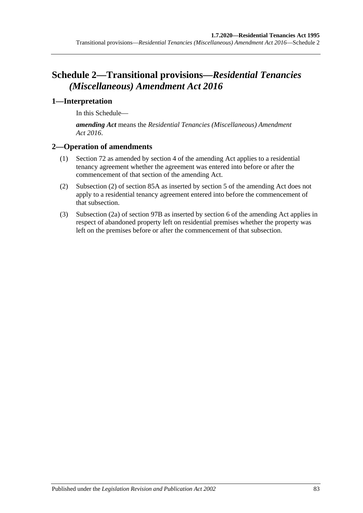# **Schedule 2—Transitional provisions—***Residential Tenancies (Miscellaneous) Amendment Act 2016*

## **1—Interpretation**

In this Schedule—

*amending Act* means the *[Residential Tenancies \(Miscellaneous\) Amendment](http://www.legislation.sa.gov.au/index.aspx?action=legref&type=act&legtitle=Residential%20Tenancies%20(Miscellaneous)%20Amendment%20Act%202016)  Act [2016](http://www.legislation.sa.gov.au/index.aspx?action=legref&type=act&legtitle=Residential%20Tenancies%20(Miscellaneous)%20Amendment%20Act%202016)*.

## **2—Operation of amendments**

- (1) [Section](#page-29-0) 72 as amended by section 4 of the amending Act applies to a residential tenancy agreement whether the agreement was entered into before or after the commencement of that section of the amending Act.
- (2) [Subsection](#page-40-1) (2) of [section](#page-40-0) 85A as inserted by section 5 of the amending Act does not apply to a residential tenancy agreement entered into before the commencement of that subsection.
- (3) [Subsection](#page-49-1) (2a) of [section](#page-49-2) 97B as inserted by section 6 of the amending Act applies in respect of abandoned property left on residential premises whether the property was left on the premises before or after the commencement of that subsection.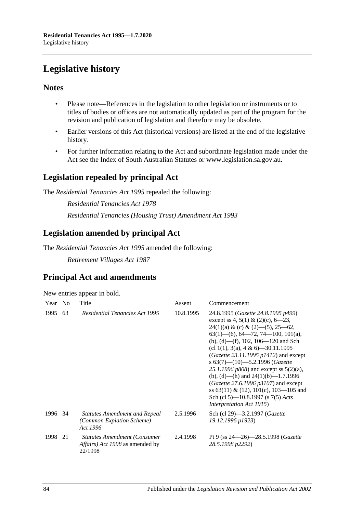# **Legislative history**

## **Notes**

- Please note—References in the legislation to other legislation or instruments or to titles of bodies or offices are not automatically updated as part of the program for the revision and publication of legislation and therefore may be obsolete.
- Earlier versions of this Act (historical versions) are listed at the end of the legislative history.
- For further information relating to the Act and subordinate legislation made under the Act see the Index of South Australian Statutes or www.legislation.sa.gov.au.

## **Legislation repealed by principal Act**

The *Residential Tenancies Act 1995* repealed the following:

*Residential Tenancies Act 1978 Residential Tenancies (Housing Trust) Amendment Act 1993*

## **Legislation amended by principal Act**

The *Residential Tenancies Act 1995* amended the following:

*Retirement Villages Act 1987*

## **Principal Act and amendments**

| Year | N <sub>0</sub> | Title                                                                                            | Assent    | Commencement                                                                                                                                                                                                                                                                                                                                                                                                                                                                                                                                                                             |
|------|----------------|--------------------------------------------------------------------------------------------------|-----------|------------------------------------------------------------------------------------------------------------------------------------------------------------------------------------------------------------------------------------------------------------------------------------------------------------------------------------------------------------------------------------------------------------------------------------------------------------------------------------------------------------------------------------------------------------------------------------------|
| 1995 | 63             | <b>Residential Tenancies Act 1995</b>                                                            | 10.8.1995 | 24.8.1995 (Gazette 24.8.1995 p499)<br>except ss 4, 5(1) & (2)(c), 6–23,<br>$24(1)(a) & (c) & (2) - (5), 25 - 62,$<br>$63(1)$ —(6), 64—72, 74—100, 101(a),<br>(b), (d)—(f), 102, 106—120 and Sch<br>(cl 1(1), 3(a), 4 & 6)—30.11.1995<br>$(Gazette 23.11.1995 p1412)$ and except<br>s $63(7)$ - $(10)$ - 5.2.1996 (Gazette<br>25.1.1996 $p808$ ) and except ss $5(2)(a)$ ,<br>(b), (d)—(h) and $24(1)(b)$ —1.7.1996<br>(Gazette 27.6.1996 $p3107$ ) and except<br>ss $63(11) \& (12)$ , $101(c)$ , $103-105$ and<br>Sch (cl 5)—10.8.1997 (s 7(5) Acts<br><i>Interpretation Act 1915</i> ) |
| 1996 | -34            | <b>Statutes Amendment and Repeal</b><br>(Common Expiation Scheme)<br>Act 1996                    | 2.5.1996  | Sch (cl 29)-3.2.1997 (Gazette<br>19.12.1996 p1923)                                                                                                                                                                                                                                                                                                                                                                                                                                                                                                                                       |
| 1998 | 21             | <b>Statutes Amendment (Consumer</b><br><i>Affairs</i> ) <i>Act 1998</i> as amended by<br>22/1998 | 2.4.1998  | Pt 9 (ss 24-26)-28.5.1998 (Gazette<br>28.5.1998 p2292)                                                                                                                                                                                                                                                                                                                                                                                                                                                                                                                                   |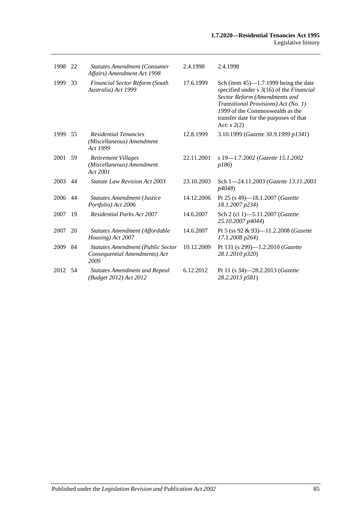| 1998    | 22 | <b>Statutes Amendment (Consumer</b><br>Affairs) Amendment Act 1998                | 2.4.1998   | 2.4.1998                                                                                                                                                                                                                                                  |
|---------|----|-----------------------------------------------------------------------------------|------------|-----------------------------------------------------------------------------------------------------------------------------------------------------------------------------------------------------------------------------------------------------------|
| 1999    | 33 | <b>Financial Sector Reform (South</b><br>Australia) Act 1999                      | 17.6.1999  | Sch (item $45$ )—1.7.1999 being the date<br>specified under s 3(16) of the Financial<br>Sector Reform (Amendments and<br>Transitional Provisions) Act (No. 1)<br>1999 of the Commonwealth as the<br>transfer date for the purposes of that<br>Act: $s(2)$ |
| 1999    | 55 | <b>Residential Tenancies</b><br>(Miscellaneous) Amendment<br>Act 1999             | 12.8.1999  | 3.10.1999 (Gazette 30.9.1999 p1341)                                                                                                                                                                                                                       |
| 2001    | 59 | Retirement Villages<br>(Miscellaneous) Amendment<br>Act 2001                      | 22.11.2001 | s 19-1.7.2002 (Gazette 15.1.2002<br>p186                                                                                                                                                                                                                  |
| 2003    | 44 | <b>Statute Law Revision Act 2003</b>                                              | 23.10.2003 | Sch 1-24.11.2003 (Gazette 13.11.2003<br>p4048)                                                                                                                                                                                                            |
| 2006    | 44 | <b>Statutes Amendment (Justice</b><br>Portfolio) Act 2006                         | 14.12.2006 | Pt 25 (s 49)-18.1.2007 ( <i>Gazette</i><br>18.1.2007 p234)                                                                                                                                                                                                |
| 2007    | 19 | <b>Residential Parks Act 2007</b>                                                 | 14.6.2007  | Sch 2 (cl 1)-5.11.2007 (Gazette<br>25.10.2007 p4044)                                                                                                                                                                                                      |
| 2007    | 20 | Statutes Amendment (Affordable<br>Housing) Act 2007                               | 14.6.2007  | Pt 5 (ss 92 & 93)-11.2.2008 ( <i>Gazette</i><br>17.1.2008 p264)                                                                                                                                                                                           |
| 2009    | 84 | <b>Statutes Amendment (Public Sector</b><br>Consequential Amendments) Act<br>2009 | 10.12.2009 | Pt 131 (s 299)-1.2.2010 (Gazette<br>28.1.2010 p320)                                                                                                                                                                                                       |
| 2012 54 |    | <b>Statutes Amendment and Repeal</b><br>(Budget 2012) Act 2012                    | 6.12.2012  | Pt 11 (s 34)-28.2.2013 ( <i>Gazette</i><br>28.2.2013 p581)                                                                                                                                                                                                |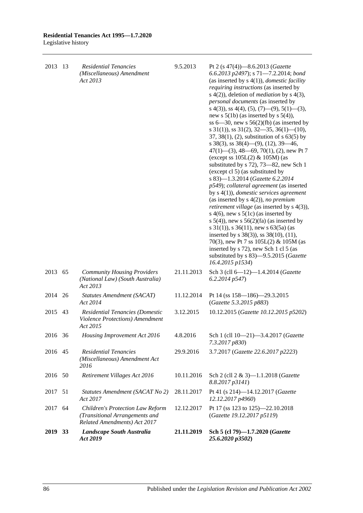| 2013    | -13 | <b>Residential Tenancies</b><br>(Miscellaneous) Amendment<br>Act 2013                                     | 9.5.2013   | Pt 2 (s 47(4))-8.6.2013 (Gazette<br>6.6.2013 p2497); s 71-7.2.2014; bond<br>(as inserted by $s(4(1))$ , <i>domestic facility</i><br><i>requiring instructions</i> (as inserted by<br>s $4(2)$ ), deletion of <i>mediation</i> by s $4(3)$ ,<br>personal documents (as inserted by                                                                                                                                                                                                                                                                                                                                                                                                                                                                                                                                                                                                                                                                                                                                           |
|---------|-----|-----------------------------------------------------------------------------------------------------------|------------|-----------------------------------------------------------------------------------------------------------------------------------------------------------------------------------------------------------------------------------------------------------------------------------------------------------------------------------------------------------------------------------------------------------------------------------------------------------------------------------------------------------------------------------------------------------------------------------------------------------------------------------------------------------------------------------------------------------------------------------------------------------------------------------------------------------------------------------------------------------------------------------------------------------------------------------------------------------------------------------------------------------------------------|
|         |     |                                                                                                           |            | s 4(3), ss 4(4), (5), (7)—(9), 5(1)—(3),<br>new s $5(1b)$ (as inserted by s $5(4)$ ),<br>ss $6-30$ , new s $56(2)(fb)$ (as inserted by<br>s $31(1)$ , ss $31(2)$ , $32-35$ , $36(1)$ (10),<br>37, 38(1), (2), substitution of $s$ 63(5) by<br>s 38(3), ss $38(4)$ —(9), (12), 39—46,<br>$47(1)$ — $(3)$ , 48—69, 70(1), (2), new Pt 7<br>(except ss $105L(2)$ & $105M$ ) (as<br>substituted by s 72), 73–82, new Sch 1<br>(except cl 5) (as substituted by<br>s 83)-1.3.2014 (Gazette 6.2.2014<br>p549); collateral agreement (as inserted<br>by $s(1)$ , <i>domestic services agreement</i><br>(as inserted by $s(4(2))$ , no premium<br>retirement village (as inserted by s 4(3)),<br>s 4(6), new s $5(1c)$ (as inserted by<br>s $5(4)$ , new s $56(2)(fa)$ (as inserted by<br>s $31(1)$ , s $36(11)$ , new s $63(5a)$ (as<br>inserted by s 38(3)), ss 38(10), (11),<br>70(3), new Pt 7 ss $105L(2)$ & $105M$ (as<br>inserted by s 72), new Sch 1 cl 5 (as<br>substituted by s 83)-9.5.2015 (Gazette<br>16.4.2015 p1534) |
| 2013 65 |     | <b>Community Housing Providers</b><br>(National Law) (South Australia)<br>Act 2013                        | 21.11.2013 | Sch 3 (cll 6-12)-1.4.2014 (Gazette<br>6.2.2014 p547)                                                                                                                                                                                                                                                                                                                                                                                                                                                                                                                                                                                                                                                                                                                                                                                                                                                                                                                                                                        |
| 2014    | 26  | Statutes Amendment (SACAT)<br>Act 2014                                                                    | 11.12.2014 | Pt 14 (ss 158-186)-29.3.2015<br>(Gazette 5.3.2015 p883)                                                                                                                                                                                                                                                                                                                                                                                                                                                                                                                                                                                                                                                                                                                                                                                                                                                                                                                                                                     |
| 2015    | 43  | Residential Tenancies (Domestic<br>Violence Protections) Amendment<br>Act 2015                            | 3.12.2015  | 10.12.2015 (Gazette 10.12.2015 p5202)                                                                                                                                                                                                                                                                                                                                                                                                                                                                                                                                                                                                                                                                                                                                                                                                                                                                                                                                                                                       |
| 2016    | 36  | Housing Improvement Act 2016                                                                              | 4.8.2016   | Sch 1 (cll 10-21)-3.4.2017 (Gazette<br>7.3.2017 p830)                                                                                                                                                                                                                                                                                                                                                                                                                                                                                                                                                                                                                                                                                                                                                                                                                                                                                                                                                                       |
| 2016 45 |     | <b>Residential Tenancies</b><br>(Miscellaneous) Amendment Act<br>2016                                     | 29.9.2016  | 3.7.2017 (Gazette 22.6.2017 p2223)                                                                                                                                                                                                                                                                                                                                                                                                                                                                                                                                                                                                                                                                                                                                                                                                                                                                                                                                                                                          |
| 2016    | 50  | Retirement Villages Act 2016                                                                              | 10.11.2016 | Sch 2 (cll 2 & 3)-1.1.2018 (Gazette<br>8.8.2017 p3141)                                                                                                                                                                                                                                                                                                                                                                                                                                                                                                                                                                                                                                                                                                                                                                                                                                                                                                                                                                      |
| 2017    | 51  | Statutes Amendment (SACAT No 2)<br>Act 2017                                                               | 28.11.2017 | Pt 41 (s 214)-14.12.2017 (Gazette<br>12.12.2017 p4960)                                                                                                                                                                                                                                                                                                                                                                                                                                                                                                                                                                                                                                                                                                                                                                                                                                                                                                                                                                      |
| 2017    | 64  | <b>Children's Protection Law Reform</b><br>(Transitional Arrangements and<br>Related Amendments) Act 2017 | 12.12.2017 | Pt 17 (ss 123 to 125)-22.10.2018<br>(Gazette 19.12.2017 p5119)                                                                                                                                                                                                                                                                                                                                                                                                                                                                                                                                                                                                                                                                                                                                                                                                                                                                                                                                                              |
| 2019    | 33  | Landscape South Australia<br>Act 2019                                                                     | 21.11.2019 | Sch 5 (cl 79)-1.7.2020 (Gazette<br>25.6.2020 p3502)                                                                                                                                                                                                                                                                                                                                                                                                                                                                                                                                                                                                                                                                                                                                                                                                                                                                                                                                                                         |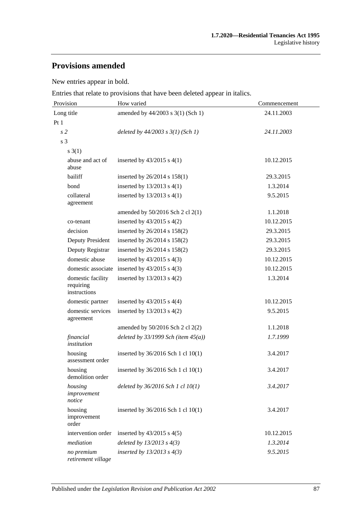## **Provisions amended**

New entries appear in bold.

Entries that relate to provisions that have been deleted appear in italics.

| Provision                                      | How varied                               | Commencement |  |
|------------------------------------------------|------------------------------------------|--------------|--|
| Long title                                     | amended by 44/2003 s 3(1) (Sch 1)        | 24.11.2003   |  |
| Pt1                                            |                                          |              |  |
| s <sub>2</sub>                                 | deleted by $44/2003$ s $3(1)$ (Sch 1)    | 24.11.2003   |  |
| s 3                                            |                                          |              |  |
| $s \; 3(1)$                                    |                                          |              |  |
| abuse and act of<br>abuse                      | inserted by $43/2015$ s $4(1)$           | 10.12.2015   |  |
| bailiff                                        | inserted by $26/2014$ s $158(1)$         | 29.3.2015    |  |
| bond                                           | inserted by $13/2013$ s $4(1)$           | 1.3.2014     |  |
| collateral<br>agreement                        | inserted by $13/2013$ s $4(1)$           | 9.5.2015     |  |
|                                                | amended by $50/2016$ Sch 2 cl 2(1)       | 1.1.2018     |  |
| co-tenant                                      | inserted by $43/2015$ s $4(2)$           | 10.12.2015   |  |
| decision                                       | inserted by 26/2014 s 158(2)             | 29.3.2015    |  |
| Deputy President                               | inserted by 26/2014 s 158(2)             | 29.3.2015    |  |
| Deputy Registrar                               | inserted by 26/2014 s 158(2)             | 29.3.2015    |  |
| domestic abuse                                 | inserted by $43/2015$ s $4(3)$           | 10.12.2015   |  |
| domestic associate                             | inserted by $43/2015$ s $4(3)$           | 10.12.2015   |  |
| domestic facility<br>requiring<br>instructions | inserted by $13/2013$ s $4(2)$           | 1.3.2014     |  |
| domestic partner                               | inserted by $43/2015$ s $4(4)$           | 10.12.2015   |  |
| domestic services<br>agreement                 | inserted by $13/2013$ s $4(2)$           | 9.5.2015     |  |
|                                                | amended by $50/2016$ Sch 2 cl 2(2)       | 1.1.2018     |  |
| financial<br>institution                       | deleted by $33/1999$ Sch (item $45(a)$ ) | 1.7.1999     |  |
| housing<br>assessment order                    | inserted by 36/2016 Sch 1 cl 10(1)       | 3.4.2017     |  |
| housing<br>demolition order                    | inserted by 36/2016 Sch 1 cl 10(1)       | 3.4.2017     |  |
| housing<br>improvement<br>notice               | deleted by $36/2016$ Sch 1 cl $10(1)$    | 3.4.2017     |  |
| housing<br>improvement<br>order                | inserted by 36/2016 Sch 1 cl 10(1)       | 3.4.2017     |  |
| intervention order                             | inserted by $43/2015$ s $4(5)$           | 10.12.2015   |  |
| mediation                                      | deleted by $13/2013$ s $4(3)$            | 1.3.2014     |  |
| no premium<br>retirement village               | inserted by $13/2013$ s $4(3)$           | 9.5.2015     |  |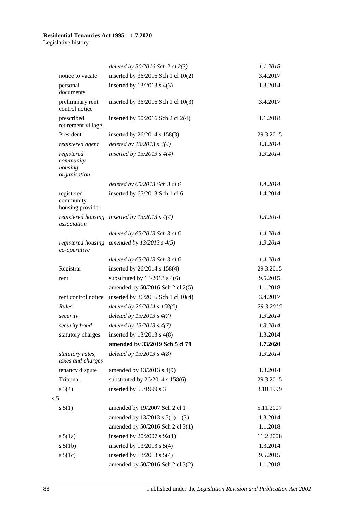|                                                    | deleted by $50/2016$ Sch 2 cl $2(3)$              | 1.1.2018  |
|----------------------------------------------------|---------------------------------------------------|-----------|
| notice to vacate                                   | inserted by 36/2016 Sch 1 cl 10(2)                | 3.4.2017  |
| personal<br>documents                              | inserted by $13/2013$ s $4(3)$                    | 1.3.2014  |
| preliminary rent<br>control notice                 | inserted by 36/2016 Sch 1 cl 10(3)                | 3.4.2017  |
| prescribed<br>retirement village                   | inserted by $50/2016$ Sch 2 cl 2(4)               | 1.1.2018  |
| President                                          | inserted by 26/2014 s 158(3)                      | 29.3.2015 |
| registered agent                                   | deleted by $13/2013$ s $4(4)$                     | 1.3.2014  |
| registered<br>community<br>housing<br>organisation | inserted by $13/2013$ s $4(4)$                    | 1.3.2014  |
|                                                    | deleted by 65/2013 Sch 3 cl 6                     | 1.4.2014  |
| registered<br>community<br>housing provider        | inserted by 65/2013 Sch 1 cl 6                    | 1.4.2014  |
| association                                        | registered housing inserted by $13/2013$ s $4(4)$ | 1.3.2014  |
|                                                    | deleted by 65/2013 Sch 3 cl 6                     | 1.4.2014  |
| co-operative                                       | registered housing amended by $13/2013$ s $4(5)$  | 1.3.2014  |
|                                                    | deleted by 65/2013 Sch 3 cl 6                     | 1.4.2014  |
| Registrar                                          | inserted by 26/2014 s 158(4)                      | 29.3.2015 |
| rent                                               | substituted by $13/2013$ s 4(6)                   | 9.5.2015  |
|                                                    | amended by 50/2016 Sch 2 cl 2(5)                  | 1.1.2018  |
| rent control notice                                | inserted by 36/2016 Sch 1 cl 10(4)                | 3.4.2017  |
| Rules                                              | deleted by 26/2014 s 158(5)                       | 29.3.2015 |
| security                                           | deleted by $13/2013$ s $4(7)$                     | 1.3.2014  |
| security bond                                      | deleted by $13/2013$ s $4(7)$                     | 1.3.2014  |
| statutory charges                                  | inserted by $13/2013$ s $4(8)$                    | 1.3.2014  |
|                                                    | amended by 33/2019 Sch 5 cl 79                    | 1.7.2020  |
| statutory rates,<br>taxes and charges              | deleted by $13/2013$ s $4(8)$                     | 1.3.2014  |
| tenancy dispute                                    | amended by $13/2013$ s $4(9)$                     | 1.3.2014  |
| Tribunal                                           | substituted by $26/2014$ s $158(6)$               | 29.3.2015 |
| $s \; 3(4)$                                        | inserted by 55/1999 s 3                           | 3.10.1999 |
| s <sub>5</sub>                                     |                                                   |           |
| s 5(1)                                             | amended by 19/2007 Sch 2 cl 1                     | 5.11.2007 |
|                                                    | amended by $13/2013$ s $5(1)$ —(3)                | 1.3.2014  |
|                                                    | amended by 50/2016 Sch 2 cl 3(1)                  | 1.1.2018  |
| $s\ 5(1a)$                                         | inserted by 20/2007 s 92(1)                       | 11.2.2008 |
| $s\ 5(1b)$                                         | inserted by $13/2013$ s $5(4)$                    | 1.3.2014  |
| $s\ 5(1c)$                                         | inserted by $13/2013$ s $5(4)$                    | 9.5.2015  |
|                                                    | amended by 50/2016 Sch 2 cl 3(2)                  | 1.1.2018  |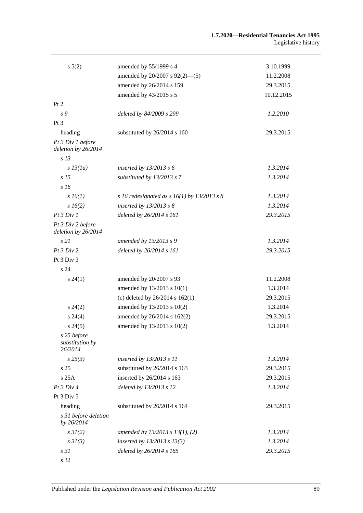|                                           | amended by 55/1999 s 4                        |            |
|-------------------------------------------|-----------------------------------------------|------------|
| $s\ 5(2)$                                 |                                               | 3.10.1999  |
|                                           | amended by 20/2007 s 92(2)-(5)                | 11.2.2008  |
|                                           | amended by 26/2014 s 159                      | 29.3.2015  |
|                                           | amended by 43/2015 s 5                        | 10.12.2015 |
| Pt 2                                      |                                               |            |
| s 9                                       | deleted by 84/2009 s 299                      | 1.2.2010   |
| Pt 3                                      |                                               |            |
| heading                                   | substituted by 26/2014 s 160                  | 29.3.2015  |
| Pt 3 Div 1 before<br>deletion by 26/2014  |                                               |            |
| s <sub>13</sub>                           |                                               |            |
| $s$ 13(1a)                                | inserted by $13/2013$ s 6                     | 1.3.2014   |
| s <sub>15</sub>                           | substituted by 13/2013 s 7                    | 1.3.2014   |
| s16                                       |                                               |            |
| $s\,16(1)$                                | s 16 redesignated as s $16(1)$ by 13/2013 s 8 | 1.3.2014   |
| $s\,16(2)$                                | inserted by $13/2013$ s 8                     | 1.3.2014   |
| Pt 3 Div 1                                | deleted by 26/2014 s 161                      | 29.3.2015  |
| Pt 3 Div 2 before<br>deletion by 26/2014  |                                               |            |
| s21                                       | amended by 13/2013 s 9                        | 1.3.2014   |
| Pt 3 Div 2                                | deleted by 26/2014 s 161                      | 29.3.2015  |
| Pt 3 Div 3                                |                                               |            |
| s 24                                      |                                               |            |
| $s\,24(1)$                                | amended by 20/2007 s 93                       | 11.2.2008  |
|                                           | amended by 13/2013 s 10(1)                    | 1.3.2014   |
|                                           | (c) deleted by $26/2014$ s $162(1)$           | 29.3.2015  |
| $s\,24(2)$                                | amended by 13/2013 s 10(2)                    | 1.3.2014   |
| $s\,24(4)$                                | amended by 26/2014 s 162(2)                   | 29.3.2015  |
| $s\,24(5)$                                | amended by 13/2013 s 10(2)                    | 1.3.2014   |
| s 25 before<br>substitution by<br>26/2014 |                                               |            |
| $s\,25(3)$                                | inserted by 13/2013 s 11                      | 1.3.2014   |
| s <sub>25</sub>                           | substituted by 26/2014 s 163                  | 29.3.2015  |
| s25A                                      | inserted by 26/2014 s 163                     | 29.3.2015  |
| Pt 3 Div 4                                | deleted by 13/2013 s 12                       | 1.3.2014   |
| Pt 3 Div 5                                |                                               |            |
| heading                                   | substituted by 26/2014 s 164                  | 29.3.2015  |
| s 31 before deletion<br>by 26/2014        |                                               |            |
| $s \, 3I(2)$                              | amended by $13/2013$ s $13(1)$ , (2)          | 1.3.2014   |
| $s \frac{3I(3)}{3}$                       | inserted by $13/2013$ s $13(3)$               | 1.3.2014   |
| s31                                       | deleted by 26/2014 s 165                      | 29.3.2015  |
| s 32                                      |                                               |            |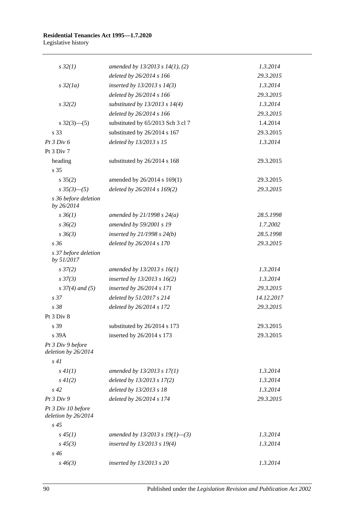## **Residential Tenancies Act 1995—1.7.2020**

Legislative history

| $s\,32(1)$                                | amended by $13/2013$ s $14(1)$ , (2) | 1.3.2014   |
|-------------------------------------------|--------------------------------------|------------|
|                                           | deleted by 26/2014 s 166             | 29.3.2015  |
| $s\,32(1a)$                               | inserted by $13/2013$ s $14(3)$      | 1.3.2014   |
|                                           | deleted by 26/2014 s 166             | 29.3.2015  |
| $s\,32(2)$                                | substituted by $13/2013$ s $14(4)$   | 1.3.2014   |
|                                           | deleted by 26/2014 s 166             | 29.3.2015  |
| $s \frac{32(3) - (5)}{2}$                 | substituted by 65/2013 Sch 3 cl 7    | 1.4.2014   |
| s 33                                      | substituted by 26/2014 s 167         | 29.3.2015  |
| Pt 3 Div 6                                | deleted by 13/2013 s 15              | 1.3.2014   |
| Pt 3 Div 7                                |                                      |            |
| heading                                   | substituted by 26/2014 s 168         | 29.3.2015  |
| s 35                                      |                                      |            |
| $s \; 35(2)$                              | amended by 26/2014 s 169(1)          | 29.3.2015  |
| $s \frac{35(3)-(5)}{2}$                   | deleted by $26/2014$ s $169(2)$      | 29.3.2015  |
| s 36 before deletion<br>by 26/2014        |                                      |            |
| $s \, 36(1)$                              | amended by $21/1998 s 24(a)$         | 28.5.1998  |
| $s \, 36(2)$                              | amended by 59/2001 s 19              | 1.7.2002   |
| $s \, 36(3)$                              | inserted by $21/1998 s 24(b)$        | 28.5.1998  |
| s36                                       | deleted by 26/2014 s 170             | 29.3.2015  |
| s 37 before deletion<br>by 51/2017        |                                      |            |
| $s \frac{37}{2}$                          | amended by $13/2013$ s $16(1)$       | 1.3.2014   |
| $s \frac{37(3)}{3}$                       | inserted by $13/2013$ s $16(2)$      | 1.3.2014   |
| $s \frac{37}{4}$ and (5)                  | inserted by 26/2014 s 171            | 29.3.2015  |
| s <sub>37</sub>                           | deleted by 51/2017 s 214             | 14.12.2017 |
| s 38                                      | deleted by 26/2014 s 172             | 29.3.2015  |
| Pt 3 Div 8                                |                                      |            |
| s 39                                      | substituted by 26/2014 s 173         | 29.3.2015  |
| s 39A                                     | inserted by 26/2014 s 173            | 29.3.2015  |
| Pt 3 Div 9 before<br>deletion by 26/2014  |                                      |            |
| s41                                       |                                      |            |
| s 4I(1)                                   | amended by $13/2013$ s $17(1)$       | 1.3.2014   |
| $s\,4I(2)$                                | deleted by 13/2013 s 17(2)           | 1.3.2014   |
| $s\,42$                                   | deleted by 13/2013 s 18              | 1.3.2014   |
| Pt3 Div9                                  | deleted by 26/2014 s 174             | 29.3.2015  |
| Pt 3 Div 10 before<br>deletion by 26/2014 |                                      |            |
| $s\,45$                                   |                                      |            |
| $s\,45(1)$                                | amended by 13/2013 s 19(1)-(3)       | 1.3.2014   |
| $s\,45(3)$                                | inserted by $13/2013$ s $19(4)$      | 1.3.2014   |
| $s\,46$                                   |                                      |            |
| $s\,46(3)$                                | inserted by $13/2013$ s 20           | 1.3.2014   |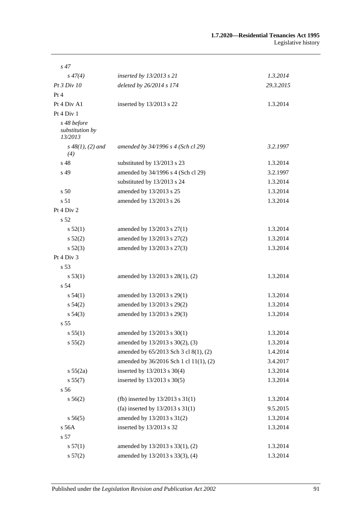| $s\,47$                                   |                                        |           |
|-------------------------------------------|----------------------------------------|-----------|
| $s\,47(4)$                                | inserted by 13/2013 s 21               | 1.3.2014  |
| Pt3 Div10                                 | deleted by 26/2014 s 174               | 29.3.2015 |
| Pt 4                                      |                                        |           |
| Pt 4 Div A1                               | inserted by 13/2013 s 22               | 1.3.2014  |
| Pt 4 Div 1                                |                                        |           |
| s 48 before<br>substitution by<br>13/2013 |                                        |           |
| $s\,48(1), (2)$ and<br>(4)                | amended by 34/1996 s 4 (Sch cl 29)     | 3.2.1997  |
| s 48                                      | substituted by 13/2013 s 23            | 1.3.2014  |
| s 49                                      | amended by 34/1996 s 4 (Sch cl 29)     | 3.2.1997  |
|                                           | substituted by 13/2013 s 24            | 1.3.2014  |
| s <sub>50</sub>                           | amended by 13/2013 s 25                | 1.3.2014  |
| s 51                                      | amended by 13/2013 s 26                | 1.3.2014  |
| Pt 4 Div 2                                |                                        |           |
| s <sub>52</sub>                           |                                        |           |
| s 52(1)                                   | amended by 13/2013 s 27(1)             | 1.3.2014  |
| $s\,52(2)$                                | amended by 13/2013 s 27(2)             | 1.3.2014  |
| $s\,52(3)$                                | amended by 13/2013 s 27(3)             | 1.3.2014  |
| Pt 4 Div 3                                |                                        |           |
| s 53                                      |                                        |           |
| s 53(1)                                   | amended by 13/2013 s 28(1), (2)        | 1.3.2014  |
| s 54                                      |                                        |           |
| s 54(1)                                   | amended by 13/2013 s 29(1)             | 1.3.2014  |
| $s\,54(2)$                                | amended by 13/2013 s 29(2)             | 1.3.2014  |
| $s\,54(3)$                                | amended by 13/2013 s 29(3)             | 1.3.2014  |
| s <sub>55</sub>                           |                                        |           |
| s 55(1)                                   | amended by 13/2013 s 30(1)             | 1.3.2014  |
| s 55(2)                                   | amended by 13/2013 s 30(2), (3)        | 1.3.2014  |
|                                           | amended by 65/2013 Sch 3 cl 8(1), (2)  | 1.4.2014  |
|                                           | amended by 36/2016 Sch 1 cl 11(1), (2) | 3.4.2017  |
| s 55(2a)                                  | inserted by 13/2013 s 30(4)            | 1.3.2014  |
| s 55(7)                                   | inserted by 13/2013 s 30(5)            | 1.3.2014  |
| s 56                                      |                                        |           |
| $s\,56(2)$                                | (fb) inserted by $13/2013$ s $31(1)$   | 1.3.2014  |
|                                           | (fa) inserted by $13/2013$ s $31(1)$   | 9.5.2015  |
| s 56(5)                                   | amended by 13/2013 s 31(2)             | 1.3.2014  |
| s 56A                                     | inserted by 13/2013 s 32               | 1.3.2014  |
| s 57                                      |                                        |           |
| s 57(1)                                   | amended by 13/2013 s 33(1), (2)        | 1.3.2014  |
| s 57(2)                                   | amended by 13/2013 s 33(3), (4)        | 1.3.2014  |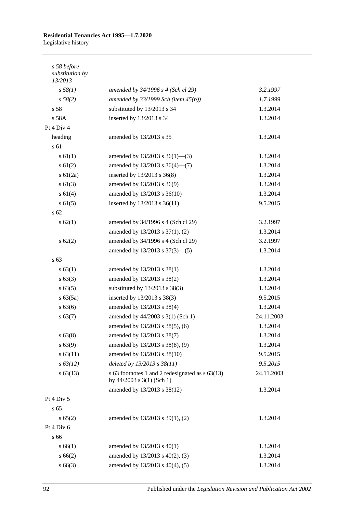# **Residential Tenancies Act 1995—1.7.2020**

Legislative history

| s 58 before<br>substitution by<br>13/2013 |                                                                                  |            |
|-------------------------------------------|----------------------------------------------------------------------------------|------------|
| s 58(1)                                   | amended by 34/1996 s 4 (Sch cl 29)                                               | 3.2.1997   |
| s 58(2)                                   | amended by $33/1999$ Sch (item $45(b)$ )                                         | 1.7.1999   |
| s 58                                      | substituted by 13/2013 s 34                                                      | 1.3.2014   |
| s 58A                                     | inserted by 13/2013 s 34                                                         | 1.3.2014   |
| Pt 4 Div 4                                |                                                                                  |            |
| heading                                   | amended by 13/2013 s 35                                                          | 1.3.2014   |
| s 61                                      |                                                                                  |            |
| s 61(1)                                   | amended by $13/2013$ s $36(1)$ —(3)                                              | 1.3.2014   |
| $s \ 61(2)$                               | amended by 13/2013 s 36(4)–(7)                                                   | 1.3.2014   |
| $s \ 61(2a)$                              | inserted by 13/2013 s 36(8)                                                      | 1.3.2014   |
| $s \ 61(3)$                               | amended by 13/2013 s 36(9)                                                       | 1.3.2014   |
| s 61(4)                                   | amended by 13/2013 s 36(10)                                                      | 1.3.2014   |
| s 61(5)                                   | inserted by 13/2013 s 36(11)                                                     | 9.5.2015   |
| s <sub>62</sub>                           |                                                                                  |            |
| $s \, 62(1)$                              | amended by 34/1996 s 4 (Sch cl 29)                                               | 3.2.1997   |
|                                           | amended by 13/2013 s 37(1), (2)                                                  | 1.3.2014   |
| $s \, 62(2)$                              | amended by 34/1996 s 4 (Sch cl 29)                                               | 3.2.1997   |
|                                           | amended by 13/2013 s 37(3)–(5)                                                   | 1.3.2014   |
| s 63                                      |                                                                                  |            |
| s 63(1)                                   | amended by 13/2013 s 38(1)                                                       | 1.3.2014   |
| $s \, 63(3)$                              | amended by 13/2013 s 38(2)                                                       | 1.3.2014   |
| s 63(5)                                   | substituted by 13/2013 s 38(3)                                                   | 1.3.2014   |
| $s\ 63(5a)$                               | inserted by 13/2013 s 38(3)                                                      | 9.5.2015   |
| s 63(6)                                   | amended by 13/2013 s 38(4)                                                       | 1.3.2014   |
| s 63(7)                                   | amended by 44/2003 s 3(1) (Sch 1)                                                | 24.11.2003 |
|                                           | amended by 13/2013 s 38(5), (6)                                                  | 1.3.2014   |
| $s\,63(8)$                                | amended by 13/2013 s 38(7)                                                       | 1.3.2014   |
| s 63(9)                                   | amended by 13/2013 s 38(8), (9)                                                  | 1.3.2014   |
| s 63(11)                                  | amended by 13/2013 s 38(10)                                                      | 9.5.2015   |
| $s\,63(12)$                               | deleted by 13/2013 s 38(11)                                                      | 9.5.2015   |
| $s\,63(13)$                               | s 63 footnotes 1 and 2 redesignated as s 63(13)<br>by $44/2003$ s $3(1)$ (Sch 1) | 24.11.2003 |
|                                           | amended by 13/2013 s 38(12)                                                      | 1.3.2014   |
| Pt 4 Div 5                                |                                                                                  |            |
| s 65                                      |                                                                                  |            |
| s 65(2)                                   | amended by 13/2013 s 39(1), (2)                                                  | 1.3.2014   |
| Pt 4 Div 6                                |                                                                                  |            |
| s 66                                      |                                                                                  |            |
| s 66(1)                                   | amended by 13/2013 s 40(1)                                                       | 1.3.2014   |
| s 66(2)                                   | amended by 13/2013 s 40(2), (3)                                                  | 1.3.2014   |
| $s\,66(3)$                                | amended by 13/2013 s 40(4), (5)                                                  | 1.3.2014   |
|                                           |                                                                                  |            |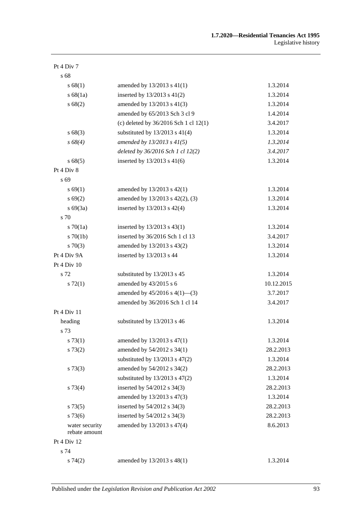| Pt 4 Div 7                      |                                           |            |
|---------------------------------|-------------------------------------------|------------|
| s 68                            |                                           |            |
| s 68(1)                         | amended by $13/2013$ s $41(1)$            | 1.3.2014   |
| s 68(1a)                        | inserted by $13/2013$ s $41(2)$           | 1.3.2014   |
| s 68(2)                         | amended by 13/2013 s 41(3)                | 1.3.2014   |
|                                 | amended by 65/2013 Sch 3 cl 9             | 1.4.2014   |
|                                 | (c) deleted by $36/2016$ Sch 1 cl $12(1)$ | 3.4.2017   |
| s68(3)                          | substituted by $13/2013$ s $41(4)$        | 1.3.2014   |
| $s\,68(4)$                      | amended by $13/2013$ s $41(5)$            | 1.3.2014   |
|                                 | deleted by 36/2016 Sch 1 cl 12(2)         | 3.4.2017   |
| s 68(5)                         | inserted by 13/2013 s 41(6)               | 1.3.2014   |
| Pt 4 Div 8                      |                                           |            |
| s 69                            |                                           |            |
| s 69(1)                         | amended by 13/2013 s 42(1)                | 1.3.2014   |
| s 69(2)                         | amended by 13/2013 s 42(2), (3)           | 1.3.2014   |
| $s\ 69(3a)$                     | inserted by $13/2013$ s $42(4)$           | 1.3.2014   |
| s 70                            |                                           |            |
| $s \, 70(1a)$                   | inserted by 13/2013 s 43(1)               | 1.3.2014   |
| $s \, 70(1b)$                   | inserted by 36/2016 Sch 1 cl 13           | 3.4.2017   |
| $s \, 70(3)$                    | amended by 13/2013 s 43(2)                | 1.3.2014   |
| Pt 4 Div 9A                     | inserted by 13/2013 s 44                  | 1.3.2014   |
| Pt 4 Div 10                     |                                           |            |
| s 72                            | substituted by 13/2013 s 45               | 1.3.2014   |
| $s\,72(1)$                      | amended by 43/2015 s 6                    | 10.12.2015 |
|                                 | amended by $45/2016$ s $4(1)$ —(3)        | 3.7.2017   |
|                                 | amended by 36/2016 Sch 1 cl 14            | 3.4.2017   |
| Pt 4 Div 11                     |                                           |            |
| heading                         | substituted by 13/2013 s 46               | 1.3.2014   |
| s 73                            |                                           |            |
| s 73(1)                         | amended by 13/2013 s 47(1)                | 1.3.2014   |
| s 73(2)                         | amended by 54/2012 s 34(1)                | 28.2.2013  |
|                                 | substituted by $13/2013$ s $47(2)$        | 1.3.2014   |
| s 73(3)                         | amended by 54/2012 s 34(2)                | 28.2.2013  |
|                                 | substituted by $13/2013$ s $47(2)$        | 1.3.2014   |
| s 73(4)                         | inserted by 54/2012 s 34(3)               | 28.2.2013  |
|                                 | amended by 13/2013 s 47(3)                | 1.3.2014   |
| s 73(5)                         | inserted by 54/2012 s 34(3)               | 28.2.2013  |
| $s\,73(6)$                      | inserted by 54/2012 s 34(3)               | 28.2.2013  |
| water security<br>rebate amount | amended by 13/2013 s 47(4)                | 8.6.2013   |
| Pt 4 Div 12                     |                                           |            |
| s 74                            |                                           |            |
| s74(2)                          | amended by 13/2013 s 48(1)                | 1.3.2014   |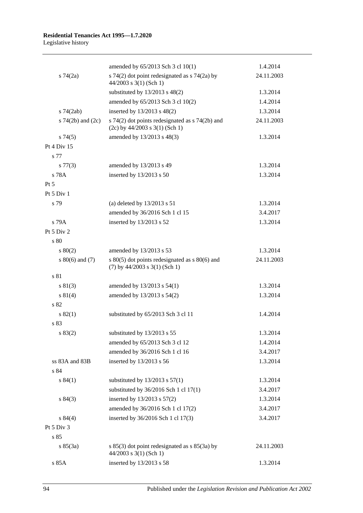## **Residential Tenancies Act 1995—1.7.2020**

Legislative history

|                       | amended by 65/2013 Sch 3 cl 10(1)                                                     | 1.4.2014   |
|-----------------------|---------------------------------------------------------------------------------------|------------|
| $s \, 74(2a)$         | s $74(2)$ dot point redesignated as s $74(2a)$ by<br>44/2003 s 3(1) (Sch 1)           | 24.11.2003 |
|                       | substituted by 13/2013 s 48(2)                                                        | 1.3.2014   |
|                       | amended by 65/2013 Sch 3 cl 10(2)                                                     | 1.4.2014   |
| $s$ 74 $(2ab)$        | inserted by 13/2013 s 48(2)                                                           | 1.3.2014   |
| s $74(2b)$ and $(2c)$ | s 74(2) dot points redesignated as s 74(2b) and<br>$(2c)$ by 44/2003 s 3(1) (Sch 1)   | 24.11.2003 |
| s74(5)                | amended by 13/2013 s 48(3)                                                            | 1.3.2014   |
| Pt 4 Div 15           |                                                                                       |            |
| s 77                  |                                                                                       |            |
| $s\,77(3)$            | amended by 13/2013 s 49                                                               | 1.3.2014   |
| s 78A                 | inserted by $13/2013$ s 50                                                            | 1.3.2014   |
| $Pt\,5$               |                                                                                       |            |
| Pt 5 Div 1            |                                                                                       |            |
| s 79                  | (a) deleted by $13/2013$ s $51$                                                       | 1.3.2014   |
|                       | amended by 36/2016 Sch 1 cl 15                                                        | 3.4.2017   |
| s 79A                 | inserted by 13/2013 s 52                                                              | 1.3.2014   |
| Pt $5$ Div $2$        |                                                                                       |            |
| s 80                  |                                                                                       |            |
| 80(2)                 | amended by 13/2013 s 53                                                               | 1.3.2014   |
| $s\ 80(6)$ and (7)    | s $80(5)$ dot points redesignated as s $80(6)$ and<br>$(7)$ by 44/2003 s 3(1) (Sch 1) | 24.11.2003 |
| s 81                  |                                                                                       |            |
| s 81(3)               | amended by 13/2013 s 54(1)                                                            | 1.3.2014   |
| s 81(4)               | amended by 13/2013 s 54(2)                                                            | 1.3.2014   |
| s 82                  |                                                                                       |            |
| s 82(1)               | substituted by 65/2013 Sch 3 cl 11                                                    | 1.4.2014   |
| s 83                  |                                                                                       |            |
| s 83(2)               | substituted by 13/2013 s 55                                                           | 1.3.2014   |
|                       | amended by 65/2013 Sch 3 cl 12                                                        | 1.4.2014   |
|                       | amended by 36/2016 Sch 1 cl 16                                                        | 3.4.2017   |
| ss 83A and 83B        | inserted by 13/2013 s 56                                                              | 1.3.2014   |
| s 84                  |                                                                                       |            |
| s 84(1)               | substituted by $13/2013$ s $57(1)$                                                    | 1.3.2014   |
|                       | substituted by 36/2016 Sch 1 cl 17(1)                                                 | 3.4.2017   |
| s 84(3)               | inserted by 13/2013 s 57(2)                                                           | 1.3.2014   |
|                       | amended by 36/2016 Sch 1 cl 17(2)                                                     | 3.4.2017   |
| s 84(4)               | inserted by 36/2016 Sch 1 cl 17(3)                                                    | 3.4.2017   |
| Pt 5 Div 3            |                                                                                       |            |
| s 85                  |                                                                                       |            |
| s 85(3a)              | s $85(3)$ dot point redesignated as s $85(3a)$ by<br>$44/2003$ s 3(1) (Sch 1)         | 24.11.2003 |
| s 85A                 | inserted by 13/2013 s 58                                                              | 1.3.2014   |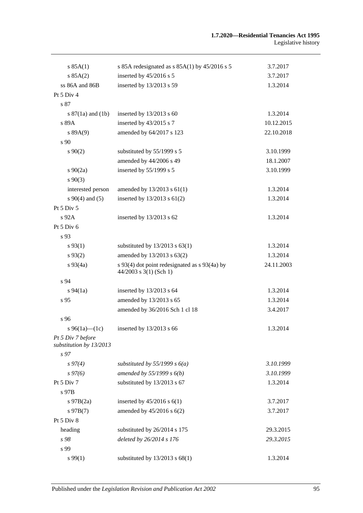| s 85A(1)                                     | s 85A redesignated as $s$ 85A(1) by 45/2016 s 5                           | 3.7.2017   |
|----------------------------------------------|---------------------------------------------------------------------------|------------|
| s 85A(2)                                     | inserted by 45/2016 s 5                                                   | 3.7.2017   |
| ss 86A and 86B                               | inserted by 13/2013 s 59                                                  | 1.3.2014   |
| Pt 5 Div 4                                   |                                                                           |            |
| s 87                                         |                                                                           |            |
| s $87(1a)$ and $(1b)$                        | inserted by $13/2013$ s 60                                                | 1.3.2014   |
| s 89A                                        | inserted by 43/2015 s 7                                                   | 10.12.2015 |
| s 89A(9)                                     | amended by 64/2017 s 123                                                  | 22.10.2018 |
| s 90                                         |                                                                           |            |
| $s\,90(2)$                                   | substituted by 55/1999 s 5                                                | 3.10.1999  |
|                                              | amended by 44/2006 s 49                                                   | 18.1.2007  |
| $s \ 90(2a)$                                 | inserted by 55/1999 s 5                                                   | 3.10.1999  |
| $s\ 90(3)$                                   |                                                                           |            |
| interested person                            | amended by $13/2013$ s $61(1)$                                            | 1.3.2014   |
| $s\ 90(4)$ and (5)                           | inserted by $13/2013$ s $61(2)$                                           | 1.3.2014   |
| Pt 5 Div 5                                   |                                                                           |            |
| $s\,92A$                                     | inserted by 13/2013 s 62                                                  | 1.3.2014   |
| Pt 5 Div 6                                   |                                                                           |            |
| s 93                                         |                                                                           |            |
| $s\,93(1)$                                   | substituted by $13/2013$ s $63(1)$                                        | 1.3.2014   |
| $s\,93(2)$                                   | amended by 13/2013 s 63(2)                                                | 1.3.2014   |
| $s\,93(4a)$                                  | s 93(4) dot point redesignated as s 93(4a) by<br>$44/2003$ s 3(1) (Sch 1) | 24.11.2003 |
| s 94                                         |                                                                           |            |
| $s\,94(1a)$                                  | inserted by $13/2013$ s 64                                                | 1.3.2014   |
| s 95                                         | amended by 13/2013 s 65                                                   | 1.3.2014   |
|                                              | amended by 36/2016 Sch 1 cl 18                                            | 3.4.2017   |
| s 96                                         |                                                                           |            |
| s 96(1a)—(1c)                                | inserted by 13/2013 s 66                                                  | 1.3.2014   |
| Pt 5 Div 7 before<br>substitution by 13/2013 |                                                                           |            |
| s <sub>97</sub>                              |                                                                           |            |
| $s\,97(4)$                                   | substituted by 55/1999 s $6(a)$                                           | 3.10.1999  |
| $s\,97(6)$                                   | amended by $55/1999 s 6(b)$                                               | 3.10.1999  |
| Pt 5 Div 7                                   | substituted by 13/2013 s 67                                               | 1.3.2014   |
| s 97B                                        |                                                                           |            |
| $s$ 97B $(2a)$                               | inserted by $45/2016$ s $6(1)$                                            | 3.7.2017   |
| $s\,97B(7)$                                  | amended by 45/2016 s 6(2)                                                 | 3.7.2017   |
| Pt 5 Div 8                                   |                                                                           |            |
| heading                                      | substituted by 26/2014 s 175                                              | 29.3.2015  |
| s 98                                         | deleted by 26/2014 s 176                                                  | 29.3.2015  |
| s 99                                         |                                                                           |            |
| $s\,99(1)$                                   | substituted by $13/2013$ s $68(1)$                                        | 1.3.2014   |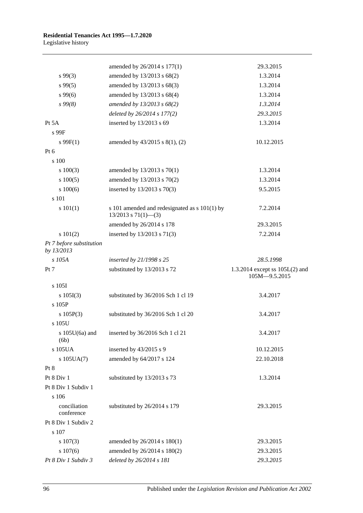|                                        | amended by 26/2014 s 177(1)                                                | 29.3.2015                                         |
|----------------------------------------|----------------------------------------------------------------------------|---------------------------------------------------|
| $s\,99(3)$                             | amended by 13/2013 s 68(2)                                                 | 1.3.2014                                          |
| $s\,99(5)$                             | amended by 13/2013 s 68(3)                                                 | 1.3.2014                                          |
| $s\,99(6)$                             | amended by 13/2013 s 68(4)                                                 | 1.3.2014                                          |
| s99(8)                                 | amended by 13/2013 s 68(2)                                                 | 1.3.2014                                          |
|                                        | deleted by 26/2014 s 177(2)                                                | 29.3.2015                                         |
| Pt 5A                                  | inserted by 13/2013 s 69                                                   | 1.3.2014                                          |
| s 99F                                  |                                                                            |                                                   |
| $s \, 99F(1)$                          | amended by 43/2015 s 8(1), (2)                                             | 10.12.2015                                        |
| Pt 6                                   |                                                                            |                                                   |
| s 100                                  |                                                                            |                                                   |
| 100(3)                                 | amended by 13/2013 s 70(1)                                                 | 1.3.2014                                          |
| 100(5)                                 | amended by 13/2013 s 70(2)                                                 | 1.3.2014                                          |
| 100(6)                                 | inserted by 13/2013 s 70(3)                                                | 9.5.2015                                          |
| s 101                                  |                                                                            |                                                   |
| s 101(1)                               | s 101 amended and redesignated as s 101(1) by<br>$13/2013$ s $71(1)$ - (3) | 7.2.2014                                          |
|                                        | amended by 26/2014 s 178                                                   | 29.3.2015                                         |
| s 101(2)                               | inserted by 13/2013 s 71(3)                                                | 7.2.2014                                          |
| Pt 7 before substitution<br>by 13/2013 |                                                                            |                                                   |
| s 105A                                 | inserted by 21/1998 s 25                                                   | 28.5.1998                                         |
| Pt 7                                   | substituted by 13/2013 s 72                                                | 1.3.2014 except ss $105L(2)$ and<br>105M-9.5.2015 |
| s 105I                                 |                                                                            |                                                   |
| s 105I(3)                              | substituted by 36/2016 Sch 1 cl 19                                         | 3.4.2017                                          |
| s 105P                                 |                                                                            |                                                   |
| s $105P(3)$                            | substituted by 36/2016 Sch 1 cl 20                                         | 3.4.2017                                          |
| s 105U                                 |                                                                            |                                                   |
| (6b)                                   | s 105U(6a) and inserted by 36/2016 Sch 1 cl 21                             | 3.4.2017                                          |
| s 105UA                                | inserted by 43/2015 s 9                                                    | 10.12.2015                                        |
| $s$ 105UA(7)                           | amended by 64/2017 s 124                                                   | 22.10.2018                                        |
| Pt 8                                   |                                                                            |                                                   |
| Pt 8 Div 1                             | substituted by 13/2013 s 73                                                | 1.3.2014                                          |
| Pt 8 Div 1 Subdiv 1                    |                                                                            |                                                   |
| s 106                                  |                                                                            |                                                   |
| conciliation<br>conference             | substituted by 26/2014 s 179                                               | 29.3.2015                                         |
| Pt 8 Div 1 Subdiv 2                    |                                                                            |                                                   |
| s 107                                  |                                                                            |                                                   |
| $s\ 107(3)$                            | amended by 26/2014 s 180(1)                                                | 29.3.2015                                         |
| $s\ 107(6)$                            | amended by 26/2014 s 180(2)                                                | 29.3.2015                                         |
| Pt 8 Div 1 Subdiv 3                    | deleted by 26/2014 s 181                                                   | 29.3.2015                                         |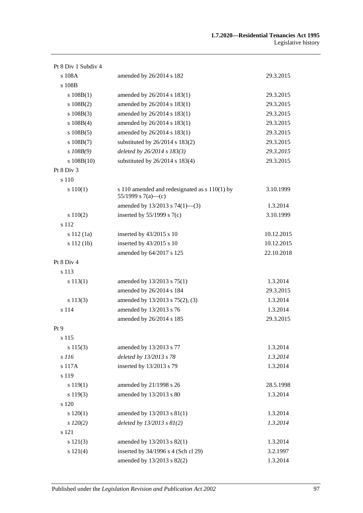| Pt 8 Div 1 Subdiv 4 |                                                                     |            |
|---------------------|---------------------------------------------------------------------|------------|
| s 108A              | amended by 26/2014 s 182                                            | 29.3.2015  |
| s 108B              |                                                                     |            |
| s 108B(1)           | amended by 26/2014 s 183(1)                                         | 29.3.2015  |
| $s\ 108B(2)$        | amended by 26/2014 s 183(1)                                         | 29.3.2015  |
| $s\ 108B(3)$        | amended by 26/2014 s 183(1)                                         | 29.3.2015  |
| $s\ 108B(4)$        | amended by 26/2014 s 183(1)                                         | 29.3.2015  |
| $s\ 108B(5)$        | amended by 26/2014 s 183(1)                                         | 29.3.2015  |
| $s\ 108B(7)$        | substituted by 26/2014 s 183(2)                                     | 29.3.2015  |
| $s$ 108B(9)         | deleted by 26/2014 s 183(3)                                         | 29.3.2015  |
| $s\ 108B(10)$       | substituted by 26/2014 s 183(4)                                     | 29.3.2015  |
| Pt 8 Div 3          |                                                                     |            |
| s 110               |                                                                     |            |
| s 110(1)            | s 110 amended and redesignated as s 110(1) by<br>55/1999 s 7(a)—(c) | 3.10.1999  |
|                     | amended by $13/2013$ s $74(1)$ —(3)                                 | 1.3.2014   |
| s 110(2)            | inserted by $55/1999$ s $7(c)$                                      | 3.10.1999  |
| s 112               |                                                                     |            |
| s 112(1a)           | inserted by 43/2015 s 10                                            | 10.12.2015 |
| s 112 (1b)          | inserted by 43/2015 s 10                                            | 10.12.2015 |
|                     | amended by 64/2017 s 125                                            | 22.10.2018 |
| Pt 8 Div 4          |                                                                     |            |
| s 113               |                                                                     |            |
| s 113(1)            | amended by 13/2013 s 75(1)                                          | 1.3.2014   |
|                     | amended by 26/2014 s 184                                            | 29.3.2015  |
| s 113(3)            | amended by 13/2013 s 75(2), (3)                                     | 1.3.2014   |
| s 114               | amended by 13/2013 s 76                                             | 1.3.2014   |
|                     | amended by 26/2014 s 185                                            | 29.3.2015  |
| Pt <sub>9</sub>     |                                                                     |            |
| s 115               |                                                                     |            |
| s 115(3)            | amended by 13/2013 s 77                                             | 1.3.2014   |
| s 116               | deleted by 13/2013 s 78                                             | 1.3.2014   |
| s 117A              | inserted by 13/2013 s 79                                            | 1.3.2014   |
| s 119               |                                                                     |            |
| s 119(1)            | amended by 21/1998 s 26                                             | 28.5.1998  |
| s 119(3)            | amended by 13/2013 s 80                                             | 1.3.2014   |
| s 120               |                                                                     |            |
| s 120(1)            | amended by 13/2013 s 81(1)                                          | 1.3.2014   |
| $s\,120(2)$         | deleted by $13/2013$ s $81(2)$                                      | 1.3.2014   |
| s 121               |                                                                     |            |
| s 121(3)            | amended by 13/2013 s 82(1)                                          | 1.3.2014   |
| s 121(4)            | inserted by 34/1996 s 4 (Sch cl 29)                                 | 3.2.1997   |
|                     | amended by 13/2013 s 82(2)                                          | 1.3.2014   |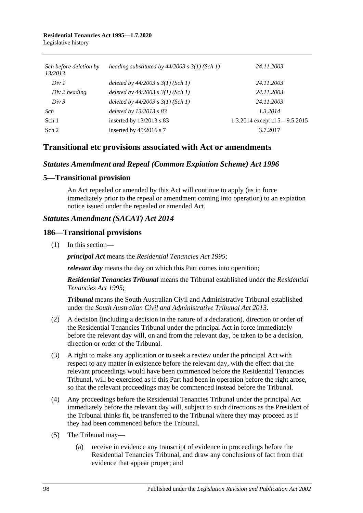#### **Residential Tenancies Act 1995—1.7.2020** Legislative history

| Sch before deletion by<br>13/2013 | heading substituted by $44/2003$ s $3(1)$ (Sch 1) | 24.11.2003                    |
|-----------------------------------|---------------------------------------------------|-------------------------------|
| Div 1                             | deleted by $44/2003$ s $3(1)$ (Sch 1)             | 24.11.2003                    |
| $Div 2$ heading                   | deleted by $44/2003$ s $3(1)$ (Sch 1)             | 24.11.2003                    |
| Div 3                             | deleted by $44/2003$ s $3(1)$ (Sch 1)             | 24.11.2003                    |
| Sch                               | deleted by 13/2013 s 83                           | 1.3.2014                      |
| Sch 1                             | inserted by 13/2013 s 83                          | 1.3.2014 except cl 5-9.5.2015 |
| Sch 2                             | inserted by $45/2016$ s 7                         | 3.7.2017                      |

## **Transitional etc provisions associated with Act or amendments**

## *Statutes Amendment and Repeal (Common Expiation Scheme) Act 1996*

#### **5—Transitional provision**

An Act repealed or amended by this Act will continue to apply (as in force immediately prior to the repeal or amendment coming into operation) to an expiation notice issued under the repealed or amended Act.

#### *Statutes Amendment (SACAT) Act 2014*

#### **186—Transitional provisions**

(1) In this section—

*principal Act* means the *[Residential Tenancies Act](http://www.legislation.sa.gov.au/index.aspx?action=legref&type=act&legtitle=Residential%20Tenancies%20Act%201995) 1995*;

*relevant day* means the day on which this Part comes into operation;

*Residential Tenancies Tribunal* means the Tribunal established under the *[Residential](http://www.legislation.sa.gov.au/index.aspx?action=legref&type=act&legtitle=Residential%20Tenancies%20Act%201995)  [Tenancies Act](http://www.legislation.sa.gov.au/index.aspx?action=legref&type=act&legtitle=Residential%20Tenancies%20Act%201995) 1995*;

*Tribunal* means the South Australian Civil and Administrative Tribunal established under the *[South Australian Civil and Administrative Tribunal Act](http://www.legislation.sa.gov.au/index.aspx?action=legref&type=act&legtitle=South%20Australian%20Civil%20and%20Administrative%20Tribunal%20Act%202013) 2013*.

- (2) A decision (including a decision in the nature of a declaration), direction or order of the Residential Tenancies Tribunal under the principal Act in force immediately before the relevant day will, on and from the relevant day, be taken to be a decision, direction or order of the Tribunal.
- (3) A right to make any application or to seek a review under the principal Act with respect to any matter in existence before the relevant day, with the effect that the relevant proceedings would have been commenced before the Residential Tenancies Tribunal, will be exercised as if this Part had been in operation before the right arose, so that the relevant proceedings may be commenced instead before the Tribunal.
- (4) Any proceedings before the Residential Tenancies Tribunal under the principal Act immediately before the relevant day will, subject to such directions as the President of the Tribunal thinks fit, be transferred to the Tribunal where they may proceed as if they had been commenced before the Tribunal.
- (5) The Tribunal may—
	- (a) receive in evidence any transcript of evidence in proceedings before the Residential Tenancies Tribunal, and draw any conclusions of fact from that evidence that appear proper; and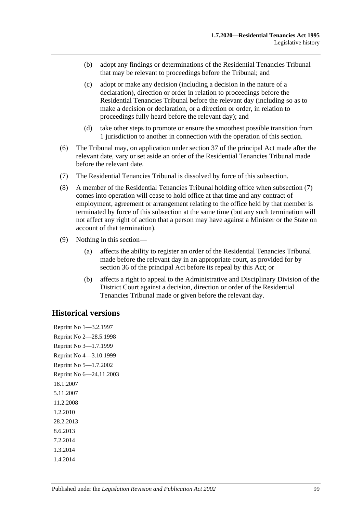- (b) adopt any findings or determinations of the Residential Tenancies Tribunal that may be relevant to proceedings before the Tribunal; and
- (c) adopt or make any decision (including a decision in the nature of a declaration), direction or order in relation to proceedings before the Residential Tenancies Tribunal before the relevant day (including so as to make a decision or declaration, or a direction or order, in relation to proceedings fully heard before the relevant day); and
- (d) take other steps to promote or ensure the smoothest possible transition from 1 jurisdiction to another in connection with the operation of this section.
- (6) The Tribunal may, on application under section 37 of the principal Act made after the relevant date, vary or set aside an order of the Residential Tenancies Tribunal made before the relevant date.
- <span id="page-98-0"></span>(7) The Residential Tenancies Tribunal is dissolved by force of this subsection.
- (8) A member of the Residential Tenancies Tribunal holding office when [subsection](#page-98-0) (7) comes into operation will cease to hold office at that time and any contract of employment, agreement or arrangement relating to the office held by that member is terminated by force of this subsection at the same time (but any such termination will not affect any right of action that a person may have against a Minister or the State on account of that termination).
- (9) Nothing in this section—
	- (a) affects the ability to register an order of the Residential Tenancies Tribunal made before the relevant day in an appropriate court, as provided for by section 36 of the principal Act before its repeal by this Act; or
	- (b) affects a right to appeal to the Administrative and Disciplinary Division of the District Court against a decision, direction or order of the Residential Tenancies Tribunal made or given before the relevant day.

## **Historical versions**

Reprint No 1—3.2.1997 Reprint No 2—28.5.1998 Reprint No 3—1.7.1999 Reprint No 4—3.10.1999 Reprint No 5—1.7.2002 Reprint No 6—24.11.2003 18.1.2007 5.11.2007 11.2.2008 1.2.2010 28.2.2013 8.6.2013 7.2.2014 1.3.2014 1.4.2014